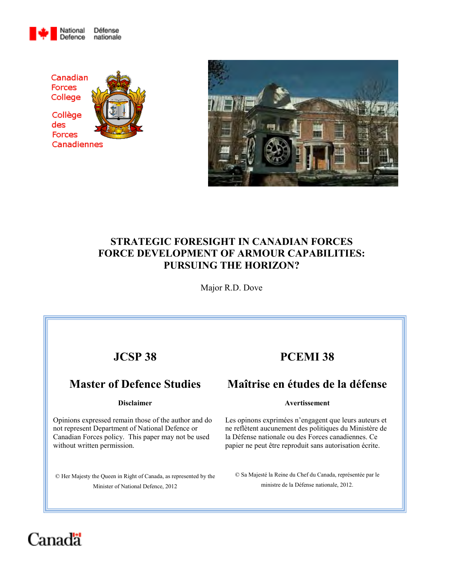





## **STRATEGIC FORESIGHT IN CANADIAN FORCES FORCE DEVELOPMENT OF ARMOUR CAPABILITIES: PURSUING THE HORIZON?**

Major R.D. Dove

# **JCSP 38**

# **Master of Defence Studies**

#### **Disclaimer**

Opinions expressed remain those of the author and do not represent Department of National Defence or Canadian Forces policy. This paper may not be used without written permission.

© Her Majesty the Queen in Right of Canada, as represented by the Minister of National Defence, 2012

# **PCEMI 38**

# **Maîtrise en études de la défense**

#### **Avertissement**

Les opinons exprimées n'engagent que leurs auteurs et ne reflètent aucunement des politiques du Ministère de la Défense nationale ou des Forces canadiennes. Ce papier ne peut être reproduit sans autorisation écrite.

© Sa Majesté la Reine du Chef du Canada, représentée par le ministre de la Défense nationale, 2012.

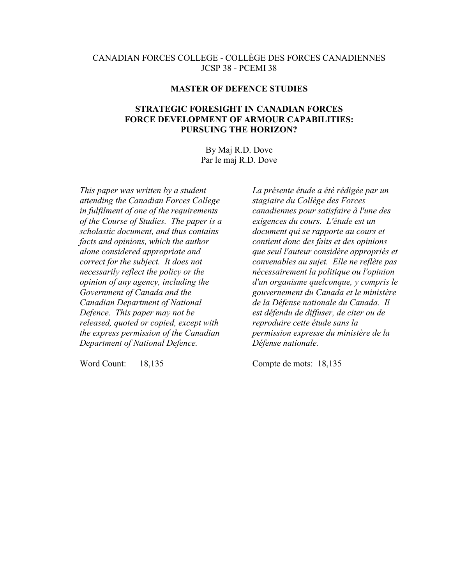### CANADIAN FORCES COLLEGE - COLLÈGE DES FORCES CANADIENNES JCSP 38 - PCEMI 38

#### **MASTER OF DEFENCE STUDIES**

### **STRATEGIC FORESIGHT IN CANADIAN FORCES FORCE DEVELOPMENT OF ARMOUR CAPABILITIES: PURSUING THE HORIZON?**

By Maj R.D. Dove Par le maj R.D. Dove

*This paper was written by a student attending the Canadian Forces College in fulfilment of one of the requirements of the Course of Studies. The paper is a scholastic document, and thus contains facts and opinions, which the author alone considered appropriate and correct for the subject. It does not necessarily reflect the policy or the opinion of any agency, including the Government of Canada and the Canadian Department of National Defence. This paper may not be released, quoted or copied, except with the express permission of the Canadian Department of National Defence.* 

Word Count: 18,135

*La présente étude a été rédigée par un stagiaire du Collège des Forces canadiennes pour satisfaire à l'une des exigences du cours. L'étude est un document qui se rapporte au cours et contient donc des faits et des opinions que seul l'auteur considère appropriés et convenables au sujet. Elle ne reflète pas nécessairement la politique ou l'opinion d'un organisme quelconque, y compris le gouvernement du Canada et le ministère de la Défense nationale du Canada. Il est défendu de diffuser, de citer ou de reproduire cette étude sans la permission expresse du ministère de la Défense nationale.* 

Compte de mots: 18,135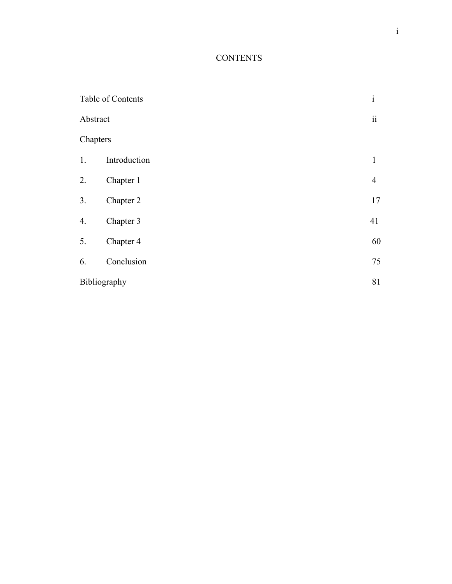## **CONTENTS**

| Table of Contents |              | $\mathbf{i}$    |
|-------------------|--------------|-----------------|
| Abstract          |              | $\ddot{\rm ii}$ |
| Chapters          |              |                 |
| 1.                | Introduction | $\mathbf{1}$    |
| 2.                | Chapter 1    | $\overline{4}$  |
| 3.                | Chapter 2    | 17              |
| 4.                | Chapter 3    | 41              |
| 5.                | Chapter 4    | 60              |
| 6.                | Conclusion   | 75              |
|                   | Bibliography |                 |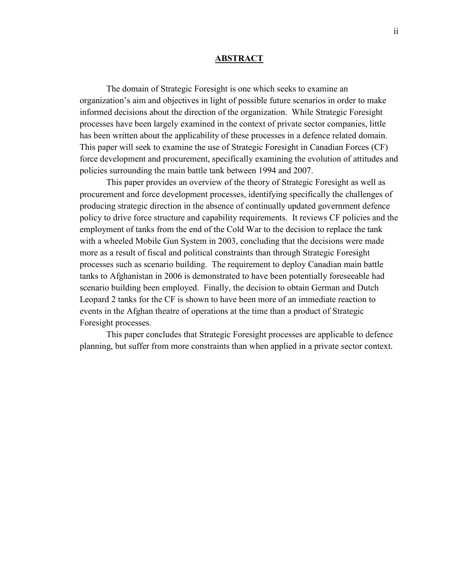#### **ABSTRACT**

The domain of Strategic Foresight is one which seeks to examine an organization's aim and objectives in light of possible future scenarios in order to make informed decisions about the direction of the organization. While Strategic Foresight processes have been largely examined in the context of private sector companies, little has been written about the applicability of these processes in a defence related domain. This paper will seek to examine the use of Strategic Foresight in Canadian Forces (CF) force development and procurement, specifically examining the evolution of attitudes and policies surrounding the main battle tank between 1994 and 2007.

This paper provides an overview of the theory of Strategic Foresight as well as procurement and force development processes, identifying specifically the challenges of producing strategic direction in the absence of continually updated government defence policy to drive force structure and capability requirements. It reviews CF policies and the employment of tanks from the end of the Cold War to the decision to replace the tank with a wheeled Mobile Gun System in 2003, concluding that the decisions were made more as a result of fiscal and political constraints than through Strategic Foresight processes such as scenario building. The requirement to deploy Canadian main battle tanks to Afghanistan in 2006 is demonstrated to have been potentially foreseeable had scenario building been employed. Finally, the decision to obtain German and Dutch Leopard 2 tanks for the CF is shown to have been more of an immediate reaction to events in the Afghan theatre of operations at the time than a product of Strategic Foresight processes.

This paper concludes that Strategic Foresight processes are applicable to defence planning, but suffer from more constraints than when applied in a private sector context.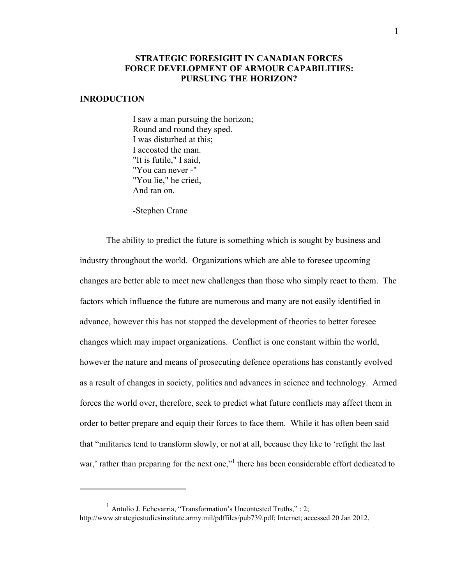### **STRATEGIC FORESIGHT IN CANADIAN FORCES FORCE DEVELOPMENT OF ARMOUR CAPABILITIES: PURSUING THE HORIZON?**

#### **INRODUCTION**

 $\overline{a}$ 

I saw a man pursuing the horizon; Round and round they sped. I was disturbed at this; I accosted the man. "It is futile," I said, "You can never -" "You lie," he cried, And ran on.

-Stephen Crane

 The ability to predict the future is something which is sought by business and industry throughout the world. Organizations which are able to foresee upcoming changes are better able to meet new challenges than those who simply react to them. The factors which influence the future are numerous and many are not easily identified in advance, however this has not stopped the development of theories to better foresee changes which may impact organizations. Conflict is one constant within the world, however the nature and means of prosecuting defence operations has constantly evolved as a result of changes in society, politics and advances in science and technology. Armed forces the world over, therefore, seek to predict what future conflicts may affect them in order to better prepare and equip their forces to face them. While it has often been said that "militaries tend to transform slowly, or not at all, because they like to 'refight the last war,' rather than preparing for the next one,"<sup>1</sup> there has been considerable effort dedicated to

<sup>&</sup>lt;sup>1</sup> Antulio J. Echevarria, "Transformation's Uncontested Truths," : 2; http://www.strategicstudiesinstitute.army.mil/pdffiles/pub739.pdf; Internet; accessed 20 Jan 2012.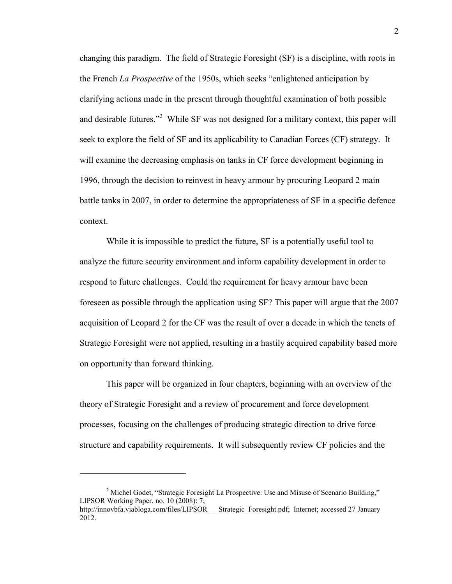changing this paradigm. The field of Strategic Foresight (SF) is a discipline, with roots in the French *La Prospective* of the 1950s, which seeks "enlightened anticipation by clarifying actions made in the present through thoughtful examination of both possible and desirable futures."<sup>2</sup> While SF was not designed for a military context, this paper will seek to explore the field of SF and its applicability to Canadian Forces (CF) strategy. It will examine the decreasing emphasis on tanks in CF force development beginning in 1996, through the decision to reinvest in heavy armour by procuring Leopard 2 main battle tanks in 2007, in order to determine the appropriateness of SF in a specific defence context.

 While it is impossible to predict the future, SF is a potentially useful tool to analyze the future security environment and inform capability development in order to respond to future challenges. Could the requirement for heavy armour have been foreseen as possible through the application using SF? This paper will argue that the 2007 acquisition of Leopard 2 for the CF was the result of over a decade in which the tenets of Strategic Foresight were not applied, resulting in a hastily acquired capability based more on opportunity than forward thinking.

 This paper will be organized in four chapters, beginning with an overview of the theory of Strategic Foresight and a review of procurement and force development processes, focusing on the challenges of producing strategic direction to drive force structure and capability requirements. It will subsequently review CF policies and the

<sup>&</sup>lt;sup>2</sup> Michel Godet, "Strategic Foresight La Prospective: Use and Misuse of Scenario Building," LIPSOR Working Paper, no. 10 (2008): 7; http://innovbfa.viabloga.com/files/LIPSOR Strategic\_Foresight.pdf; Internet; accessed 27 January 2012.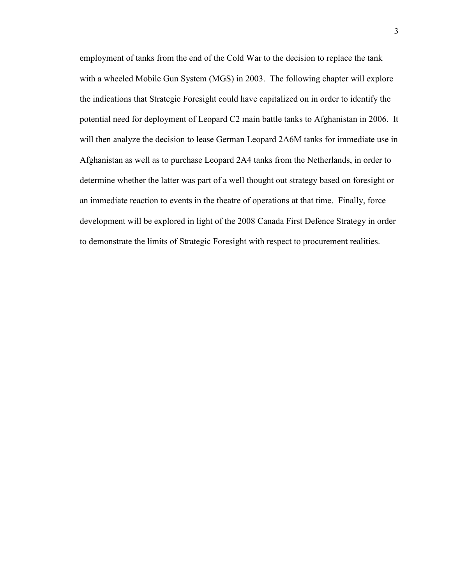employment of tanks from the end of the Cold War to the decision to replace the tank with a wheeled Mobile Gun System (MGS) in 2003. The following chapter will explore the indications that Strategic Foresight could have capitalized on in order to identify the potential need for deployment of Leopard C2 main battle tanks to Afghanistan in 2006. It will then analyze the decision to lease German Leopard 2A6M tanks for immediate use in Afghanistan as well as to purchase Leopard 2A4 tanks from the Netherlands, in order to determine whether the latter was part of a well thought out strategy based on foresight or an immediate reaction to events in the theatre of operations at that time. Finally, force development will be explored in light of the 2008 Canada First Defence Strategy in order to demonstrate the limits of Strategic Foresight with respect to procurement realities.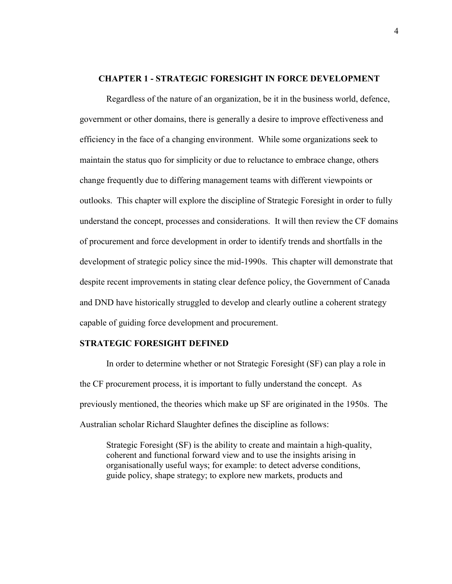#### **CHAPTER 1 - STRATEGIC FORESIGHT IN FORCE DEVELOPMENT**

Regardless of the nature of an organization, be it in the business world, defence, government or other domains, there is generally a desire to improve effectiveness and efficiency in the face of a changing environment. While some organizations seek to maintain the status quo for simplicity or due to reluctance to embrace change, others change frequently due to differing management teams with different viewpoints or outlooks. This chapter will explore the discipline of Strategic Foresight in order to fully understand the concept, processes and considerations. It will then review the CF domains of procurement and force development in order to identify trends and shortfalls in the development of strategic policy since the mid-1990s. This chapter will demonstrate that despite recent improvements in stating clear defence policy, the Government of Canada and DND have historically struggled to develop and clearly outline a coherent strategy capable of guiding force development and procurement.

#### **STRATEGIC FORESIGHT DEFINED**

In order to determine whether or not Strategic Foresight (SF) can play a role in the CF procurement process, it is important to fully understand the concept. As previously mentioned, the theories which make up SF are originated in the 1950s. The Australian scholar Richard Slaughter defines the discipline as follows:

Strategic Foresight (SF) is the ability to create and maintain a high-quality, coherent and functional forward view and to use the insights arising in organisationally useful ways; for example: to detect adverse conditions, guide policy, shape strategy; to explore new markets, products and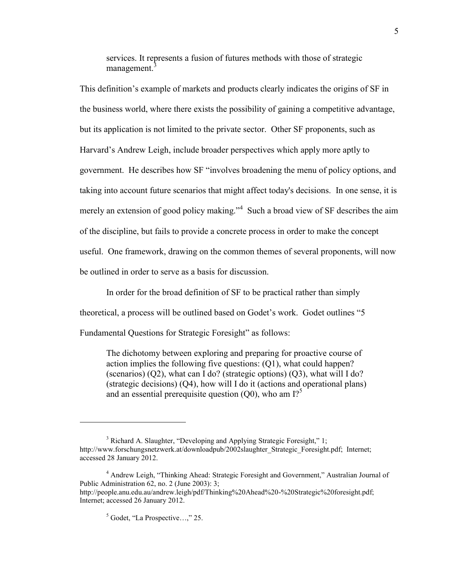services. It represents a fusion of futures methods with those of strategic management.<sup>3</sup>

This definition's example of markets and products clearly indicates the origins of SF in the business world, where there exists the possibility of gaining a competitive advantage, but its application is not limited to the private sector. Other SF proponents, such as Harvard's Andrew Leigh, include broader perspectives which apply more aptly to government. He describes how SF "involves broadening the menu of policy options, and taking into account future scenarios that might affect today's decisions. In one sense, it is merely an extension of good policy making."<sup>4</sup> Such a broad view of SF describes the aim of the discipline, but fails to provide a concrete process in order to make the concept useful. One framework, drawing on the common themes of several proponents, will now be outlined in order to serve as a basis for discussion.

 In order for the broad definition of SF to be practical rather than simply theoretical, a process will be outlined based on Godet's work. Godet outlines "5 Fundamental Questions for Strategic Foresight" as follows:

The dichotomy between exploring and preparing for proactive course of action implies the following five questions: (Q1), what could happen? (scenarios) (Q2), what can I do? (strategic options) (Q3), what will I do? (strategic decisions) (Q4), how will I do it (actions and operational plans) and an essential prerequisite question  $(Q0)$ , who am  $I$ <sup>5</sup>

<sup>&</sup>lt;sup>3</sup> Richard A. Slaughter, "Developing and Applying Strategic Foresight," 1; http://www.forschungsnetzwerk.at/downloadpub/2002slaughter\_Strategic\_Foresight.pdf; Internet; accessed 28 January 2012.

<sup>4</sup> Andrew Leigh, "Thinking Ahead: Strategic Foresight and Government," Australian Journal of Public Administration 62, no. 2 (June 2003): 3; http://people.anu.edu.au/andrew.leigh/pdf/Thinking%20Ahead%20-%20Strategic%20foresight.pdf; Internet; accessed 26 January 2012.

<sup>5</sup> Godet, "La Prospective…," 25.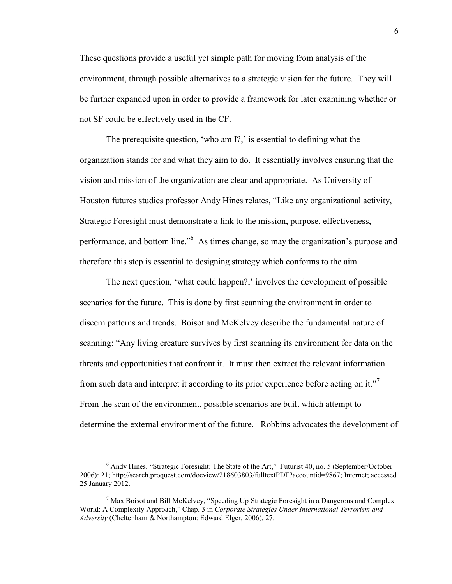These questions provide a useful yet simple path for moving from analysis of the environment, through possible alternatives to a strategic vision for the future. They will be further expanded upon in order to provide a framework for later examining whether or not SF could be effectively used in the CF.

 The prerequisite question, 'who am I?,' is essential to defining what the organization stands for and what they aim to do. It essentially involves ensuring that the vision and mission of the organization are clear and appropriate. As University of Houston futures studies professor Andy Hines relates, "Like any organizational activity, Strategic Foresight must demonstrate a link to the mission, purpose, effectiveness, performance, and bottom line."<sup>6</sup> As times change, so may the organization's purpose and therefore this step is essential to designing strategy which conforms to the aim.

 The next question, 'what could happen?,' involves the development of possible scenarios for the future. This is done by first scanning the environment in order to discern patterns and trends. Boisot and McKelvey describe the fundamental nature of scanning: "Any living creature survives by first scanning its environment for data on the threats and opportunities that confront it. It must then extract the relevant information from such data and interpret it according to its prior experience before acting on it."<sup>7</sup> From the scan of the environment, possible scenarios are built which attempt to determine the external environment of the future. Robbins advocates the development of

<sup>6</sup> Andy Hines, "Strategic Foresight; The State of the Art," Futurist 40, no. 5 (September/October 2006): 21; http://search.proquest.com/docview/218603803/fulltextPDF?accountid=9867; Internet; accessed 25 January 2012.

<sup>&</sup>lt;sup>7</sup> Max Boisot and Bill McKelvey, "Speeding Up Strategic Foresight in a Dangerous and Complex World: A Complexity Approach," Chap. 3 in *Corporate Strategies Under International Terrorism and Adversity* (Cheltenham & Northampton: Edward Elger, 2006), 27.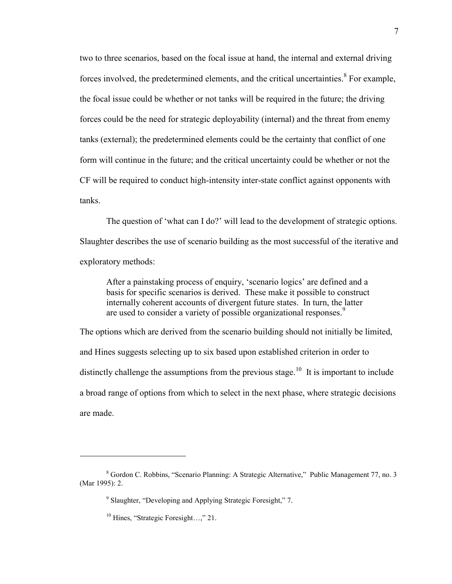two to three scenarios, based on the focal issue at hand, the internal and external driving forces involved, the predetermined elements, and the critical uncertainties.<sup>8</sup> For example, the focal issue could be whether or not tanks will be required in the future; the driving forces could be the need for strategic deployability (internal) and the threat from enemy tanks (external); the predetermined elements could be the certainty that conflict of one form will continue in the future; and the critical uncertainty could be whether or not the CF will be required to conduct high-intensity inter-state conflict against opponents with tanks.

 The question of 'what can I do?' will lead to the development of strategic options. Slaughter describes the use of scenario building as the most successful of the iterative and exploratory methods:

After a painstaking process of enquiry, 'scenario logics' are defined and a basis for specific scenarios is derived. These make it possible to construct internally coherent accounts of divergent future states. In turn, the latter are used to consider a variety of possible organizational responses.<sup>9</sup>

The options which are derived from the scenario building should not initially be limited, and Hines suggests selecting up to six based upon established criterion in order to distinctly challenge the assumptions from the previous stage.<sup>10</sup> It is important to include a broad range of options from which to select in the next phase, where strategic decisions are made.

<sup>8</sup> Gordon C. Robbins, "Scenario Planning: A Strategic Alternative," Public Management 77, no. 3 (Mar 1995): 2.

<sup>&</sup>lt;sup>9</sup> Slaughter, "Developing and Applying Strategic Foresight," 7.

<sup>&</sup>lt;sup>10</sup> Hines, "Strategic Foresight...," 21.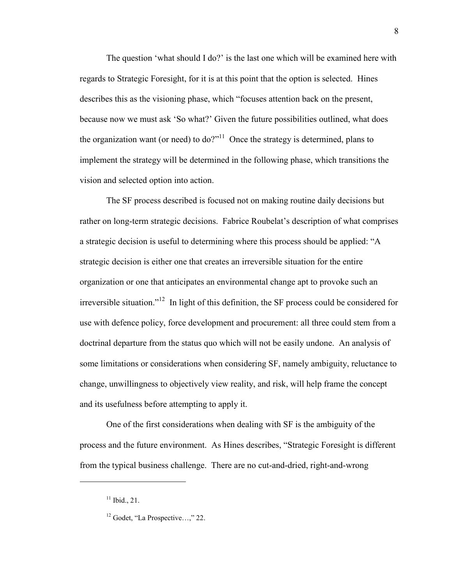The question 'what should I do?' is the last one which will be examined here with regards to Strategic Foresight, for it is at this point that the option is selected. Hines describes this as the visioning phase, which "focuses attention back on the present, because now we must ask 'So what?' Given the future possibilities outlined, what does the organization want (or need) to  $do?$ <sup>"11</sup> Once the strategy is determined, plans to implement the strategy will be determined in the following phase, which transitions the vision and selected option into action.

 The SF process described is focused not on making routine daily decisions but rather on long-term strategic decisions. Fabrice Roubelat's description of what comprises a strategic decision is useful to determining where this process should be applied: "A strategic decision is either one that creates an irreversible situation for the entire organization or one that anticipates an environmental change apt to provoke such an irreversible situation."<sup>12</sup> In light of this definition, the SF process could be considered for use with defence policy, force development and procurement: all three could stem from a doctrinal departure from the status quo which will not be easily undone. An analysis of some limitations or considerations when considering SF, namely ambiguity, reluctance to change, unwillingness to objectively view reality, and risk, will help frame the concept and its usefulness before attempting to apply it.

 One of the first considerations when dealing with SF is the ambiguity of the process and the future environment. As Hines describes, "Strategic Foresight is different from the typical business challenge. There are no cut-and-dried, right-and-wrong

 $11$  Ibid., 21.

<sup>12</sup> Godet, "La Prospective…," 22.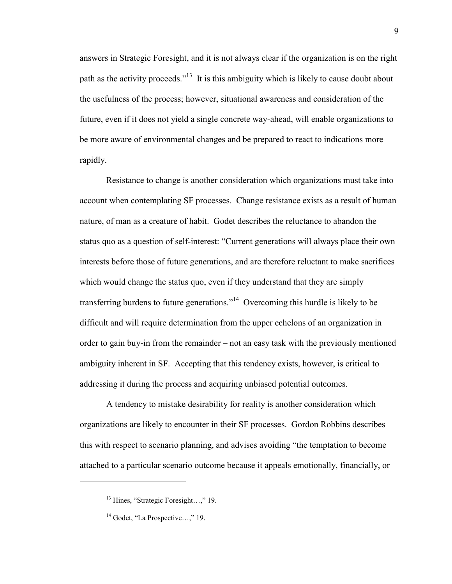answers in Strategic Foresight, and it is not always clear if the organization is on the right path as the activity proceeds."<sup>13</sup> It is this ambiguity which is likely to cause doubt about the usefulness of the process; however, situational awareness and consideration of the future, even if it does not yield a single concrete way-ahead, will enable organizations to be more aware of environmental changes and be prepared to react to indications more rapidly.

 Resistance to change is another consideration which organizations must take into account when contemplating SF processes. Change resistance exists as a result of human nature, of man as a creature of habit. Godet describes the reluctance to abandon the status quo as a question of self-interest: "Current generations will always place their own interests before those of future generations, and are therefore reluctant to make sacrifices which would change the status quo, even if they understand that they are simply transferring burdens to future generations."<sup>14</sup> Overcoming this hurdle is likely to be difficult and will require determination from the upper echelons of an organization in order to gain buy-in from the remainder – not an easy task with the previously mentioned ambiguity inherent in SF. Accepting that this tendency exists, however, is critical to addressing it during the process and acquiring unbiased potential outcomes.

 A tendency to mistake desirability for reality is another consideration which organizations are likely to encounter in their SF processes. Gordon Robbins describes this with respect to scenario planning, and advises avoiding "the temptation to become attached to a particular scenario outcome because it appeals emotionally, financially, or

<sup>&</sup>lt;sup>13</sup> Hines, "Strategic Foresight...." 19.

 $14$  Godet, "La Prospective...," 19.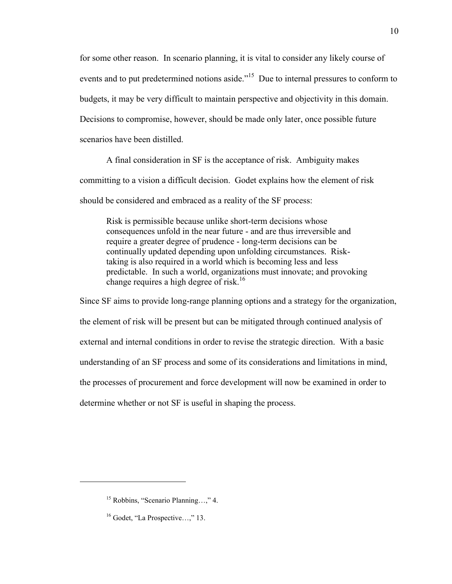for some other reason. In scenario planning, it is vital to consider any likely course of events and to put predetermined notions aside."<sup>15</sup> Due to internal pressures to conform to budgets, it may be very difficult to maintain perspective and objectivity in this domain. Decisions to compromise, however, should be made only later, once possible future scenarios have been distilled.

 A final consideration in SF is the acceptance of risk. Ambiguity makes committing to a vision a difficult decision. Godet explains how the element of risk should be considered and embraced as a reality of the SF process:

Risk is permissible because unlike short-term decisions whose consequences unfold in the near future - and are thus irreversible and require a greater degree of prudence - long-term decisions can be continually updated depending upon unfolding circumstances. Risktaking is also required in a world which is becoming less and less predictable. In such a world, organizations must innovate; and provoking change requires a high degree of risk.<sup>16</sup>

Since SF aims to provide long-range planning options and a strategy for the organization, the element of risk will be present but can be mitigated through continued analysis of external and internal conditions in order to revise the strategic direction. With a basic understanding of an SF process and some of its considerations and limitations in mind, the processes of procurement and force development will now be examined in order to determine whether or not SF is useful in shaping the process.

<sup>15</sup> Robbins, "Scenario Planning…," 4.

<sup>&</sup>lt;sup>16</sup> Godet, "La Prospective...," 13.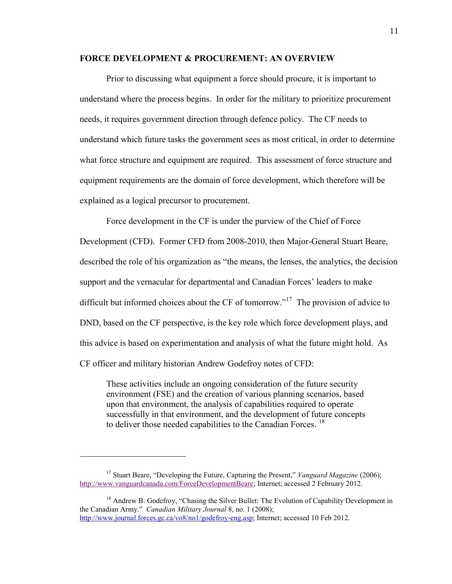#### **FORCE DEVELOPMENT & PROCUREMENT: AN OVERVIEW**

 Prior to discussing what equipment a force should procure, it is important to understand where the process begins. In order for the military to prioritize procurement needs, it requires government direction through defence policy. The CF needs to understand which future tasks the government sees as most critical, in order to determine what force structure and equipment are required. This assessment of force structure and equipment requirements are the domain of force development, which therefore will be explained as a logical precursor to procurement.

 Force development in the CF is under the purview of the Chief of Force Development (CFD). Former CFD from 2008-2010, then Major-General Stuart Beare, described the role of his organization as "the means, the lenses, the analytics, the decision support and the vernacular for departmental and Canadian Forces' leaders to make difficult but informed choices about the CF of tomorrow."<sup>17</sup> The provision of advice to DND, based on the CF perspective, is the key role which force development plays, and this advice is based on experimentation and analysis of what the future might hold. As CF officer and military historian Andrew Godefroy notes of CFD:

These activities include an ongoing consideration of the future security environment (FSE) and the creation of various planning scenarios, based upon that environment, the analysis of capabilities required to operate successfully in that environment, and the development of future concepts to deliver those needed capabilities to the Canadian Forces.<sup>18</sup>

 $\overline{a}$ 

<sup>18</sup> Andrew B. Godefroy, "Chasing the Silver Bullet: The Evolution of Capability Development in the Canadian Army." *Canadian Military Journal* 8, no. 1 (2008); [http://www.journal.forces.gc.ca/vo8/no1/godefroy-eng.asp;](http://www.journal.forces.gc.ca/vo8/no1/godefroy-eng.asp) Internet; accessed 10 Feb 2012.

<sup>17</sup> Stuart Beare, "Developing the Future, Capturing the Present," *Vanguard Magazine* (2006); [http://www.vanguardcanada.com/ForceDevelopmentBeare;](http://www.vanguardcanada.com/ForceDevelopmentBeare) Internet; accessed 2 February 2012.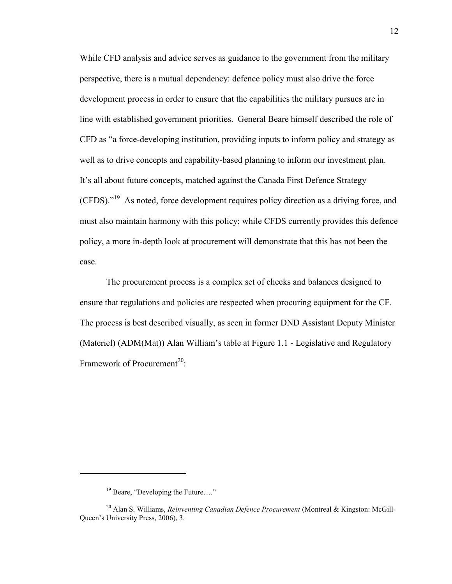While CFD analysis and advice serves as guidance to the government from the military perspective, there is a mutual dependency: defence policy must also drive the force development process in order to ensure that the capabilities the military pursues are in line with established government priorities. General Beare himself described the role of CFD as "a force-developing institution, providing inputs to inform policy and strategy as well as to drive concepts and capability-based planning to inform our investment plan. It's all about future concepts, matched against the Canada First Defence Strategy (CFDS)."<sup>19</sup> As noted, force development requires policy direction as a driving force, and must also maintain harmony with this policy; while CFDS currently provides this defence policy, a more in-depth look at procurement will demonstrate that this has not been the case.

 The procurement process is a complex set of checks and balances designed to ensure that regulations and policies are respected when procuring equipment for the CF. The process is best described visually, as seen in former DND Assistant Deputy Minister (Materiel) (ADM(Mat)) Alan William's table at Figure 1.1 - Legislative and Regulatory Framework of Procurement<sup>20</sup>:

<sup>&</sup>lt;sup>19</sup> Beare, "Developing the Future...."

<sup>20</sup> Alan S. Williams, *Reinventing Canadian Defence Procurement* (Montreal & Kingston: McGill-Queen's University Press, 2006), 3.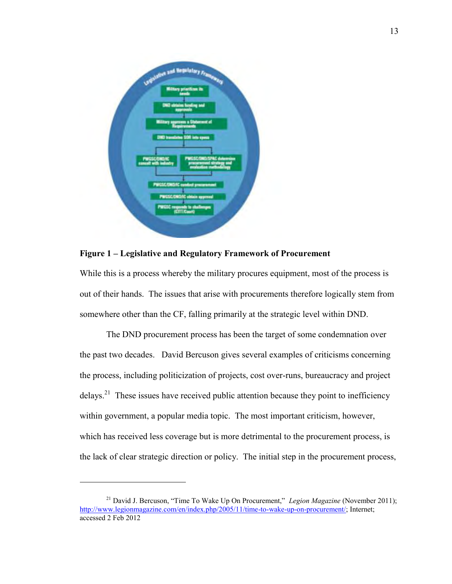

**Figure 1 – Legislative and Regulatory Framework of Procurement** 

While this is a process whereby the military procures equipment, most of the process is out of their hands. The issues that arise with procurements therefore logically stem from somewhere other than the CF, falling primarily at the strategic level within DND.

 The DND procurement process has been the target of some condemnation over the past two decades. David Bercuson gives several examples of criticisms concerning the process, including politicization of projects, cost over-runs, bureaucracy and project delays.<sup>21</sup> These issues have received public attention because they point to inefficiency within government, a popular media topic. The most important criticism, however, which has received less coverage but is more detrimental to the procurement process, is the lack of clear strategic direction or policy. The initial step in the procurement process,

<sup>&</sup>lt;sup>21</sup> David J. Bercuson, "Time To Wake Up On Procurement," *Legion Magazine* (November 2011); [http://www.legionmagazine.com/en/index.php/2005/11/time-to-wake-up-on-procurement/;](http://www.legionmagazine.com/en/index.php/2005/11/time-to-wake-up-on-procurement/) Internet; accessed 2 Feb 2012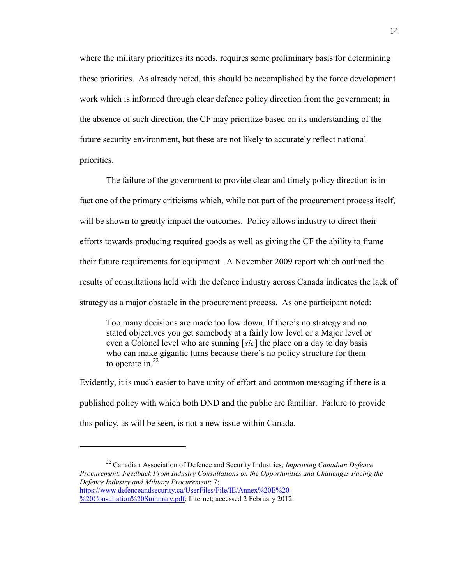where the military prioritizes its needs, requires some preliminary basis for determining these priorities. As already noted, this should be accomplished by the force development work which is informed through clear defence policy direction from the government; in the absence of such direction, the CF may prioritize based on its understanding of the future security environment, but these are not likely to accurately reflect national priorities.

 The failure of the government to provide clear and timely policy direction is in fact one of the primary criticisms which, while not part of the procurement process itself, will be shown to greatly impact the outcomes. Policy allows industry to direct their efforts towards producing required goods as well as giving the CF the ability to frame their future requirements for equipment. A November 2009 report which outlined the results of consultations held with the defence industry across Canada indicates the lack of strategy as a major obstacle in the procurement process. As one participant noted:

Too many decisions are made too low down. If there's no strategy and no stated objectives you get somebody at a fairly low level or a Major level or even a Colonel level who are sunning [*sic*] the place on a day to day basis who can make gigantic turns because there's no policy structure for them to operate in. $22$ 

Evidently, it is much easier to have unity of effort and common messaging if there is a published policy with which both DND and the public are familiar. Failure to provide this policy, as will be seen, is not a new issue within Canada.

<sup>22</sup> Canadian Association of Defence and Security Industries, *Improving Canadian Defence Procurement: Feedback From Industry Consultations on the Opportunities and Challenges Facing the Defence Industry and Military Procurement*: 7; [https://www.defenceandsecurity.ca/UserFiles/File/IE/Annex%20E%20-](https://www.defenceandsecurity.ca/UserFiles/File/IE/Annex%20E%20-%20Consultation%20Summary.pdf)

[<sup>%20</sup>Consultation%20Summary.pdf;](https://www.defenceandsecurity.ca/UserFiles/File/IE/Annex%20E%20-%20Consultation%20Summary.pdf) Internet; accessed 2 February 2012.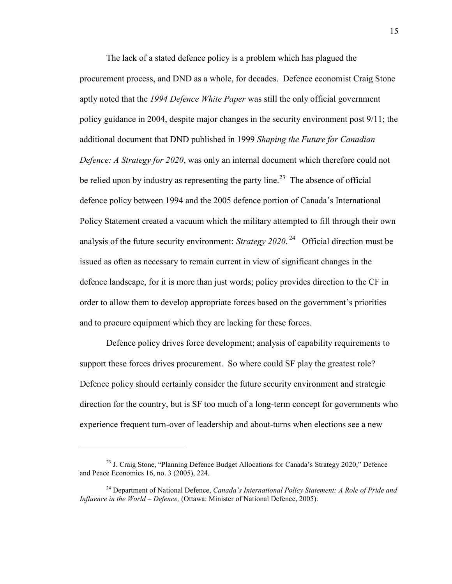The lack of a stated defence policy is a problem which has plagued the procurement process, and DND as a whole, for decades. Defence economist Craig Stone aptly noted that the *1994 Defence White Paper* was still the only official government policy guidance in 2004, despite major changes in the security environment post 9/11; the additional document that DND published in 1999 *Shaping the Future for Canadian Defence: A Strategy for 2020*, was only an internal document which therefore could not be relied upon by industry as representing the party line.<sup>23</sup> The absence of official defence policy between 1994 and the 2005 defence portion of Canada's International Policy Statement created a vacuum which the military attempted to fill through their own analysis of the future security environment: *Strategy 2020*. 24 Official direction must be issued as often as necessary to remain current in view of significant changes in the defence landscape, for it is more than just words; policy provides direction to the CF in order to allow them to develop appropriate forces based on the government's priorities and to procure equipment which they are lacking for these forces.

 Defence policy drives force development; analysis of capability requirements to support these forces drives procurement. So where could SF play the greatest role? Defence policy should certainly consider the future security environment and strategic direction for the country, but is SF too much of a long-term concept for governments who experience frequent turn-over of leadership and about-turns when elections see a new

 $^{23}$  J. Craig Stone, "Planning Defence Budget Allocations for Canada's Strategy 2020," Defence and Peace Economics 16, no. 3 (2005), 224.

<sup>24</sup> Department of National Defence, *Canada's International Policy Statement: A Role of Pride and Influence in the World – Defence,* (Ottawa: Minister of National Defence, 2005).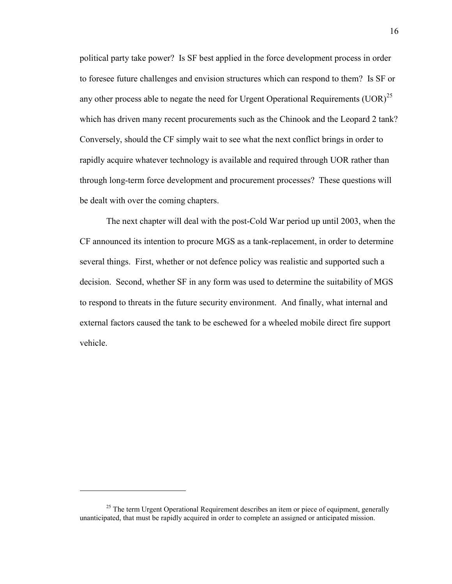political party take power? Is SF best applied in the force development process in order to foresee future challenges and envision structures which can respond to them? Is SF or any other process able to negate the need for Urgent Operational Requirements  $(UOR)^{25}$ which has driven many recent procurements such as the Chinook and the Leopard 2 tank? Conversely, should the CF simply wait to see what the next conflict brings in order to rapidly acquire whatever technology is available and required through UOR rather than through long-term force development and procurement processes? These questions will be dealt with over the coming chapters.

 The next chapter will deal with the post-Cold War period up until 2003, when the CF announced its intention to procure MGS as a tank-replacement, in order to determine several things. First, whether or not defence policy was realistic and supported such a decision. Second, whether SF in any form was used to determine the suitability of MGS to respond to threats in the future security environment. And finally, what internal and external factors caused the tank to be eschewed for a wheeled mobile direct fire support vehicle.

<sup>&</sup>lt;sup>25</sup> The term Urgent Operational Requirement describes an item or piece of equipment, generally unanticipated, that must be rapidly acquired in order to complete an assigned or anticipated mission.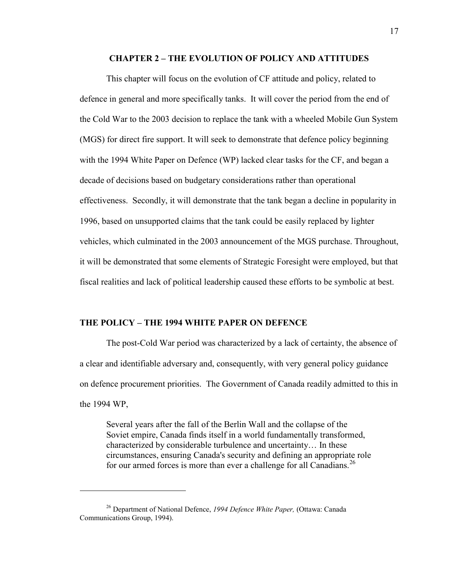#### **CHAPTER 2 – THE EVOLUTION OF POLICY AND ATTITUDES**

 This chapter will focus on the evolution of CF attitude and policy, related to defence in general and more specifically tanks. It will cover the period from the end of the Cold War to the 2003 decision to replace the tank with a wheeled Mobile Gun System (MGS) for direct fire support. It will seek to demonstrate that defence policy beginning with the 1994 White Paper on Defence (WP) lacked clear tasks for the CF, and began a decade of decisions based on budgetary considerations rather than operational effectiveness. Secondly, it will demonstrate that the tank began a decline in popularity in 1996, based on unsupported claims that the tank could be easily replaced by lighter vehicles, which culminated in the 2003 announcement of the MGS purchase. Throughout, it will be demonstrated that some elements of Strategic Foresight were employed, but that fiscal realities and lack of political leadership caused these efforts to be symbolic at best.

#### **THE POLICY – THE 1994 WHITE PAPER ON DEFENCE**

The post-Cold War period was characterized by a lack of certainty, the absence of a clear and identifiable adversary and, consequently, with very general policy guidance on defence procurement priorities. The Government of Canada readily admitted to this in the 1994 WP,

Several years after the fall of the Berlin Wall and the collapse of the Soviet empire, Canada finds itself in a world fundamentally transformed, characterized by considerable turbulence and uncertainty… In these circumstances, ensuring Canada's security and defining an appropriate role for our armed forces is more than ever a challenge for all Canadians.<sup>26</sup>

<sup>26</sup> Department of National Defence, *1994 Defence White Paper,* (Ottawa: Canada Communications Group, 1994).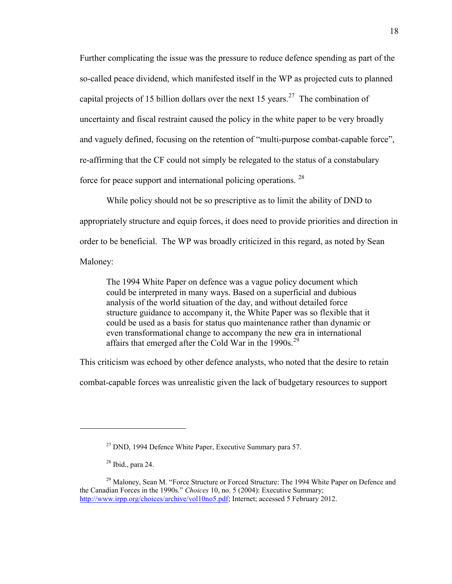Further complicating the issue was the pressure to reduce defence spending as part of the so-called peace dividend, which manifested itself in the WP as projected cuts to planned capital projects of 15 billion dollars over the next 15 years.<sup>27</sup> The combination of uncertainty and fiscal restraint caused the policy in the white paper to be very broadly and vaguely defined, focusing on the retention of "multi-purpose combat-capable force", re-affirming that the CF could not simply be relegated to the status of a constabulary force for peace support and international policing operations. <sup>28</sup>

While policy should not be so prescriptive as to limit the ability of DND to appropriately structure and equip forces, it does need to provide priorities and direction in order to be beneficial. The WP was broadly criticized in this regard, as noted by Sean Maloney:

The 1994 White Paper on defence was a vague policy document which could be interpreted in many ways. Based on a superficial and dubious analysis of the world situation of the day, and without detailed force structure guidance to accompany it, the White Paper was so flexible that it could be used as a basis for status quo maintenance rather than dynamic or even transformational change to accompany the new era in international affairs that emerged after the Cold War in the 1990s.<sup>29</sup>

This criticism was echoed by other defence analysts, who noted that the desire to retain

combat-capable forces was unrealistic given the lack of budgetary resources to support

 $27$  DND, 1994 Defence White Paper, Executive Summary para 57.

 $28$  Ibid., para 24.

 $29$  Maloney, Sean M. "Force Structure or Forced Structure: The 1994 White Paper on Defence and the Canadian Forces in the 1990s." *Choices* 10, no. 5 (2004): Executive Summary; [http://www.irpp.org/choices/archive/vol10no5.pdf;](http://www.irpp.org/choices/archive/vol10no5.pdf) Internet; accessed 5 February 2012.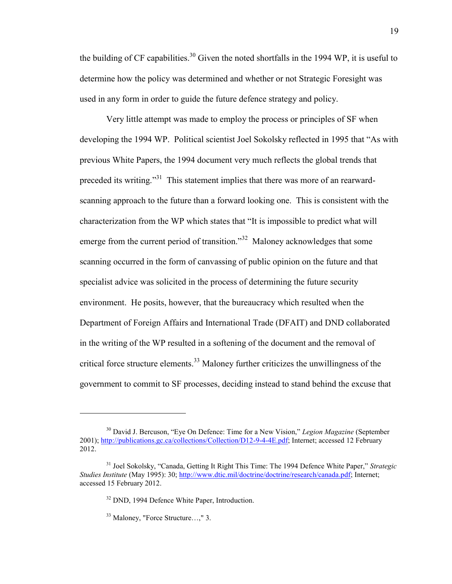the building of CF capabilities.<sup>30</sup> Given the noted shortfalls in the 1994 WP, it is useful to determine how the policy was determined and whether or not Strategic Foresight was used in any form in order to guide the future defence strategy and policy.

 Very little attempt was made to employ the process or principles of SF when developing the 1994 WP. Political scientist Joel Sokolsky reflected in 1995 that "As with previous White Papers, the 1994 document very much reflects the global trends that preceded its writing."<sup>31</sup> This statement implies that there was more of an rearwardscanning approach to the future than a forward looking one. This is consistent with the characterization from the WP which states that "It is impossible to predict what will emerge from the current period of transition."<sup>32</sup> Maloney acknowledges that some scanning occurred in the form of canvassing of public opinion on the future and that specialist advice was solicited in the process of determining the future security environment. He posits, however, that the bureaucracy which resulted when the Department of Foreign Affairs and International Trade (DFAIT) and DND collaborated in the writing of the WP resulted in a softening of the document and the removal of critical force structure elements.<sup>33</sup> Maloney further criticizes the unwillingness of the government to commit to SF processes, deciding instead to stand behind the excuse that

<sup>30</sup> David J. Bercuson, "Eye On Defence: Time for a New Vision," *Legion Magazine* (September 2001)[; http://publications.gc.ca/collections/Collection/D12-9-4-4E.pdf;](http://publications.gc.ca/collections/Collection/D12-9-4-4E.pdf) Internet; accessed 12 February 2012.

<sup>31</sup> Joel Sokolsky, "Canada, Getting It Right This Time: The 1994 Defence White Paper," *Strategic Studies Institute* (May 1995): 30[; http://www.dtic.mil/doctrine/doctrine/research/canada.pdf;](http://www.dtic.mil/doctrine/doctrine/research/canada.pdf) Internet; accessed 15 February 2012.

<sup>&</sup>lt;sup>32</sup> DND, 1994 Defence White Paper, Introduction.

<sup>33</sup> Maloney, "Force Structure…," 3.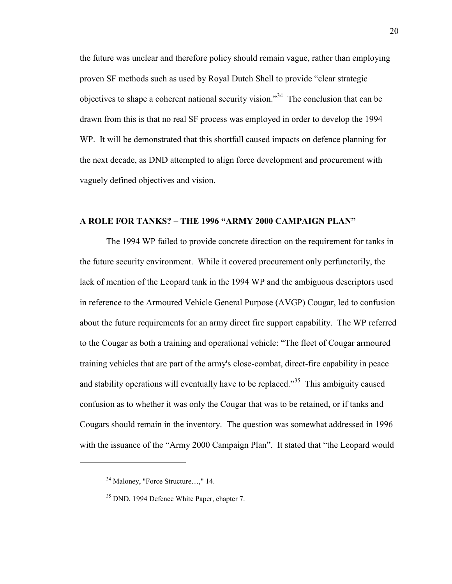the future was unclear and therefore policy should remain vague, rather than employing proven SF methods such as used by Royal Dutch Shell to provide "clear strategic objectives to shape a coherent national security vision.<sup>34</sup> The conclusion that can be drawn from this is that no real SF process was employed in order to develop the 1994 WP. It will be demonstrated that this shortfall caused impacts on defence planning for the next decade, as DND attempted to align force development and procurement with vaguely defined objectives and vision.

#### **A ROLE FOR TANKS? – THE 1996 "ARMY 2000 CAMPAIGN PLAN"**

 The 1994 WP failed to provide concrete direction on the requirement for tanks in the future security environment. While it covered procurement only perfunctorily, the lack of mention of the Leopard tank in the 1994 WP and the ambiguous descriptors used in reference to the Armoured Vehicle General Purpose (AVGP) Cougar, led to confusion about the future requirements for an army direct fire support capability. The WP referred to the Cougar as both a training and operational vehicle: "The fleet of Cougar armoured training vehicles that are part of the army's close-combat, direct-fire capability in peace and stability operations will eventually have to be replaced.<sup>35</sup> This ambiguity caused confusion as to whether it was only the Cougar that was to be retained, or if tanks and Cougars should remain in the inventory. The question was somewhat addressed in 1996 with the issuance of the "Army 2000 Campaign Plan". It stated that "the Leopard would

<sup>&</sup>lt;sup>34</sup> Maloney, "Force Structure...." 14.

<sup>&</sup>lt;sup>35</sup> DND, 1994 Defence White Paper, chapter 7.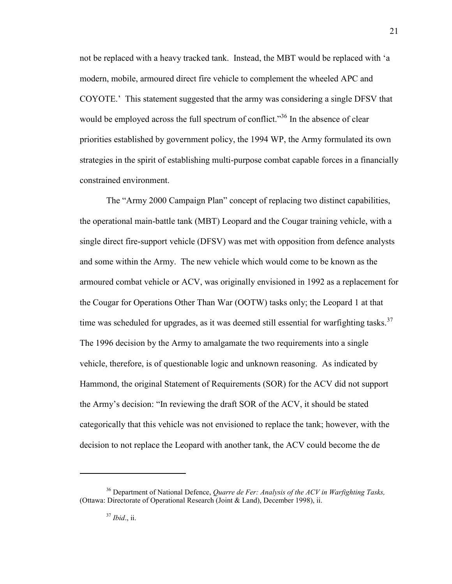not be replaced with a heavy tracked tank. Instead, the MBT would be replaced with 'a modern, mobile, armoured direct fire vehicle to complement the wheeled APC and COYOTE.' This statement suggested that the army was considering a single DFSV that would be employed across the full spectrum of conflict."<sup>36</sup> In the absence of clear priorities established by government policy, the 1994 WP, the Army formulated its own strategies in the spirit of establishing multi-purpose combat capable forces in a financially constrained environment.

 The "Army 2000 Campaign Plan" concept of replacing two distinct capabilities, the operational main-battle tank (MBT) Leopard and the Cougar training vehicle, with a single direct fire-support vehicle (DFSV) was met with opposition from defence analysts and some within the Army. The new vehicle which would come to be known as the armoured combat vehicle or ACV, was originally envisioned in 1992 as a replacement for the Cougar for Operations Other Than War (OOTW) tasks only; the Leopard 1 at that time was scheduled for upgrades, as it was deemed still essential for warfighting tasks.<sup>37</sup> The 1996 decision by the Army to amalgamate the two requirements into a single vehicle, therefore, is of questionable logic and unknown reasoning. As indicated by Hammond, the original Statement of Requirements (SOR) for the ACV did not support the Army's decision: "In reviewing the draft SOR of the ACV, it should be stated categorically that this vehicle was not envisioned to replace the tank; however, with the decision to not replace the Leopard with another tank, the ACV could become the de

<sup>36</sup> Department of National Defence, *Quarre de Fer: Analysis of the ACV in Warfighting Tasks,*  (Ottawa: Directorate of Operational Research (Joint & Land), December 1998), ii.

<sup>37</sup> *Ibid*., ii.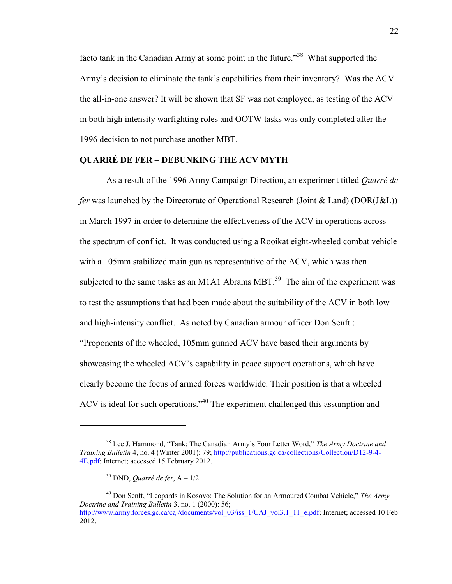facto tank in the Canadian Army at some point in the future."<sup>38</sup> What supported the Army's decision to eliminate the tank's capabilities from their inventory? Was the ACV the all-in-one answer? It will be shown that SF was not employed, as testing of the ACV in both high intensity warfighting roles and OOTW tasks was only completed after the 1996 decision to not purchase another MBT.

#### **QUARRÉ DE FER – DEBUNKING THE ACV MYTH**

As a result of the 1996 Army Campaign Direction, an experiment titled *Quarré de fer* was launched by the Directorate of Operational Research (Joint & Land) (DOR(J&L)) in March 1997 in order to determine the effectiveness of the ACV in operations across the spectrum of conflict. It was conducted using a Rooikat eight-wheeled combat vehicle with a 105mm stabilized main gun as representative of the ACV, which was then subjected to the same tasks as an M1A1 Abrams MBT.<sup>39</sup> The aim of the experiment was to test the assumptions that had been made about the suitability of the ACV in both low and high-intensity conflict. As noted by Canadian armour officer Don Senft : "Proponents of the wheeled, 105mm gunned ACV have based their arguments by showcasing the wheeled ACV's capability in peace support operations, which have clearly become the focus of armed forces worldwide. Their position is that a wheeled ACV is ideal for such operations."<sup>40</sup> The experiment challenged this assumption and

<sup>38</sup> Lee J. Hammond, "Tank: The Canadian Army's Four Letter Word," *The Army Doctrine and Training Bulletin* 4, no. 4 (Winter 2001): 79[; http://publications.gc.ca/collections/Collection/D12-9-4-](http://publications.gc.ca/collections/Collection/D12-9-4-4E.pdf) [4E.pdf;](http://publications.gc.ca/collections/Collection/D12-9-4-4E.pdf) Internet; accessed 15 February 2012.

<sup>39</sup> DND, *Quarré de fer*, A – 1/2.

<sup>40</sup> Don Senft, "Leopards in Kosovo: The Solution for an Armoured Combat Vehicle," *The Army Doctrine and Training Bulletin* 3, no. 1 (2000): 56; [http://www.army.forces.gc.ca/caj/documents/vol\\_03/iss\\_1/CAJ\\_vol3.1\\_11\\_e.pdf;](http://www.army.forces.gc.ca/caj/documents/vol_03/iss_1/CAJ_vol3.1_11_e.pdf) Internet; accessed 10 Feb 2012.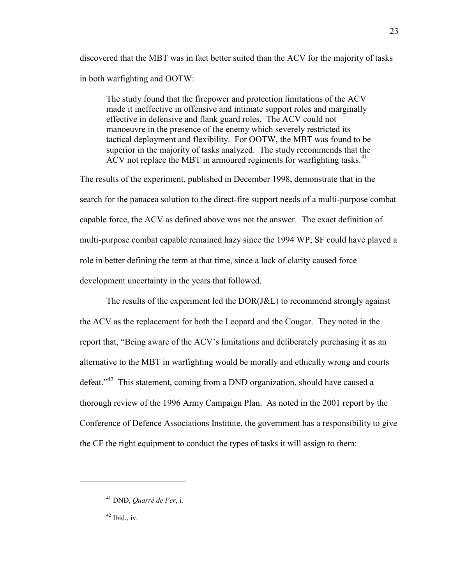discovered that the MBT was in fact better suited than the ACV for the majority of tasks in both warfighting and OOTW:

The study found that the firepower and protection limitations of the ACV made it ineffective in offensive and intimate support roles and marginally effective in defensive and flank guard roles. The ACV could not manoeuvre in the presence of the enemy which severely restricted its tactical deployment and flexibility. For OOTW, the MBT was found to be superior in the majority of tasks analyzed. The study recommends that the ACV not replace the MBT in armoured regiments for warfighting tasks. $41$ 

The results of the experiment, published in December 1998, demonstrate that in the search for the panacea solution to the direct-fire support needs of a multi-purpose combat capable force, the ACV as defined above was not the answer. The exact definition of multi-purpose combat capable remained hazy since the 1994 WP; SF could have played a role in better defining the term at that time, since a lack of clarity caused force development uncertainty in the years that followed.

 The results of the experiment led the DOR(J&L) to recommend strongly against the ACV as the replacement for both the Leopard and the Cougar. They noted in the report that, "Being aware of the ACV's limitations and deliberately purchasing it as an alternative to the MBT in warfighting would be morally and ethically wrong and courts defeat."<sup>42</sup> This statement, coming from a DND organization, should have caused a thorough review of the 1996 Army Campaign Plan. As noted in the 2001 report by the Conference of Defence Associations Institute, the government has a responsibility to give the CF the right equipment to conduct the types of tasks it will assign to them:

<sup>41</sup> DND, *Quarré de Fer*, i.

 $42$  Ibid., iv.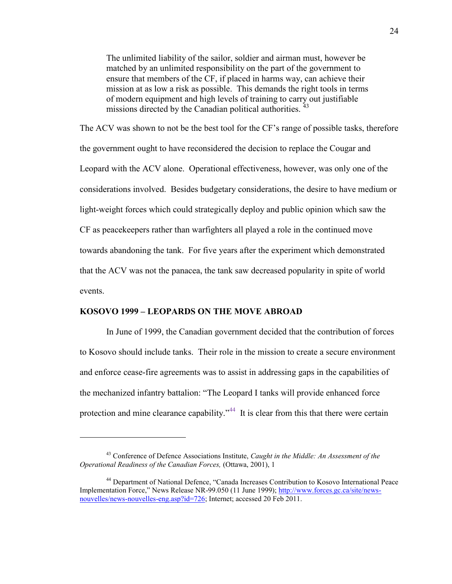The unlimited liability of the sailor, soldier and airman must, however be matched by an unlimited responsibility on the part of the government to ensure that members of the CF, if placed in harms way, can achieve their mission at as low a risk as possible. This demands the right tools in terms of modern equipment and high levels of training to carry out justifiable missions directed by the Canadian political authorities.<sup>43</sup>

The ACV was shown to not be the best tool for the CF's range of possible tasks, therefore the government ought to have reconsidered the decision to replace the Cougar and Leopard with the ACV alone. Operational effectiveness, however, was only one of the considerations involved. Besides budgetary considerations, the desire to have medium or light-weight forces which could strategically deploy and public opinion which saw the CF as peacekeepers rather than warfighters all played a role in the continued move towards abandoning the tank. For five years after the experiment which demonstrated that the ACV was not the panacea, the tank saw decreased popularity in spite of world events.

#### **KOSOVO 1999 – LEOPARDS ON THE MOVE ABROAD**

 $\overline{a}$ 

In June of 1999, the Canadian government decided that the contribution of forces to Kosovo should include tanks. Their role in the mission to create a secure environment and enforce cease-fire agreements was to assist in addressing gaps in the capabilities of the mechanized infantry battalion: "The Leopard I tanks will provide enhanced force protection and mine clearance capability."<sup>44</sup> It is clear from this that there were certain

<sup>43</sup> Conference of Defence Associations Institute, *Caught in the Middle: An Assessment of the Operational Readiness of the Canadian Forces,* (Ottawa, 2001), 1

<sup>44</sup> Department of National Defence, "Canada Increases Contribution to Kosovo International Peace Implementation Force," News Release NR-99.050 (11 June 1999); [http://www.forces.gc.ca/site/news](http://www.forces.gc.ca/site/news-nouvelles/news-nouvelles-eng.asp?id=726)[nouvelles/news-nouvelles-eng.asp?id=726;](http://www.forces.gc.ca/site/news-nouvelles/news-nouvelles-eng.asp?id=726) Internet; accessed 20 Feb 2011.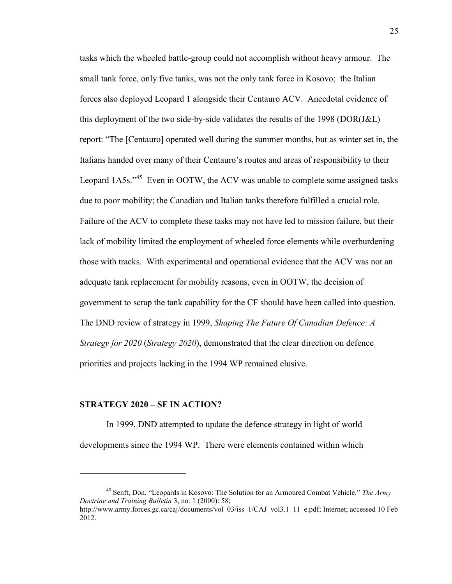tasks which the wheeled battle-group could not accomplish without heavy armour. The small tank force, only five tanks, was not the only tank force in Kosovo; the Italian forces also deployed Leopard 1 alongside their Centauro ACV. Anecdotal evidence of this deployment of the two side-by-side validates the results of the 1998 (DOR(J&L) report: "The [Centauro] operated well during the summer months, but as winter set in, the Italians handed over many of their Centauro's routes and areas of responsibility to their Leopard 1A5s."<sup>45</sup> Even in OOTW, the ACV was unable to complete some assigned tasks due to poor mobility; the Canadian and Italian tanks therefore fulfilled a crucial role. Failure of the ACV to complete these tasks may not have led to mission failure, but their lack of mobility limited the employment of wheeled force elements while overburdening those with tracks. With experimental and operational evidence that the ACV was not an adequate tank replacement for mobility reasons, even in OOTW, the decision of government to scrap the tank capability for the CF should have been called into question. The DND review of strategy in 1999, *Shaping The Future Of Canadian Defence: A Strategy for 2020* (*Strategy 2020*), demonstrated that the clear direction on defence priorities and projects lacking in the 1994 WP remained elusive.

#### **STRATEGY 2020 – SF IN ACTION?**

 $\overline{a}$ 

 In 1999, DND attempted to update the defence strategy in light of world developments since the 1994 WP. There were elements contained within which

<sup>45</sup> Senft, Don. "Leopards in Kosovo: The Solution for an Armoured Combat Vehicle." *The Army Doctrine and Training Bulletin* 3, no. 1 (2000): 58; [http://www.army.forces.gc.ca/caj/documents/vol\\_03/iss\\_1/CAJ\\_vol3.1\\_11\\_e.pdf;](http://www.army.forces.gc.ca/caj/documents/vol_03/iss_1/CAJ_vol3.1_11_e.pdf) Internet; accessed 10 Feb 2012.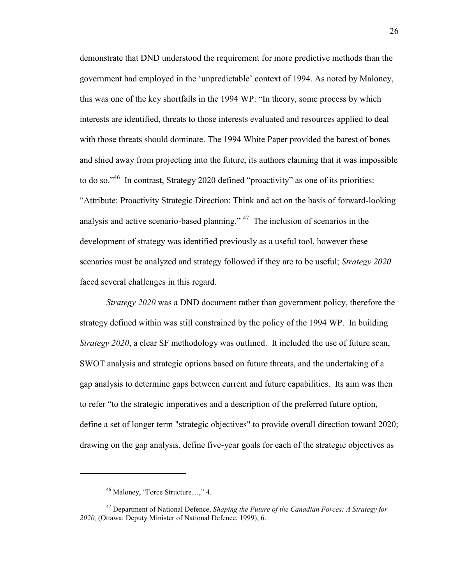demonstrate that DND understood the requirement for more predictive methods than the government had employed in the 'unpredictable' context of 1994. As noted by Maloney, this was one of the key shortfalls in the 1994 WP: "In theory, some process by which interests are identified, threats to those interests evaluated and resources applied to deal with those threats should dominate. The 1994 White Paper provided the barest of bones and shied away from projecting into the future, its authors claiming that it was impossible to do so."<sup>46</sup> In contrast, Strategy 2020 defined "proactivity" as one of its priorities: "Attribute: Proactivity Strategic Direction: Think and act on the basis of forward-looking analysis and active scenario-based planning."<sup>47</sup> The inclusion of scenarios in the development of strategy was identified previously as a useful tool, however these scenarios must be analyzed and strategy followed if they are to be useful; *Strategy 2020* faced several challenges in this regard.

*Strategy 2020* was a DND document rather than government policy, therefore the strategy defined within was still constrained by the policy of the 1994 WP. In building *Strategy 2020*, a clear SF methodology was outlined. It included the use of future scan, SWOT analysis and strategic options based on future threats, and the undertaking of a gap analysis to determine gaps between current and future capabilities. Its aim was then to refer "to the strategic imperatives and a description of the preferred future option, define a set of longer term "strategic objectives" to provide overall direction toward 2020; drawing on the gap analysis, define five-year goals for each of the strategic objectives as

<sup>46</sup> Maloney, "Force Structure…," 4.

<sup>47</sup> Department of National Defence, *Shaping the Future of the Canadian Forces: A Strategy for 2020,* (Ottawa: Deputy Minister of National Defence, 1999), 6.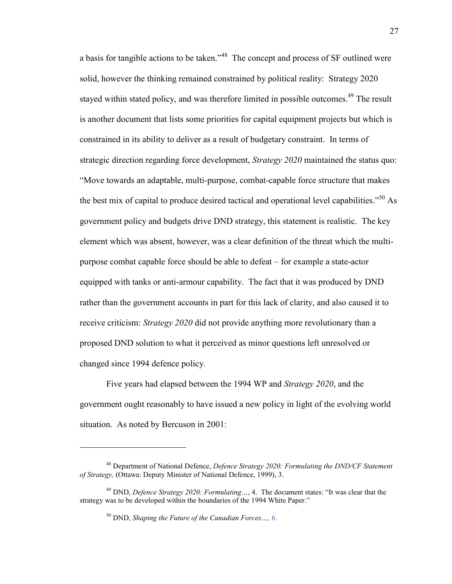a basis for tangible actions to be taken."<sup>48</sup> The concept and process of SF outlined were solid, however the thinking remained constrained by political reality: Strategy 2020 stayed within stated policy, and was therefore limited in possible outcomes.<sup>49</sup> The result is another document that lists some priorities for capital equipment projects but which is constrained in its ability to deliver as a result of budgetary constraint. In terms of strategic direction regarding force development, *Strategy 2020* maintained the status quo: "Move towards an adaptable, multi-purpose, combat-capable force structure that makes the best mix of capital to produce desired tactical and operational level capabilities."<sup>50</sup> As government policy and budgets drive DND strategy, this statement is realistic. The key element which was absent, however, was a clear definition of the threat which the multipurpose combat capable force should be able to defeat – for example a state-actor equipped with tanks or anti-armour capability. The fact that it was produced by DND rather than the government accounts in part for this lack of clarity, and also caused it to receive criticism: *Strategy 2020* did not provide anything more revolutionary than a proposed DND solution to what it perceived as minor questions left unresolved or changed since 1994 defence policy.

 Five years had elapsed between the 1994 WP and *Strategy 2020*, and the government ought reasonably to have issued a new policy in light of the evolving world situation. As noted by Bercuson in 2001:

<sup>48</sup> Department of National Defence, *Defence Strategy 2020: Formulating the DND/CF Statement of Strategy,* (Ottawa: Deputy Minister of National Defence, 1999), 3.

<sup>49</sup> DND, *Defence Strategy 2020: Formulating…*, 4. The document states: "It was clear that the strategy was to be developed within the boundaries of the 1994 White Paper."

<sup>50</sup> DND, *Shaping the Future of the Canadian Forces…,* 6.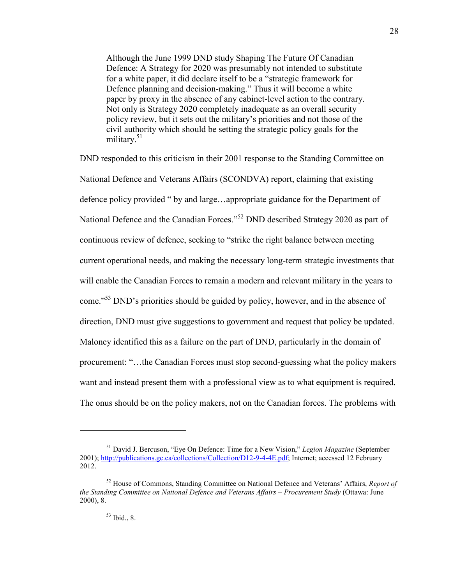Although the June 1999 DND study Shaping The Future Of Canadian Defence: A Strategy for 2020 was presumably not intended to substitute for a white paper, it did declare itself to be a "strategic framework for Defence planning and decision-making." Thus it will become a white paper by proxy in the absence of any cabinet-level action to the contrary. Not only is Strategy 2020 completely inadequate as an overall security policy review, but it sets out the military's priorities and not those of the civil authority which should be setting the strategic policy goals for the military.<sup>51</sup>

DND responded to this criticism in their 2001 response to the Standing Committee on National Defence and Veterans Affairs (SCONDVA) report, claiming that existing defence policy provided " by and large…appropriate guidance for the Department of National Defence and the Canadian Forces."<sup>52</sup> DND described Strategy 2020 as part of continuous review of defence, seeking to "strike the right balance between meeting current operational needs, and making the necessary long-term strategic investments that will enable the Canadian Forces to remain a modern and relevant military in the years to come."<sup>53</sup> DND's priorities should be guided by policy, however, and in the absence of direction, DND must give suggestions to government and request that policy be updated. Maloney identified this as a failure on the part of DND, particularly in the domain of procurement: "…the Canadian Forces must stop second-guessing what the policy makers want and instead present them with a professional view as to what equipment is required. The onus should be on the policy makers, not on the Canadian forces. The problems with

<sup>51</sup> David J. Bercuson, "Eye On Defence: Time for a New Vision," *Legion Magazine* (September 2001)[; http://publications.gc.ca/collections/Collection/D12-9-4-4E.pdf;](http://publications.gc.ca/collections/Collection/D12-9-4-4E.pdf) Internet; accessed 12 February 2012.

<sup>52</sup> House of Commons, Standing Committee on National Defence and Veterans' Affairs, *Report of the Standing Committee on National Defence and Veterans Affairs – Procurement Study* (Ottawa: June 2000), 8.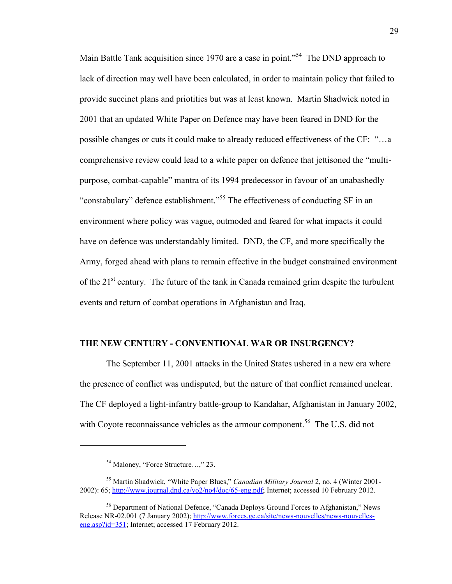Main Battle Tank acquisition since 1970 are a case in point."<sup>54</sup> The DND approach to lack of direction may well have been calculated, in order to maintain policy that failed to provide succinct plans and priotities but was at least known. Martin Shadwick noted in 2001 that an updated White Paper on Defence may have been feared in DND for the possible changes or cuts it could make to already reduced effectiveness of the CF: "…a comprehensive review could lead to a white paper on defence that jettisoned the "multipurpose, combat-capable" mantra of its 1994 predecessor in favour of an unabashedly "constabulary" defence establishment."<sup>55</sup> The effectiveness of conducting SF in an environment where policy was vague, outmoded and feared for what impacts it could have on defence was understandably limited. DND, the CF, and more specifically the Army, forged ahead with plans to remain effective in the budget constrained environment of the  $21<sup>st</sup>$  century. The future of the tank in Canada remained grim despite the turbulent events and return of combat operations in Afghanistan and Iraq.

### **THE NEW CENTURY - CONVENTIONAL WAR OR INSURGENCY?**

The September 11, 2001 attacks in the United States ushered in a new era where the presence of conflict was undisputed, but the nature of that conflict remained unclear. The CF deployed a light-infantry battle-group to Kandahar, Afghanistan in January 2002, with Coyote reconnaissance vehicles as the armour component.<sup>56</sup> The U.S. did not

<sup>54</sup> Maloney, "Force Structure…," 23.

<sup>55</sup> Martin Shadwick, "White Paper Blues," *Canadian Military Journal* 2, no. 4 (Winter 2001- 2002): 65; [http://www.journal.dnd.ca/vo2/no4/doc/65-eng.pdf;](http://www.journal.dnd.ca/vo2/no4/doc/65-eng.pdf) Internet; accessed 10 February 2012.

<sup>56</sup> Department of National Defence, "Canada Deploys Ground Forces to Afghanistan," News Release NR-02.001 (7 January 2002); [http://www.forces.gc.ca/site/news-nouvelles/news-nouvelles](http://www.forces.gc.ca/site/news-nouvelles/news-nouvelles-eng.asp?id=351)[eng.asp?id=351;](http://www.forces.gc.ca/site/news-nouvelles/news-nouvelles-eng.asp?id=351) Internet; accessed 17 February 2012.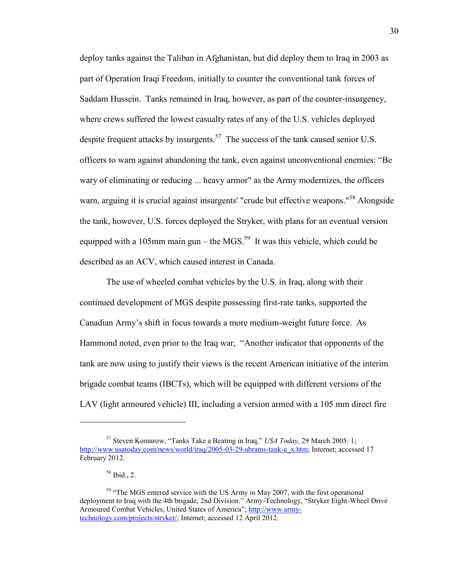deploy tanks against the Taliban in Afghanistan, but did deploy them to Iraq in 2003 as part of Operation Iraqi Freedom, initially to counter the conventional tank forces of Saddam Hussein. Tanks remained in Iraq, however, as part of the counter-insurgency, where crews suffered the lowest casualty rates of any of the U.S. vehicles deployed despite frequent attacks by insurgents.<sup>57</sup> The success of the tank caused senior U.S. officers to warn against abandoning the tank, even against unconventional enemies: "Be wary of eliminating or reducing ... heavy armor" as the Army modernizes, the officers warn, arguing it is crucial against insurgents' "crude but effective weapons."<sup>58</sup> Alongside the tank, however, U.S. forces deployed the Stryker, with plans for an eventual version equipped with a 105mm main gun – the MGS.<sup>59</sup> It was this vehicle, which could be described as an ACV, which caused interest in Canada.

 The use of wheeled combat vehicles by the U.S. in Iraq, along with their continued development of MGS despite possessing first-rate tanks, supported the Canadian Army's shift in focus towards a more medium-weight future force. As Hammond noted, even prior to the Iraq war, "Another indicator that opponents of the tank are now using to justify their views is the recent American initiative of the interim brigade combat teams (IBCTs), which will be equipped with different versions of the LAV (light armoured vehicle) III, including a version armed with a 105 mm direct fire

<sup>57</sup> Steven Komarow, "Tanks Take a Beating in Iraq," *USA Today*, 29 March 2005: 1; [http://www.usatoday.com/news/world/iraq/2005-03-29-abrams-tank-a\\_x.htm;](http://www.usatoday.com/news/world/iraq/2005-03-29-abrams-tank-a_x.htm) Internet; accessed 17 February 2012.

<sup>58</sup> Ibid., 2.

<sup>&</sup>lt;sup>59</sup> "The MGS entered service with the US Army in May 2007, with the first operational deployment to Iraq with the 4th brigade, 2nd Division." Army-Technology, "Stryker Eight-Wheel Drive Armoured Combat Vehicles, United States of America"; [http://www.army](http://www.army-technology.com/projects/stryker/)[technology.com/projects/stryker/;](http://www.army-technology.com/projects/stryker/) Internet; accessed 12 April 2012.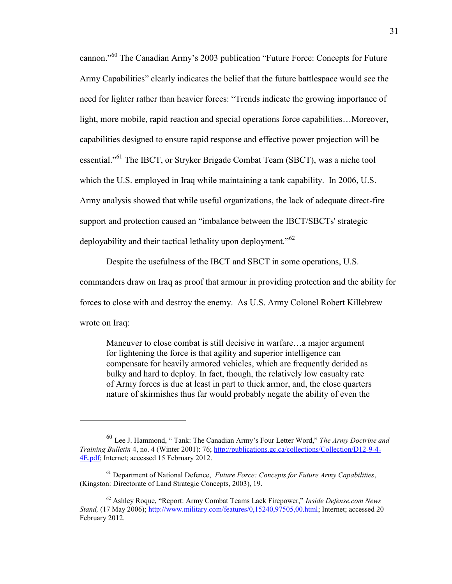cannon."<sup>60</sup> The Canadian Army's 2003 publication "Future Force: Concepts for Future Army Capabilities" clearly indicates the belief that the future battlespace would see the need for lighter rather than heavier forces: "Trends indicate the growing importance of light, more mobile, rapid reaction and special operations force capabilities…Moreover, capabilities designed to ensure rapid response and effective power projection will be essential."<sup>61</sup> The IBCT, or Stryker Brigade Combat Team (SBCT), was a niche tool which the U.S. employed in Iraq while maintaining a tank capability. In 2006, U.S. Army analysis showed that while useful organizations, the lack of adequate direct-fire support and protection caused an "imbalance between the IBCT/SBCTs' strategic deployability and their tactical lethality upon deployment."<sup>62</sup>

Despite the usefulness of the IBCT and SBCT in some operations, U.S.

commanders draw on Iraq as proof that armour in providing protection and the ability for

forces to close with and destroy the enemy. As U.S. Army Colonel Robert Killebrew

wrote on Iraq:

 $\overline{a}$ 

Maneuver to close combat is still decisive in warfare…a major argument for lightening the force is that agility and superior intelligence can compensate for heavily armored vehicles, which are frequently derided as bulky and hard to deploy. In fact, though, the relatively low casualty rate of Army forces is due at least in part to thick armor, and, the close quarters nature of skirmishes thus far would probably negate the ability of even the

<sup>60</sup> Lee J. Hammond, " Tank: The Canadian Army's Four Letter Word," *The Army Doctrine and Training Bulletin* 4, no. 4 (Winter 2001): 76[; http://publications.gc.ca/collections/Collection/D12-9-4-](http://publications.gc.ca/collections/Collection/D12-9-4-4E.pdf) [4E.pdf;](http://publications.gc.ca/collections/Collection/D12-9-4-4E.pdf) Internet; accessed 15 February 2012.

<sup>61</sup> Department of National Defence, *Future Force: Concepts for Future Army Capabilities*, (Kingston: Directorate of Land Strategic Concepts, 2003), 19.

<sup>62</sup> Ashley Roque, "Report: Army Combat Teams Lack Firepower," *Inside Defense.com News Stand,* (17 May 2006); [http://www.military.com/features/0,15240,97505,00.html;](http://www.military.com/features/0,15240,97505,00.html) Internet; accessed 20 February 2012.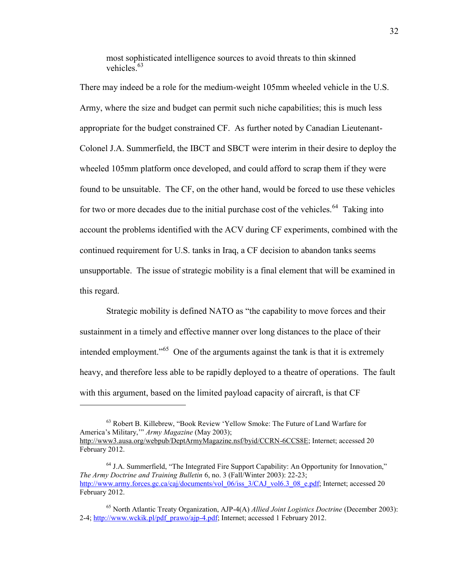most sophisticated intelligence sources to avoid threats to thin skinned vehicles.<sup>63</sup>

There may indeed be a role for the medium-weight 105mm wheeled vehicle in the U.S. Army, where the size and budget can permit such niche capabilities; this is much less appropriate for the budget constrained CF. As further noted by Canadian Lieutenant-Colonel J.A. Summerfield, the IBCT and SBCT were interim in their desire to deploy the wheeled 105mm platform once developed, and could afford to scrap them if they were found to be unsuitable. The CF, on the other hand, would be forced to use these vehicles for two or more decades due to the initial purchase cost of the vehicles.<sup>64</sup> Taking into account the problems identified with the ACV during CF experiments, combined with the continued requirement for U.S. tanks in Iraq, a CF decision to abandon tanks seems unsupportable. The issue of strategic mobility is a final element that will be examined in this regard.

 Strategic mobility is defined NATO as "the capability to move forces and their sustainment in a timely and effective manner over long distances to the place of their intended employment."<sup>65</sup> One of the arguments against the tank is that it is extremely heavy, and therefore less able to be rapidly deployed to a theatre of operations. The fault with this argument, based on the limited payload capacity of aircraft, is that CF

<sup>63</sup> Robert B. Killebrew, "Book Review 'Yellow Smoke: The Future of Land Warfare for America's Military,'" *Army Magazine* (May 2003); [http://www3.ausa.org/webpub/DeptArmyMagazine.nsf/byid/CCRN-6CCS8E;](http://www3.ausa.org/webpub/DeptArmyMagazine.nsf/byid/CCRN-6CCS8E) Internet; accessed 20 February 2012.

<sup>64</sup> J.A. Summerfield, "The Integrated Fire Support Capability: An Opportunity for Innovation," *The Army Doctrine and Training Bulletin* 6, no. 3 (Fall/Winter 2003): 22-23; [http://www.army.forces.gc.ca/caj/documents/vol\\_06/iss\\_3/CAJ\\_vol6.3\\_08\\_e.pdf;](http://www.army.forces.gc.ca/caj/documents/vol_06/iss_3/CAJ_vol6.3_08_e.pdf) Internet; accessed 20 February 2012.

<sup>65</sup> North Atlantic Treaty Organization, AJP-4(A) *Allied Joint Logistics Doctrine* (December 2003): 2-4[; http://www.wckik.pl/pdf\\_prawo/ajp-4.pdf;](http://www.wckik.pl/pdf_prawo/ajp-4.pdf) Internet; accessed 1 February 2012.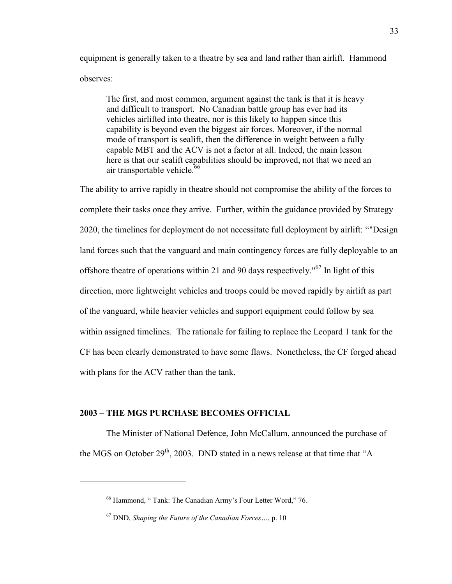equipment is generally taken to a theatre by sea and land rather than airlift. Hammond observes:

The first, and most common, argument against the tank is that it is heavy and difficult to transport. No Canadian battle group has ever had its vehicles airlifted into theatre, nor is this likely to happen since this capability is beyond even the biggest air forces. Moreover, if the normal mode of transport is sealift, then the difference in weight between a fully capable MBT and the ACV is not a factor at all. Indeed, the main lesson here is that our sealift capabilities should be improved, not that we need an air transportable vehicle. $66$ 

The ability to arrive rapidly in theatre should not compromise the ability of the forces to complete their tasks once they arrive. Further, within the guidance provided by Strategy 2020, the timelines for deployment do not necessitate full deployment by airlift: ""Design land forces such that the vanguard and main contingency forces are fully deployable to an offshore theatre of operations within 21 and 90 days respectively." $67$  In light of this direction, more lightweight vehicles and troops could be moved rapidly by airlift as part of the vanguard, while heavier vehicles and support equipment could follow by sea within assigned timelines. The rationale for failing to replace the Leopard 1 tank for the CF has been clearly demonstrated to have some flaws. Nonetheless, the CF forged ahead with plans for the ACV rather than the tank.

## **2003 – THE MGS PURCHASE BECOMES OFFICIAL**

 $\overline{a}$ 

 The Minister of National Defence, John McCallum, announced the purchase of the MGS on October  $29<sup>th</sup>$ , 2003. DND stated in a news release at that time that "A

<sup>66</sup> Hammond, " Tank: The Canadian Army's Four Letter Word," 76.

<sup>67</sup> DND, *Shaping the Future of the Canadian Forces…*, p. 10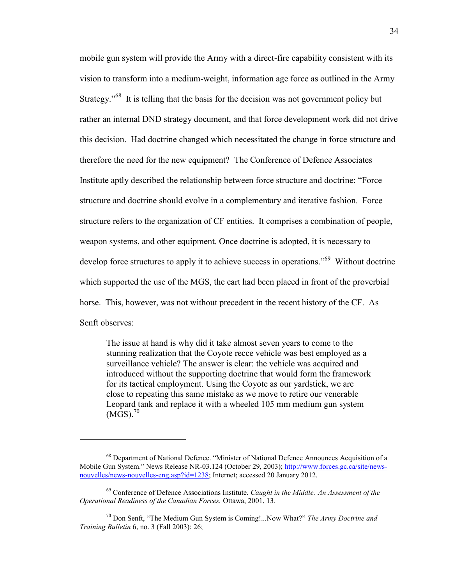mobile gun system will provide the Army with a direct-fire capability consistent with its vision to transform into a medium-weight, information age force as outlined in the Army Strategy."<sup>68</sup> It is telling that the basis for the decision was not government policy but rather an internal DND strategy document, and that force development work did not drive this decision. Had doctrine changed which necessitated the change in force structure and therefore the need for the new equipment? The Conference of Defence Associates Institute aptly described the relationship between force structure and doctrine: "Force structure and doctrine should evolve in a complementary and iterative fashion. Force structure refers to the organization of CF entities. It comprises a combination of people, weapon systems, and other equipment. Once doctrine is adopted, it is necessary to develop force structures to apply it to achieve success in operations."<sup>69</sup> Without doctrine which supported the use of the MGS, the cart had been placed in front of the proverbial horse. This, however, was not without precedent in the recent history of the CF. As Senft observes:

The issue at hand is why did it take almost seven years to come to the stunning realization that the Coyote recce vehicle was best employed as a surveillance vehicle? The answer is clear: the vehicle was acquired and introduced without the supporting doctrine that would form the framework for its tactical employment. Using the Coyote as our yardstick, we are close to repeating this same mistake as we move to retire our venerable Leopard tank and replace it with a wheeled 105 mm medium gun system  $(MGS).^{70}$ 

<sup>&</sup>lt;sup>68</sup> Department of National Defence. "Minister of National Defence Announces Acquisition of a Mobile Gun System." News Release NR-03.124 (October 29, 2003)[; http://www.forces.gc.ca/site/news](http://www.forces.gc.ca/site/news-nouvelles/news-nouvelles-eng.asp?id=1238)[nouvelles/news-nouvelles-eng.asp?id=1238;](http://www.forces.gc.ca/site/news-nouvelles/news-nouvelles-eng.asp?id=1238) Internet; accessed 20 January 2012.

<sup>69</sup> Conference of Defence Associations Institute. *Caught in the Middle: An Assessment of the Operational Readiness of the Canadian Forces.* Ottawa, 2001, 13.

<sup>70</sup> Don Senft, "The Medium Gun System is Coming!...Now What?" *The Army Doctrine and Training Bulletin* 6, no. 3 (Fall 2003): 26;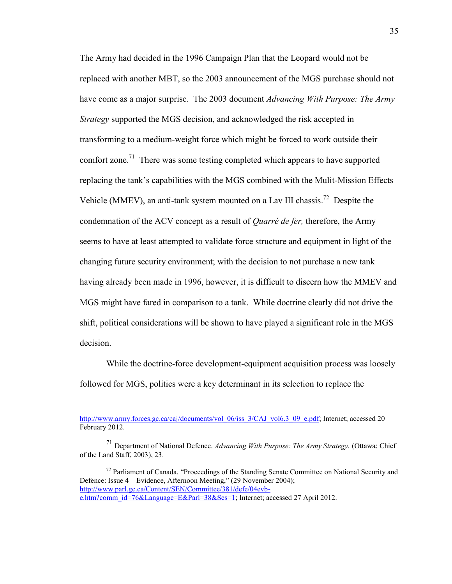The Army had decided in the 1996 Campaign Plan that the Leopard would not be replaced with another MBT, so the 2003 announcement of the MGS purchase should not have come as a major surprise. The 2003 document *Advancing With Purpose: The Army Strategy* supported the MGS decision, and acknowledged the risk accepted in transforming to a medium-weight force which might be forced to work outside their comfort zone.<sup>71</sup> There was some testing completed which appears to have supported replacing the tank's capabilities with the MGS combined with the Mulit-Mission Effects Vehicle (MMEV), an anti-tank system mounted on a Lav III chassis.<sup>72</sup> Despite the condemnation of the ACV concept as a result of *Quarré de fer,* therefore, the Army seems to have at least attempted to validate force structure and equipment in light of the changing future security environment; with the decision to not purchase a new tank having already been made in 1996, however, it is difficult to discern how the MMEV and MGS might have fared in comparison to a tank. While doctrine clearly did not drive the shift, political considerations will be shown to have played a significant role in the MGS decision.

While the doctrine-force development-equipment acquisition process was loosely followed for MGS, politics were a key determinant in its selection to replace the

[http://www.army.forces.gc.ca/caj/documents/vol\\_06/iss\\_3/CAJ\\_vol6.3\\_09\\_e.pdf;](http://www.army.forces.gc.ca/caj/documents/vol_06/iss_3/CAJ_vol6.3_09_e.pdf) Internet; accessed 20 February 2012.

<sup>71</sup> Department of National Defence. *Advancing With Purpose: The Army Strategy.* (Ottawa: Chief of the Land Staff, 2003), 23.

 $72$  Parliament of Canada. "Proceedings of the Standing Senate Committee on National Security and Defence: Issue 4 – Evidence, Afternoon Meeting," (29 November 2004); [http://www.parl.gc.ca/Content/SEN/Committee/381/defe/04evb](http://www.parl.gc.ca/Content/SEN/Committee/381/defe/04evb-e.htm?comm_id=76&Language=E&Parl=38&Ses=1)[e.htm?comm\\_id=76&Language=E&Parl=38&Ses=1;](http://www.parl.gc.ca/Content/SEN/Committee/381/defe/04evb-e.htm?comm_id=76&Language=E&Parl=38&Ses=1) Internet; accessed 27 April 2012.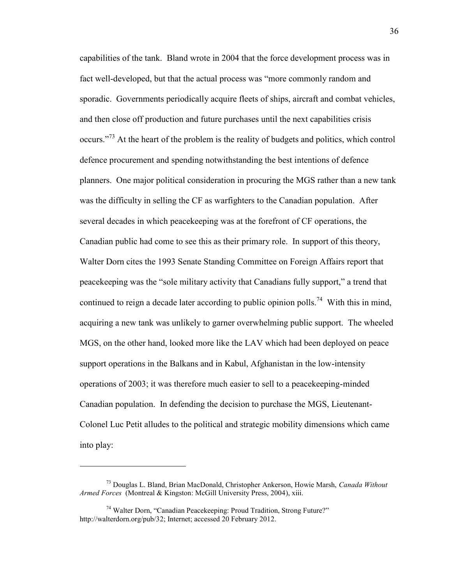capabilities of the tank. Bland wrote in 2004 that the force development process was in fact well-developed, but that the actual process was "more commonly random and sporadic. Governments periodically acquire fleets of ships, aircraft and combat vehicles, and then close off production and future purchases until the next capabilities crisis occurs."<sup>73</sup> At the heart of the problem is the reality of budgets and politics, which control defence procurement and spending notwithstanding the best intentions of defence planners. One major political consideration in procuring the MGS rather than a new tank was the difficulty in selling the CF as warfighters to the Canadian population. After several decades in which peacekeeping was at the forefront of CF operations, the Canadian public had come to see this as their primary role. In support of this theory, Walter Dorn cites the 1993 Senate Standing Committee on Foreign Affairs report that peacekeeping was the "sole military activity that Canadians fully support," a trend that continued to reign a decade later according to public opinion polls.<sup>74</sup> With this in mind, acquiring a new tank was unlikely to garner overwhelming public support. The wheeled MGS, on the other hand, looked more like the LAV which had been deployed on peace support operations in the Balkans and in Kabul, Afghanistan in the low-intensity operations of 2003; it was therefore much easier to sell to a peacekeeping-minded Canadian population. In defending the decision to purchase the MGS, Lieutenant-Colonel Luc Petit alludes to the political and strategic mobility dimensions which came into play:

<sup>73</sup> Douglas L. Bland, Brian MacDonald, Christopher Ankerson, Howie Marsh, *Canada Without Armed Forces* (Montreal & Kingston: McGill University Press, 2004), xiii.

<sup>74</sup> Walter Dorn, "Canadian Peacekeeping: Proud Tradition, Strong Future?" http://walterdorn.org/pub/32; Internet; accessed 20 February 2012.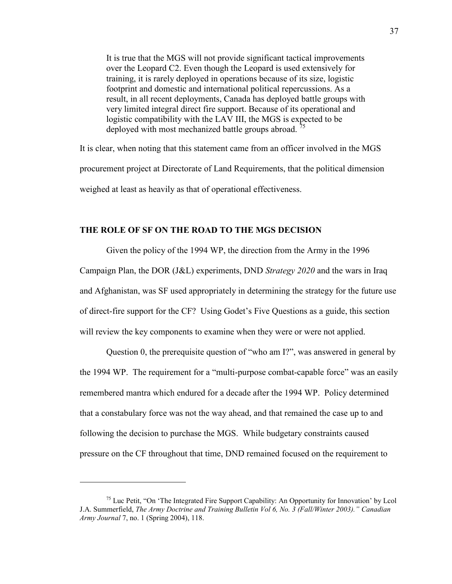It is true that the MGS will not provide significant tactical improvements over the Leopard C2. Even though the Leopard is used extensively for training, it is rarely deployed in operations because of its size, logistic footprint and domestic and international political repercussions. As a result, in all recent deployments, Canada has deployed battle groups with very limited integral direct fire support. Because of its operational and logistic compatibility with the LAV III, the MGS is expected to be deployed with most mechanized battle groups abroad.<sup>75</sup>

It is clear, when noting that this statement came from an officer involved in the MGS procurement project at Directorate of Land Requirements, that the political dimension weighed at least as heavily as that of operational effectiveness.

### **THE ROLE OF SF ON THE ROAD TO THE MGS DECISION**

Given the policy of the 1994 WP, the direction from the Army in the 1996 Campaign Plan, the DOR (J&L) experiments, DND *Strategy 2020* and the wars in Iraq and Afghanistan, was SF used appropriately in determining the strategy for the future use of direct-fire support for the CF? Using Godet's Five Questions as a guide, this section will review the key components to examine when they were or were not applied.

 Question 0, the prerequisite question of "who am I?", was answered in general by the 1994 WP. The requirement for a "multi-purpose combat-capable force" was an easily remembered mantra which endured for a decade after the 1994 WP. Policy determined that a constabulary force was not the way ahead, and that remained the case up to and following the decision to purchase the MGS. While budgetary constraints caused pressure on the CF throughout that time, DND remained focused on the requirement to

<sup>&</sup>lt;sup>75</sup> Luc Petit, "On 'The Integrated Fire Support Capability: An Opportunity for Innovation' by Lcol J.A. Summerfield, *The Army Doctrine and Training Bulletin Vol 6, No. 3 (Fall/Winter 2003)." Canadian Army Journal* 7, no. 1 (Spring 2004), 118.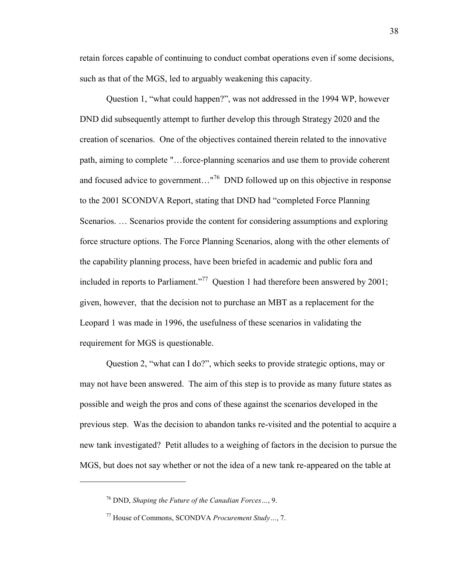retain forces capable of continuing to conduct combat operations even if some decisions, such as that of the MGS, led to arguably weakening this capacity.

 Question 1, "what could happen?", was not addressed in the 1994 WP, however DND did subsequently attempt to further develop this through Strategy 2020 and the creation of scenarios. One of the objectives contained therein related to the innovative path, aiming to complete "…force-planning scenarios and use them to provide coherent and focused advice to government..."<sup>76</sup> DND followed up on this objective in response to the 2001 SCONDVA Report, stating that DND had "completed Force Planning Scenarios. … Scenarios provide the content for considering assumptions and exploring force structure options. The Force Planning Scenarios, along with the other elements of the capability planning process, have been briefed in academic and public fora and included in reports to Parliament."<sup>77</sup> Question 1 had therefore been answered by 2001; given, however, that the decision not to purchase an MBT as a replacement for the Leopard 1 was made in 1996, the usefulness of these scenarios in validating the requirement for MGS is questionable.

 Question 2, "what can I do?", which seeks to provide strategic options, may or may not have been answered. The aim of this step is to provide as many future states as possible and weigh the pros and cons of these against the scenarios developed in the previous step. Was the decision to abandon tanks re-visited and the potential to acquire a new tank investigated? Petit alludes to a weighing of factors in the decision to pursue the MGS, but does not say whether or not the idea of a new tank re-appeared on the table at

<sup>76</sup> DND, *Shaping the Future of the Canadian Forces…*, 9.

<sup>77</sup> House of Commons, SCONDVA *Procurement Study…*, 7.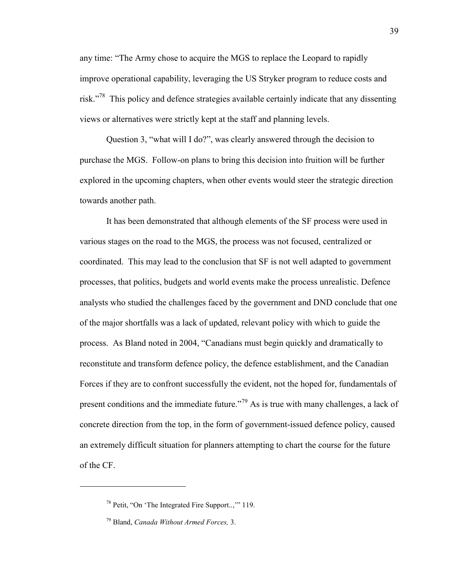any time: "The Army chose to acquire the MGS to replace the Leopard to rapidly improve operational capability, leveraging the US Stryker program to reduce costs and risk."<sup>78</sup> This policy and defence strategies available certainly indicate that any dissenting views or alternatives were strictly kept at the staff and planning levels.

 Question 3, "what will I do?", was clearly answered through the decision to purchase the MGS. Follow-on plans to bring this decision into fruition will be further explored in the upcoming chapters, when other events would steer the strategic direction towards another path.

 It has been demonstrated that although elements of the SF process were used in various stages on the road to the MGS, the process was not focused, centralized or coordinated. This may lead to the conclusion that SF is not well adapted to government processes, that politics, budgets and world events make the process unrealistic. Defence analysts who studied the challenges faced by the government and DND conclude that one of the major shortfalls was a lack of updated, relevant policy with which to guide the process. As Bland noted in 2004, "Canadians must begin quickly and dramatically to reconstitute and transform defence policy, the defence establishment, and the Canadian Forces if they are to confront successfully the evident, not the hoped for, fundamentals of present conditions and the immediate future."<sup>79</sup> As is true with many challenges, a lack of concrete direction from the top, in the form of government-issued defence policy, caused an extremely difficult situation for planners attempting to chart the course for the future of the CF.

<sup>78</sup> Petit, "On 'The Integrated Fire Support..,'" 119.

<sup>79</sup> Bland, *Canada Without Armed Forces,* 3.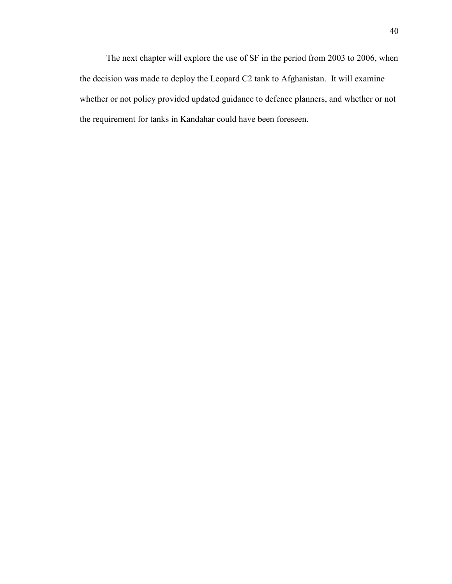The next chapter will explore the use of SF in the period from 2003 to 2006, when the decision was made to deploy the Leopard C2 tank to Afghanistan. It will examine whether or not policy provided updated guidance to defence planners, and whether or not the requirement for tanks in Kandahar could have been foreseen.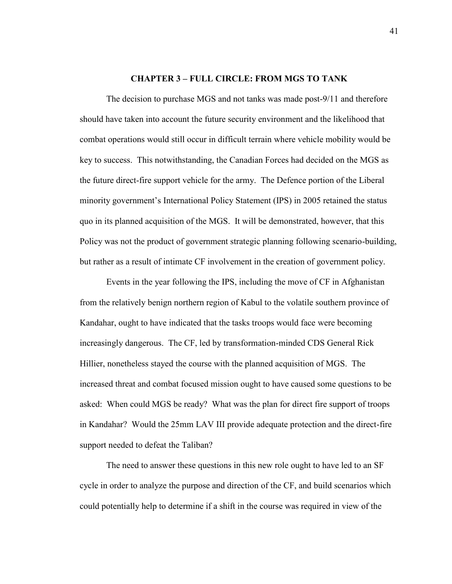#### **CHAPTER 3 – FULL CIRCLE: FROM MGS TO TANK**

The decision to purchase MGS and not tanks was made post-9/11 and therefore should have taken into account the future security environment and the likelihood that combat operations would still occur in difficult terrain where vehicle mobility would be key to success. This notwithstanding, the Canadian Forces had decided on the MGS as the future direct-fire support vehicle for the army. The Defence portion of the Liberal minority government's International Policy Statement (IPS) in 2005 retained the status quo in its planned acquisition of the MGS. It will be demonstrated, however, that this Policy was not the product of government strategic planning following scenario-building, but rather as a result of intimate CF involvement in the creation of government policy.

Events in the year following the IPS, including the move of CF in Afghanistan from the relatively benign northern region of Kabul to the volatile southern province of Kandahar, ought to have indicated that the tasks troops would face were becoming increasingly dangerous. The CF, led by transformation-minded CDS General Rick Hillier, nonetheless stayed the course with the planned acquisition of MGS. The increased threat and combat focused mission ought to have caused some questions to be asked: When could MGS be ready? What was the plan for direct fire support of troops in Kandahar? Would the 25mm LAV III provide adequate protection and the direct-fire support needed to defeat the Taliban?

 The need to answer these questions in this new role ought to have led to an SF cycle in order to analyze the purpose and direction of the CF, and build scenarios which could potentially help to determine if a shift in the course was required in view of the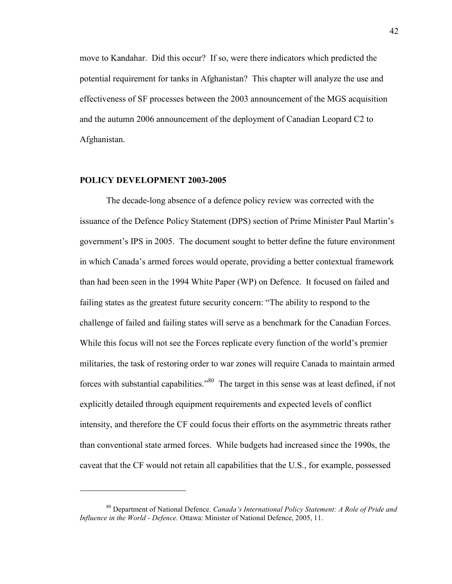move to Kandahar. Did this occur? If so, were there indicators which predicted the potential requirement for tanks in Afghanistan? This chapter will analyze the use and effectiveness of SF processes between the 2003 announcement of the MGS acquisition and the autumn 2006 announcement of the deployment of Canadian Leopard C2 to Afghanistan.

#### **POLICY DEVELOPMENT 2003-2005**

 $\overline{a}$ 

The decade-long absence of a defence policy review was corrected with the issuance of the Defence Policy Statement (DPS) section of Prime Minister Paul Martin's government's IPS in 2005. The document sought to better define the future environment in which Canada's armed forces would operate, providing a better contextual framework than had been seen in the 1994 White Paper (WP) on Defence. It focused on failed and failing states as the greatest future security concern: "The ability to respond to the challenge of failed and failing states will serve as a benchmark for the Canadian Forces. While this focus will not see the Forces replicate every function of the world's premier militaries, the task of restoring order to war zones will require Canada to maintain armed forces with substantial capabilities."<sup>80</sup> The target in this sense was at least defined, if not explicitly detailed through equipment requirements and expected levels of conflict intensity, and therefore the CF could focus their efforts on the asymmetric threats rather than conventional state armed forces. While budgets had increased since the 1990s, the caveat that the CF would not retain all capabilities that the U.S., for example, possessed

<sup>80</sup> Department of National Defence. *Canada's International Policy Statement: A Role of Pride and Influence in the World - Defence.* Ottawa: Minister of National Defence, 2005, 11.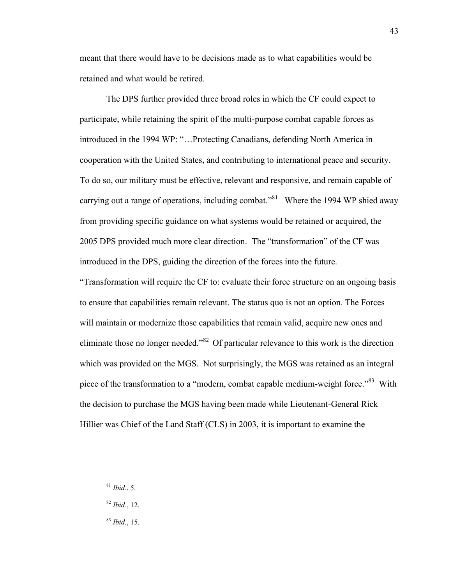meant that there would have to be decisions made as to what capabilities would be retained and what would be retired.

 The DPS further provided three broad roles in which the CF could expect to participate, while retaining the spirit of the multi-purpose combat capable forces as introduced in the 1994 WP: "…Protecting Canadians, defending North America in cooperation with the United States, and contributing to international peace and security. To do so, our military must be effective, relevant and responsive, and remain capable of carrying out a range of operations, including combat."<sup>81</sup> Where the 1994 WP shied away from providing specific guidance on what systems would be retained or acquired, the 2005 DPS provided much more clear direction. The "transformation" of the CF was introduced in the DPS, guiding the direction of the forces into the future.

"Transformation will require the CF to: evaluate their force structure on an ongoing basis to ensure that capabilities remain relevant. The status quo is not an option. The Forces will maintain or modernize those capabilities that remain valid, acquire new ones and eliminate those no longer needed."<sup>82</sup> Of particular relevance to this work is the direction which was provided on the MGS. Not surprisingly, the MGS was retained as an integral piece of the transformation to a "modern, combat capable medium-weight force."<sup>83</sup> With the decision to purchase the MGS having been made while Lieutenant-General Rick Hillier was Chief of the Land Staff (CLS) in 2003, it is important to examine the

<sup>81</sup> *Ibid.*, 5.

- <sup>82</sup> *Ibid.*, 12.
- <sup>83</sup> *Ibid.*, 15.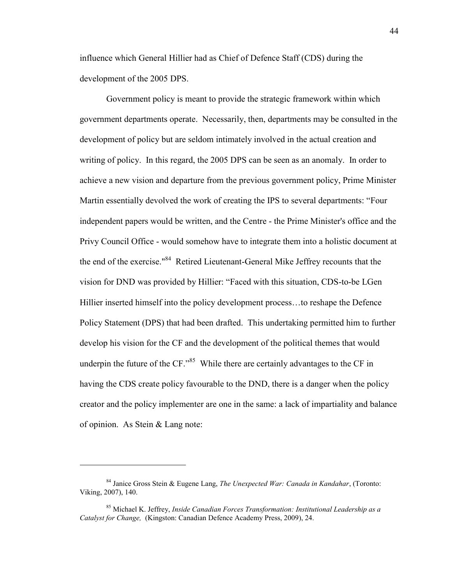influence which General Hillier had as Chief of Defence Staff (CDS) during the development of the 2005 DPS.

 Government policy is meant to provide the strategic framework within which government departments operate. Necessarily, then, departments may be consulted in the development of policy but are seldom intimately involved in the actual creation and writing of policy. In this regard, the 2005 DPS can be seen as an anomaly. In order to achieve a new vision and departure from the previous government policy, Prime Minister Martin essentially devolved the work of creating the IPS to several departments: "Four independent papers would be written, and the Centre - the Prime Minister's office and the Privy Council Office - would somehow have to integrate them into a holistic document at the end of the exercise."<sup>84</sup> Retired Lieutenant-General Mike Jeffrey recounts that the vision for DND was provided by Hillier: "Faced with this situation, CDS-to-be LGen Hillier inserted himself into the policy development process…to reshape the Defence Policy Statement (DPS) that had been drafted. This undertaking permitted him to further develop his vision for the CF and the development of the political themes that would underpin the future of the  $CF.^{0.85}$  While there are certainly advantages to the CF in having the CDS create policy favourable to the DND, there is a danger when the policy creator and the policy implementer are one in the same: a lack of impartiality and balance of opinion. As Stein & Lang note:

<sup>84</sup> Janice Gross Stein & Eugene Lang, *The Unexpected War: Canada in Kandahar*, (Toronto: Viking, 2007), 140.

<sup>85</sup> Michael K. Jeffrey, *Inside Canadian Forces Transformation: Institutional Leadership as a Catalyst for Change,* (Kingston: Canadian Defence Academy Press, 2009), 24.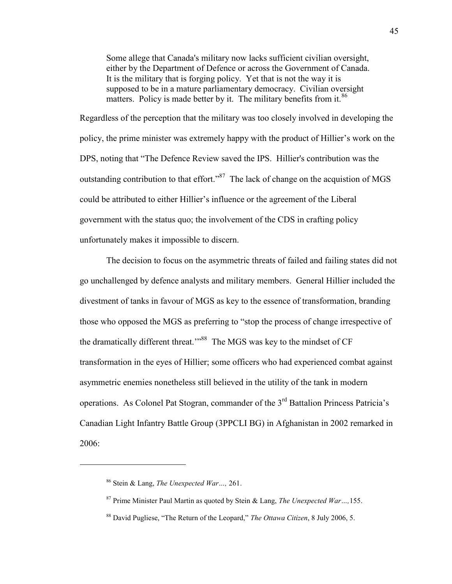Some allege that Canada's military now lacks sufficient civilian oversight, either by the Department of Defence or across the Government of Canada. It is the military that is forging policy. Yet that is not the way it is supposed to be in a mature parliamentary democracy. Civilian oversight matters. Policy is made better by it. The military benefits from it.<sup>86</sup>

Regardless of the perception that the military was too closely involved in developing the policy, the prime minister was extremely happy with the product of Hillier's work on the DPS, noting that "The Defence Review saved the IPS. Hillier's contribution was the outstanding contribution to that effort."<sup>87</sup> The lack of change on the acquistion of MGS could be attributed to either Hillier's influence or the agreement of the Liberal government with the status quo; the involvement of the CDS in crafting policy unfortunately makes it impossible to discern.

 The decision to focus on the asymmetric threats of failed and failing states did not go unchallenged by defence analysts and military members. General Hillier included the divestment of tanks in favour of MGS as key to the essence of transformation, branding those who opposed the MGS as preferring to "stop the process of change irrespective of the dramatically different threat."<sup>88</sup> The MGS was key to the mindset of CF transformation in the eyes of Hillier; some officers who had experienced combat against asymmetric enemies nonetheless still believed in the utility of the tank in modern operations. As Colonel Pat Stogran, commander of the 3<sup>rd</sup> Battalion Princess Patricia's Canadian Light Infantry Battle Group (3PPCLI BG) in Afghanistan in 2002 remarked in 2006:

<sup>86</sup> Stein & Lang, *The Unexpected War…,* 261.

<sup>87</sup> Prime Minister Paul Martin as quoted by Stein & Lang, *The Unexpected War…,*155.

<sup>88</sup> David Pugliese, "The Return of the Leopard," *The Ottawa Citizen*, 8 July 2006, 5.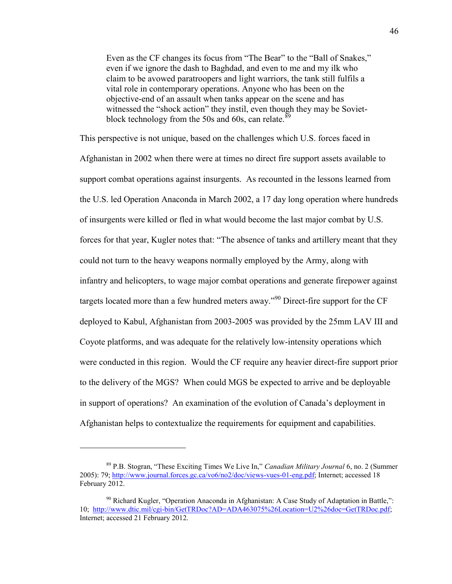Even as the CF changes its focus from "The Bear" to the "Ball of Snakes," even if we ignore the dash to Baghdad, and even to me and my ilk who claim to be avowed paratroopers and light warriors, the tank still fulfils a vital role in contemporary operations. Anyone who has been on the objective-end of an assault when tanks appear on the scene and has witnessed the "shock action" they instil, even though they may be Sovietblock technology from the 50s and 60s, can relate. $89$ 

This perspective is not unique, based on the challenges which U.S. forces faced in Afghanistan in 2002 when there were at times no direct fire support assets available to support combat operations against insurgents. As recounted in the lessons learned from the U.S. led Operation Anaconda in March 2002, a 17 day long operation where hundreds of insurgents were killed or fled in what would become the last major combat by U.S. forces for that year, Kugler notes that: "The absence of tanks and artillery meant that they could not turn to the heavy weapons normally employed by the Army, along with infantry and helicopters, to wage major combat operations and generate firepower against targets located more than a few hundred meters away."<sup>90</sup> Direct-fire support for the CF deployed to Kabul, Afghanistan from 2003-2005 was provided by the 25mm LAV III and Coyote platforms, and was adequate for the relatively low-intensity operations which were conducted in this region. Would the CF require any heavier direct-fire support prior to the delivery of the MGS? When could MGS be expected to arrive and be deployable in support of operations? An examination of the evolution of Canada's deployment in Afghanistan helps to contextualize the requirements for equipment and capabilities.

<sup>89</sup> P.B. Stogran, "These Exciting Times We Live In," *Canadian Military Journal* 6, no. 2 (Summer 2005): 79; [http://www.journal.forces.gc.ca/vo6/no2/doc/views-vues-01-eng.pdf;](http://www.journal.forces.gc.ca/vo6/no2/doc/views-vues-01-eng.pdf) Internet; accessed 18 February 2012.

 $90$  Richard Kugler, "Operation Anaconda in Afghanistan: A Case Study of Adaptation in Battle,": 10; [http://www.dtic.mil/cgi-bin/GetTRDoc?AD=ADA463075%26Location=U2%26doc=GetTRDoc.pdf;](http://www.dtic.mil/cgi-bin/GetTRDoc?AD=ADA463075%26Location=U2%26doc=GetTRDoc.pdf) Internet; accessed 21 February 2012.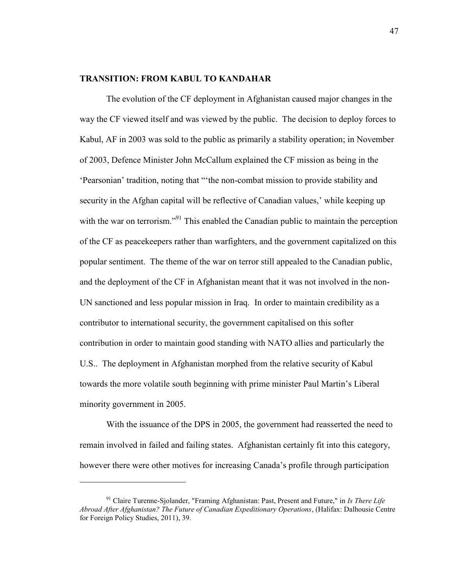## **TRANSITION: FROM KABUL TO KANDAHAR**

 The evolution of the CF deployment in Afghanistan caused major changes in the way the CF viewed itself and was viewed by the public. The decision to deploy forces to Kabul, AF in 2003 was sold to the public as primarily a stability operation; in November of 2003, Defence Minister John McCallum explained the CF mission as being in the 'Pearsonian' tradition, noting that "'the non-combat mission to provide stability and security in the Afghan capital will be reflective of Canadian values,' while keeping up with the war on terrorism."<sup>91</sup> This enabled the Canadian public to maintain the perception of the CF as peacekeepers rather than warfighters, and the government capitalized on this popular sentiment. The theme of the war on terror still appealed to the Canadian public, and the deployment of the CF in Afghanistan meant that it was not involved in the non-UN sanctioned and less popular mission in Iraq. In order to maintain credibility as a contributor to international security, the government capitalised on this softer contribution in order to maintain good standing with NATO allies and particularly the U.S.. The deployment in Afghanistan morphed from the relative security of Kabul towards the more volatile south beginning with prime minister Paul Martin's Liberal minority government in 2005.

 With the issuance of the DPS in 2005, the government had reasserted the need to remain involved in failed and failing states. Afghanistan certainly fit into this category, however there were other motives for increasing Canada's profile through participation

<sup>91</sup> Claire Turenne-Sjolander, "Framing Afghanistan: Past, Present and Future," in *Is There Life Abroad After Afghanistan? The Future of Canadian Expeditionary Operations*, (Halifax: Dalhousie Centre for Foreign Policy Studies, 2011), 39.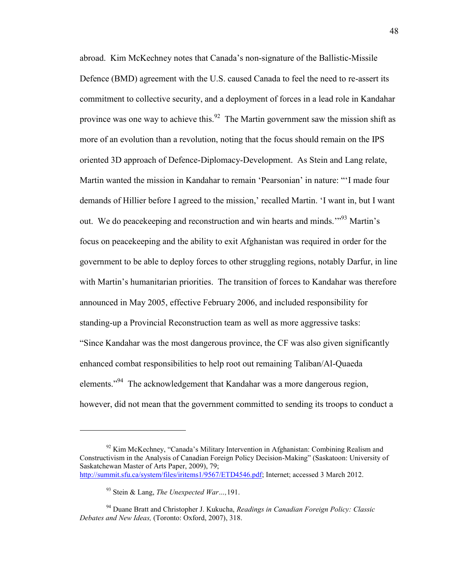abroad. Kim McKechney notes that Canada's non-signature of the Ballistic-Missile Defence (BMD) agreement with the U.S. caused Canada to feel the need to re-assert its commitment to collective security, and a deployment of forces in a lead role in Kandahar province was one way to achieve this. $92$  The Martin government saw the mission shift as more of an evolution than a revolution, noting that the focus should remain on the IPS oriented 3D approach of Defence-Diplomacy-Development. As Stein and Lang relate, Martin wanted the mission in Kandahar to remain 'Pearsonian' in nature: "'I made four demands of Hillier before I agreed to the mission,' recalled Martin. 'I want in, but I want out. We do peacekeeping and reconstruction and win hearts and minds.<sup>'"93</sup> Martin's focus on peacekeeping and the ability to exit Afghanistan was required in order for the government to be able to deploy forces to other struggling regions, notably Darfur, in line with Martin's humanitarian priorities. The transition of forces to Kandahar was therefore announced in May 2005, effective February 2006, and included responsibility for standing-up a Provincial Reconstruction team as well as more aggressive tasks: "Since Kandahar was the most dangerous province, the CF was also given significantly enhanced combat responsibilities to help root out remaining Taliban/Al-Quaeda elements."<sup>94</sup> The acknowledgement that Kandahar was a more dangerous region, however, did not mean that the government committed to sending its troops to conduct a

 $92$  Kim McKechney, "Canada's Military Intervention in Afghanistan: Combining Realism and Constructivism in the Analysis of Canadian Foreign Policy Decision-Making" (Saskatoon: University of Saskatchewan Master of Arts Paper, 2009), 79; [http://summit.sfu.ca/system/files/iritems1/9567/ETD4546.pdf;](http://summit.sfu.ca/system/files/iritems1/9567/ETD4546.pdf) Internet; accessed 3 March 2012.

<sup>93</sup> Stein & Lang, *The Unexpected War…,*191.

<sup>94</sup> Duane Bratt and Christopher J. Kukucha, *Readings in Canadian Foreign Policy: Classic Debates and New Ideas,* (Toronto: Oxford, 2007), 318.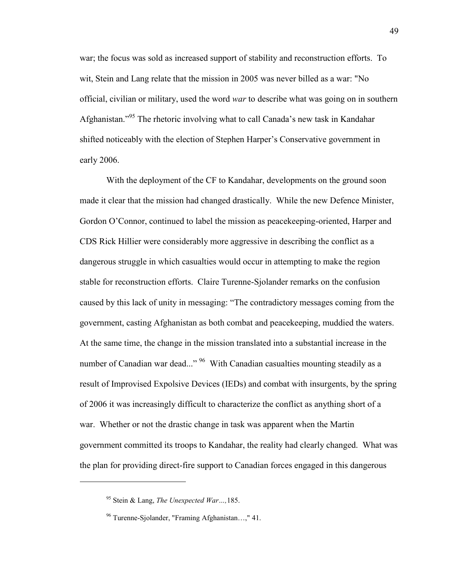war; the focus was sold as increased support of stability and reconstruction efforts. To wit, Stein and Lang relate that the mission in 2005 was never billed as a war: "No official, civilian or military, used the word *war* to describe what was going on in southern Afghanistan."<sup>95</sup> The rhetoric involving what to call Canada's new task in Kandahar shifted noticeably with the election of Stephen Harper's Conservative government in early 2006.

With the deployment of the CF to Kandahar, developments on the ground soon made it clear that the mission had changed drastically. While the new Defence Minister, Gordon O'Connor, continued to label the mission as peacekeeping-oriented, Harper and CDS Rick Hillier were considerably more aggressive in describing the conflict as a dangerous struggle in which casualties would occur in attempting to make the region stable for reconstruction efforts. Claire Turenne-Sjolander remarks on the confusion caused by this lack of unity in messaging: "The contradictory messages coming from the government, casting Afghanistan as both combat and peacekeeping, muddied the waters. At the same time, the change in the mission translated into a substantial increase in the number of Canadian war dead..." <sup>96</sup> With Canadian casualties mounting steadily as a result of Improvised Expolsive Devices (IEDs) and combat with insurgents, by the spring of 2006 it was increasingly difficult to characterize the conflict as anything short of a war. Whether or not the drastic change in task was apparent when the Martin government committed its troops to Kandahar, the reality had clearly changed. What was the plan for providing direct-fire support to Canadian forces engaged in this dangerous

<sup>95</sup> Stein & Lang, *The Unexpected War…,*185.

<sup>96</sup> Turenne-Sjolander, "Framing Afghanistan…," 41.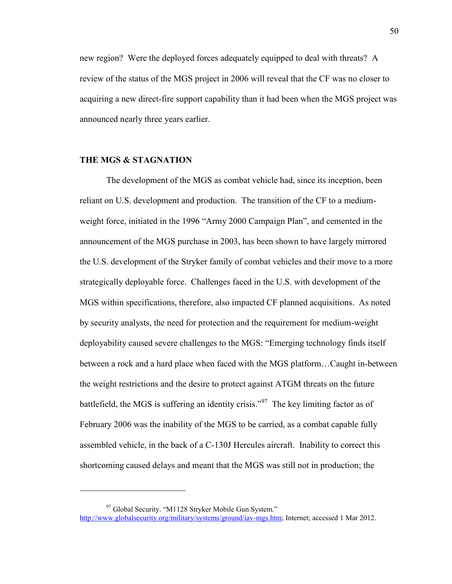new region? Were the deployed forces adequately equipped to deal with threats? A review of the status of the MGS project in 2006 will reveal that the CF was no closer to acquiring a new direct-fire support capability than it had been when the MGS project was announced nearly three years earlier.

## **THE MGS & STAGNATION**

 $\overline{a}$ 

The development of the MGS as combat vehicle had, since its inception, been reliant on U.S. development and production. The transition of the CF to a mediumweight force, initiated in the 1996 "Army 2000 Campaign Plan", and cemented in the announcement of the MGS purchase in 2003, has been shown to have largely mirrored the U.S. development of the Stryker family of combat vehicles and their move to a more strategically deployable force. Challenges faced in the U.S. with development of the MGS within specifications, therefore, also impacted CF planned acquisitions. As noted by security analysts, the need for protection and the requirement for medium-weight deployability caused severe challenges to the MGS: "Emerging technology finds itself between a rock and a hard place when faced with the MGS platform…Caught in-between the weight restrictions and the desire to protect against ATGM threats on the future battlefield, the MGS is suffering an identity crisis."<sup>97</sup> The key limiting factor as of February 2006 was the inability of the MGS to be carried, as a combat capable fully assembled vehicle, in the back of a C-130J Hercules aircraft. Inability to correct this shortcoming caused delays and meant that the MGS was still not in production; the

<sup>&</sup>lt;sup>97</sup> Global Security. "M1128 Stryker Mobile Gun System." [http://www.globalsecurity.org/military/systems/ground/iav-mgs.htm;](http://www.globalsecurity.org/military/systems/ground/iav-mgs.htm) Internet; accessed 1 Mar 2012.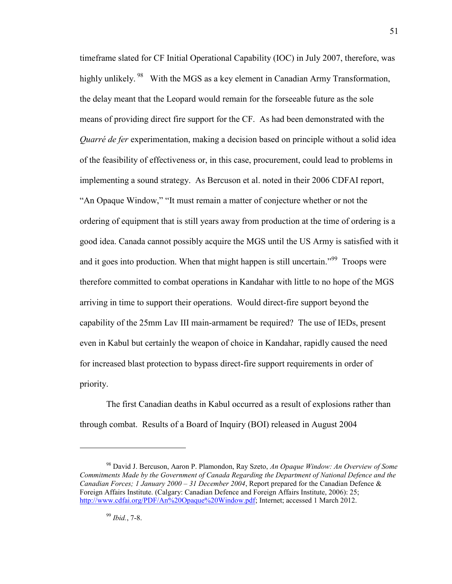timeframe slated for CF Initial Operational Capability (IOC) in July 2007, therefore, was highly unlikely. <sup>98</sup> With the MGS as a key element in Canadian Army Transformation, the delay meant that the Leopard would remain for the forseeable future as the sole means of providing direct fire support for the CF. As had been demonstrated with the *Quarré de fer* experimentation, making a decision based on principle without a solid idea of the feasibility of effectiveness or, in this case, procurement, could lead to problems in implementing a sound strategy. As Bercuson et al. noted in their 2006 CDFAI report, "An Opaque Window," "It must remain a matter of conjecture whether or not the ordering of equipment that is still years away from production at the time of ordering is a good idea. Canada cannot possibly acquire the MGS until the US Army is satisfied with it and it goes into production. When that might happen is still uncertain."<sup>99</sup> Troops were therefore committed to combat operations in Kandahar with little to no hope of the MGS arriving in time to support their operations. Would direct-fire support beyond the capability of the 25mm Lav III main-armament be required? The use of IEDs, present even in Kabul but certainly the weapon of choice in Kandahar, rapidly caused the need for increased blast protection to bypass direct-fire support requirements in order of priority.

 The first Canadian deaths in Kabul occurred as a result of explosions rather than through combat. Results of a Board of Inquiry (BOI) released in August 2004

<sup>98</sup> David J. Bercuson, Aaron P. Plamondon, Ray Szeto, *An Opaque Window: An Overview of Some Commitments Made by the Government of Canada Regarding the Department of National Defence and the Canadian Forces; 1 January 2000 – 31 December 2004*, Report prepared for the Canadian Defence & Foreign Affairs Institute. (Calgary: Canadian Defence and Foreign Affairs Institute, 2006): 25; [http://www.cdfai.org/PDF/An%20Opaque%20Window.pdf;](http://www.cdfai.org/PDF/An%20Opaque%20Window.pdf) Internet; accessed 1 March 2012.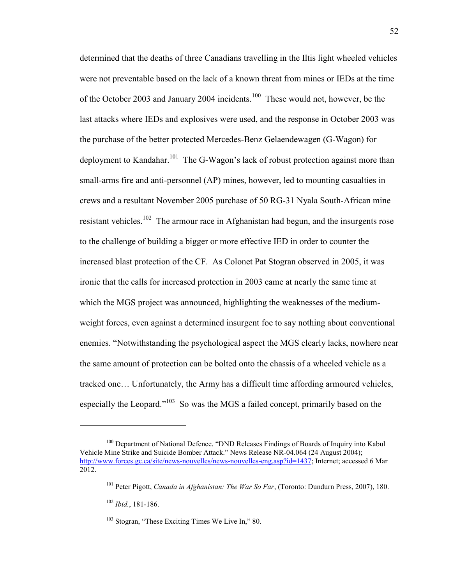determined that the deaths of three Canadians travelling in the Iltis light wheeled vehicles were not preventable based on the lack of a known threat from mines or IEDs at the time of the October 2003 and January 2004 incidents.<sup>100</sup> These would not, however, be the last attacks where IEDs and explosives were used, and the response in October 2003 was the purchase of the better protected Mercedes-Benz Gelaendewagen (G-Wagon) for deployment to Kandahar.<sup>101</sup> The G-Wagon's lack of robust protection against more than small-arms fire and anti-personnel (AP) mines, however, led to mounting casualties in crews and a resultant November 2005 purchase of 50 RG-31 Nyala South-African mine resistant vehicles.<sup>102</sup> The armour race in Afghanistan had begun, and the insurgents rose to the challenge of building a bigger or more effective IED in order to counter the increased blast protection of the CF. As Colonet Pat Stogran observed in 2005, it was ironic that the calls for increased protection in 2003 came at nearly the same time at which the MGS project was announced, highlighting the weaknesses of the mediumweight forces, even against a determined insurgent foe to say nothing about conventional enemies. "Notwithstanding the psychological aspect the MGS clearly lacks, nowhere near the same amount of protection can be bolted onto the chassis of a wheeled vehicle as a tracked one… Unfortunately, the Army has a difficult time affording armoured vehicles, especially the Leopard."<sup>103</sup> So was the MGS a failed concept, primarily based on the

<sup>&</sup>lt;sup>100</sup> Department of National Defence. "DND Releases Findings of Boards of Inquiry into Kabul Vehicle Mine Strike and Suicide Bomber Attack." News Release NR-04.064 (24 August 2004); [http://www.forces.gc.ca/site/news-nouvelles/news-nouvelles-eng.asp?id=1437;](http://www.forces.gc.ca/site/news-nouvelles/news-nouvelles-eng.asp?id=1437) Internet; accessed 6 Mar 2012.

<sup>101</sup> Peter Pigott, *Canada in Afghanistan: The War So Far*, (Toronto: Dundurn Press, 2007), 180. <sup>102</sup> *Ibid.*, 181-186.

<sup>&</sup>lt;sup>103</sup> Stogran, "These Exciting Times We Live In," 80.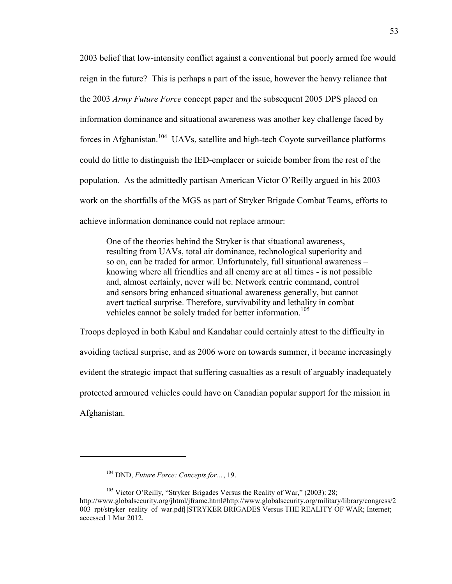2003 belief that low-intensity conflict against a conventional but poorly armed foe would reign in the future? This is perhaps a part of the issue, however the heavy reliance that the 2003 *Army Future Force* concept paper and the subsequent 2005 DPS placed on information dominance and situational awareness was another key challenge faced by forces in Afghanistan.<sup>104</sup> UAVs, satellite and high-tech Coyote surveillance platforms could do little to distinguish the IED-emplacer or suicide bomber from the rest of the population. As the admittedly partisan American Victor O'Reilly argued in his 2003 work on the shortfalls of the MGS as part of Stryker Brigade Combat Teams, efforts to achieve information dominance could not replace armour:

One of the theories behind the Stryker is that situational awareness, resulting from UAVs, total air dominance, technological superiority and so on, can be traded for armor. Unfortunately, full situational awareness – knowing where all friendlies and all enemy are at all times - is not possible and, almost certainly, never will be. Network centric command, control and sensors bring enhanced situational awareness generally, but cannot avert tactical surprise. Therefore, survivability and lethality in combat vehicles cannot be solely traded for better information.<sup>105</sup>

Troops deployed in both Kabul and Kandahar could certainly attest to the difficulty in avoiding tactical surprise, and as 2006 wore on towards summer, it became increasingly evident the strategic impact that suffering casualties as a result of arguably inadequately protected armoured vehicles could have on Canadian popular support for the mission in Afghanistan.

<sup>104</sup> DND, *Future Force: Concepts for…*, 19.

<sup>&</sup>lt;sup>105</sup> Victor O'Reilly, "Stryker Brigades Versus the Reality of War," (2003): 28: http://www.globalsecurity.org/jhtml/jframe.html#http://www.globalsecurity.org/military/library/congress/2 003 rpt/stryker\_reality\_of\_war.pdf||STRYKER BRIGADES Versus THE REALITY OF WAR; Internet; accessed 1 Mar 2012.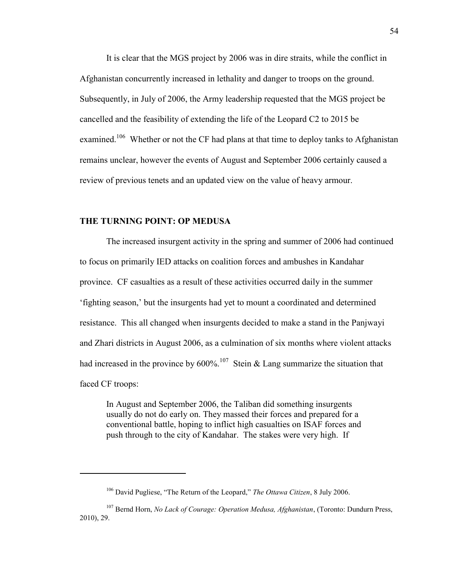It is clear that the MGS project by 2006 was in dire straits, while the conflict in Afghanistan concurrently increased in lethality and danger to troops on the ground. Subsequently, in July of 2006, the Army leadership requested that the MGS project be cancelled and the feasibility of extending the life of the Leopard C2 to 2015 be examined.<sup>106</sup> Whether or not the CF had plans at that time to deploy tanks to Afghanistan remains unclear, however the events of August and September 2006 certainly caused a review of previous tenets and an updated view on the value of heavy armour.

## **THE TURNING POINT: OP MEDUSA**

 $\overline{a}$ 

 The increased insurgent activity in the spring and summer of 2006 had continued to focus on primarily IED attacks on coalition forces and ambushes in Kandahar province. CF casualties as a result of these activities occurred daily in the summer 'fighting season,' but the insurgents had yet to mount a coordinated and determined resistance. This all changed when insurgents decided to make a stand in the Panjwayi and Zhari districts in August 2006, as a culmination of six months where violent attacks had increased in the province by  $600\%$ <sup>107</sup> Stein & Lang summarize the situation that faced CF troops:

In August and September 2006, the Taliban did something insurgents usually do not do early on. They massed their forces and prepared for a conventional battle, hoping to inflict high casualties on ISAF forces and push through to the city of Kandahar. The stakes were very high. If

<sup>106</sup> David Pugliese, "The Return of the Leopard," *The Ottawa Citizen*, 8 July 2006.

<sup>107</sup> Bernd Horn, *No Lack of Courage: Operation Medusa, Afghanistan*, (Toronto: Dundurn Press, 2010), 29.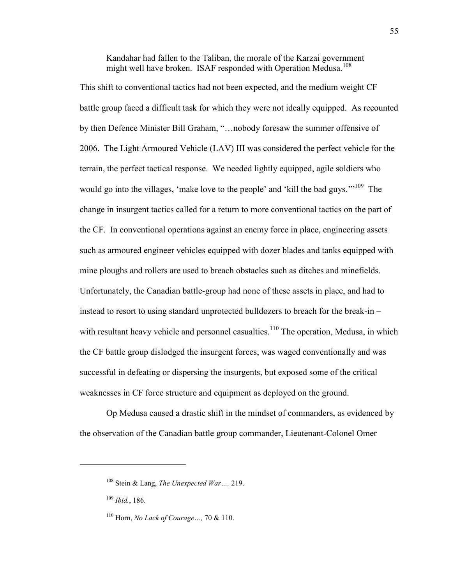Kandahar had fallen to the Taliban, the morale of the Karzai government might well have broken. ISAF responded with Operation Medusa.<sup>108</sup>

This shift to conventional tactics had not been expected, and the medium weight CF battle group faced a difficult task for which they were not ideally equipped. As recounted by then Defence Minister Bill Graham, "…nobody foresaw the summer offensive of 2006. The Light Armoured Vehicle (LAV) III was considered the perfect vehicle for the terrain, the perfect tactical response. We needed lightly equipped, agile soldiers who would go into the villages, 'make love to the people' and 'kill the bad guys.'"<sup>109</sup> The change in insurgent tactics called for a return to more conventional tactics on the part of the CF. In conventional operations against an enemy force in place, engineering assets such as armoured engineer vehicles equipped with dozer blades and tanks equipped with mine ploughs and rollers are used to breach obstacles such as ditches and minefields. Unfortunately, the Canadian battle-group had none of these assets in place, and had to instead to resort to using standard unprotected bulldozers to breach for the break-in – with resultant heavy vehicle and personnel casualties.<sup>110</sup> The operation, Medusa, in which the CF battle group dislodged the insurgent forces, was waged conventionally and was successful in defeating or dispersing the insurgents, but exposed some of the critical weaknesses in CF force structure and equipment as deployed on the ground.

 Op Medusa caused a drastic shift in the mindset of commanders, as evidenced by the observation of the Canadian battle group commander, Lieutenant-Colonel Omer

<sup>108</sup> Stein & Lang, *The Unexpected War…,* 219.

<sup>109</sup> *Ibid.*, 186.

<sup>110</sup> Horn, *No Lack of Courage…,* 70 & 110.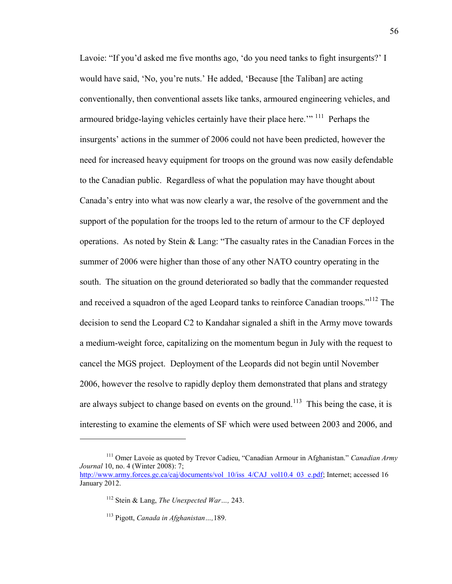Lavoie: "If you'd asked me five months ago, 'do you need tanks to fight insurgents?' I would have said, 'No, you're nuts.' He added, 'Because [the Taliban] are acting conventionally, then conventional assets like tanks, armoured engineering vehicles, and armoured bridge-laying vehicles certainly have their place here.'"<sup>111</sup> Perhaps the insurgents' actions in the summer of 2006 could not have been predicted, however the need for increased heavy equipment for troops on the ground was now easily defendable to the Canadian public. Regardless of what the population may have thought about Canada's entry into what was now clearly a war, the resolve of the government and the support of the population for the troops led to the return of armour to the CF deployed operations. As noted by Stein  $\&$  Lang: "The casualty rates in the Canadian Forces in the summer of 2006 were higher than those of any other NATO country operating in the south. The situation on the ground deteriorated so badly that the commander requested and received a squadron of the aged Leopard tanks to reinforce Canadian troops."<sup>112</sup> The decision to send the Leopard C2 to Kandahar signaled a shift in the Army move towards a medium-weight force, capitalizing on the momentum begun in July with the request to cancel the MGS project. Deployment of the Leopards did not begin until November 2006, however the resolve to rapidly deploy them demonstrated that plans and strategy are always subject to change based on events on the ground.<sup>113</sup> This being the case, it is interesting to examine the elements of SF which were used between 2003 and 2006, and

<sup>111</sup> Omer Lavoie as quoted by Trevor Cadieu, "Canadian Armour in Afghanistan." *Canadian Army Journal* 10, no. 4 (Winter 2008): 7;

[http://www.army.forces.gc.ca/caj/documents/vol\\_10/iss\\_4/CAJ\\_vol10.4\\_03\\_e.pdf;](http://www.army.forces.gc.ca/caj/documents/vol_10/iss_4/CAJ_vol10.4_03_e.pdf) Internet; accessed 16 January 2012.

<sup>112</sup> Stein & Lang, *The Unexpected War…,* 243.

<sup>113</sup> Pigott, *Canada in Afghanistan…,*189.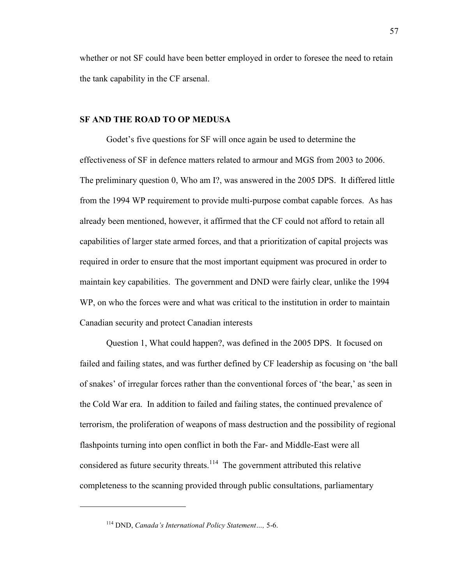whether or not SF could have been better employed in order to foresee the need to retain the tank capability in the CF arsenal.

### **SF AND THE ROAD TO OP MEDUSA**

Godet's five questions for SF will once again be used to determine the effectiveness of SF in defence matters related to armour and MGS from 2003 to 2006. The preliminary question 0, Who am I?, was answered in the 2005 DPS. It differed little from the 1994 WP requirement to provide multi-purpose combat capable forces. As has already been mentioned, however, it affirmed that the CF could not afford to retain all capabilities of larger state armed forces, and that a prioritization of capital projects was required in order to ensure that the most important equipment was procured in order to maintain key capabilities. The government and DND were fairly clear, unlike the 1994 WP, on who the forces were and what was critical to the institution in order to maintain Canadian security and protect Canadian interests

Question 1, What could happen?, was defined in the 2005 DPS. It focused on failed and failing states, and was further defined by CF leadership as focusing on 'the ball of snakes' of irregular forces rather than the conventional forces of 'the bear,' as seen in the Cold War era. In addition to failed and failing states, the continued prevalence of terrorism, the proliferation of weapons of mass destruction and the possibility of regional flashpoints turning into open conflict in both the Far- and Middle-East were all considered as future security threats.<sup>114</sup> The government attributed this relative completeness to the scanning provided through public consultations, parliamentary

<sup>114</sup> DND, *Canada's International Policy Statement…,* 5-6.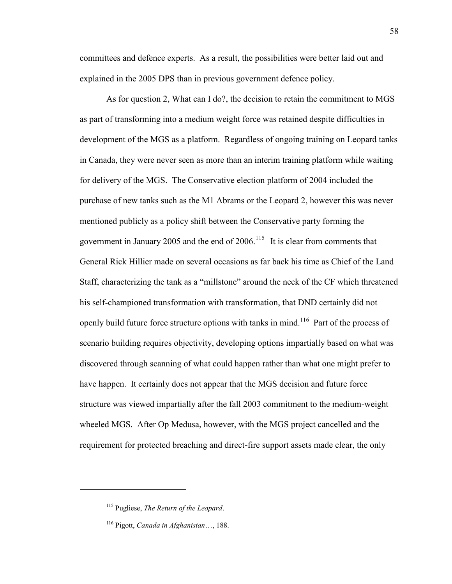committees and defence experts. As a result, the possibilities were better laid out and explained in the 2005 DPS than in previous government defence policy.

As for question 2, What can I do?, the decision to retain the commitment to MGS as part of transforming into a medium weight force was retained despite difficulties in development of the MGS as a platform. Regardless of ongoing training on Leopard tanks in Canada, they were never seen as more than an interim training platform while waiting for delivery of the MGS. The Conservative election platform of 2004 included the purchase of new tanks such as the M1 Abrams or the Leopard 2, however this was never mentioned publicly as a policy shift between the Conservative party forming the government in January 2005 and the end of  $2006$ .<sup>115</sup> It is clear from comments that General Rick Hillier made on several occasions as far back his time as Chief of the Land Staff, characterizing the tank as a "millstone" around the neck of the CF which threatened his self-championed transformation with transformation, that DND certainly did not openly build future force structure options with tanks in mind.<sup>116</sup> Part of the process of scenario building requires objectivity, developing options impartially based on what was discovered through scanning of what could happen rather than what one might prefer to have happen. It certainly does not appear that the MGS decision and future force structure was viewed impartially after the fall 2003 commitment to the medium-weight wheeled MGS. After Op Medusa, however, with the MGS project cancelled and the requirement for protected breaching and direct-fire support assets made clear, the only

<sup>115</sup> Pugliese, *The Return of the Leopard*.

<sup>116</sup> Pigott, *Canada in Afghanistan*…, 188.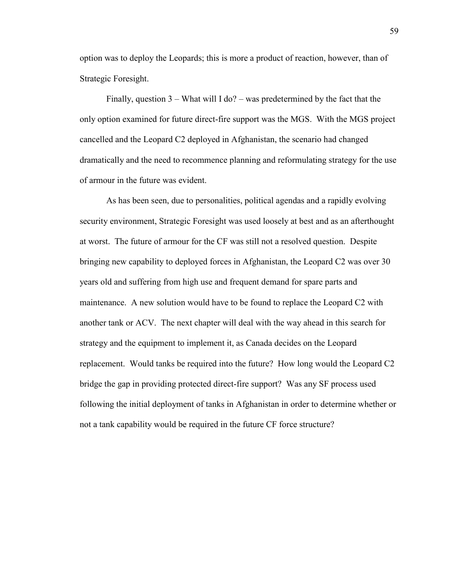option was to deploy the Leopards; this is more a product of reaction, however, than of Strategic Foresight.

 Finally, question 3 – What will I do? – was predetermined by the fact that the only option examined for future direct-fire support was the MGS. With the MGS project cancelled and the Leopard C2 deployed in Afghanistan, the scenario had changed dramatically and the need to recommence planning and reformulating strategy for the use of armour in the future was evident.

 As has been seen, due to personalities, political agendas and a rapidly evolving security environment, Strategic Foresight was used loosely at best and as an afterthought at worst. The future of armour for the CF was still not a resolved question. Despite bringing new capability to deployed forces in Afghanistan, the Leopard C2 was over 30 years old and suffering from high use and frequent demand for spare parts and maintenance. A new solution would have to be found to replace the Leopard C2 with another tank or ACV. The next chapter will deal with the way ahead in this search for strategy and the equipment to implement it, as Canada decides on the Leopard replacement. Would tanks be required into the future? How long would the Leopard C2 bridge the gap in providing protected direct-fire support? Was any SF process used following the initial deployment of tanks in Afghanistan in order to determine whether or not a tank capability would be required in the future CF force structure?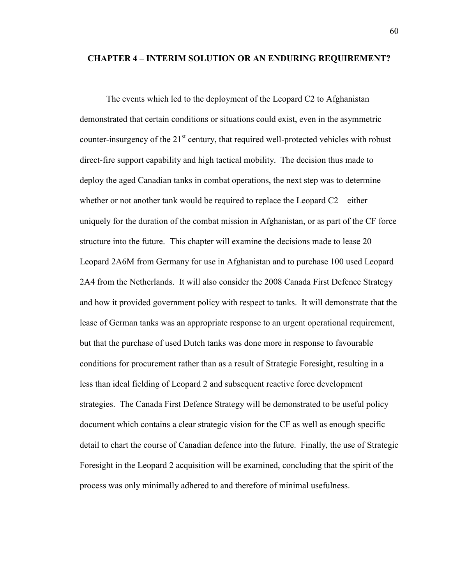### **CHAPTER 4 – INTERIM SOLUTION OR AN ENDURING REQUIREMENT?**

The events which led to the deployment of the Leopard C2 to Afghanistan demonstrated that certain conditions or situations could exist, even in the asymmetric counter-insurgency of the  $21<sup>st</sup>$  century, that required well-protected vehicles with robust direct-fire support capability and high tactical mobility. The decision thus made to deploy the aged Canadian tanks in combat operations, the next step was to determine whether or not another tank would be required to replace the Leopard  $C2$  – either uniquely for the duration of the combat mission in Afghanistan, or as part of the CF force structure into the future. This chapter will examine the decisions made to lease 20 Leopard 2A6M from Germany for use in Afghanistan and to purchase 100 used Leopard 2A4 from the Netherlands. It will also consider the 2008 Canada First Defence Strategy and how it provided government policy with respect to tanks. It will demonstrate that the lease of German tanks was an appropriate response to an urgent operational requirement, but that the purchase of used Dutch tanks was done more in response to favourable conditions for procurement rather than as a result of Strategic Foresight, resulting in a less than ideal fielding of Leopard 2 and subsequent reactive force development strategies. The Canada First Defence Strategy will be demonstrated to be useful policy document which contains a clear strategic vision for the CF as well as enough specific detail to chart the course of Canadian defence into the future. Finally, the use of Strategic Foresight in the Leopard 2 acquisition will be examined, concluding that the spirit of the process was only minimally adhered to and therefore of minimal usefulness.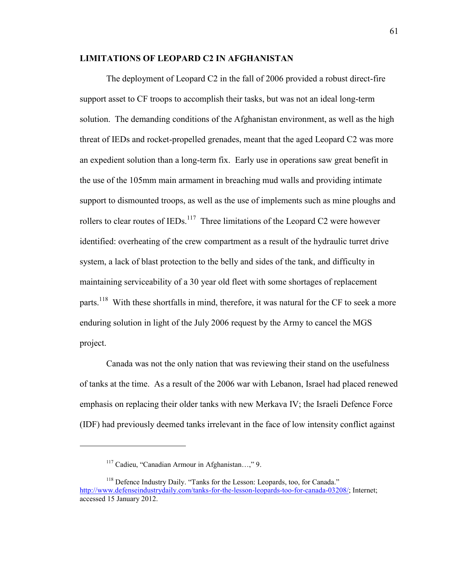## **LIMITATIONS OF LEOPARD C2 IN AFGHANISTAN**

The deployment of Leopard C2 in the fall of 2006 provided a robust direct-fire support asset to CF troops to accomplish their tasks, but was not an ideal long-term solution. The demanding conditions of the Afghanistan environment, as well as the high threat of IEDs and rocket-propelled grenades, meant that the aged Leopard C2 was more an expedient solution than a long-term fix. Early use in operations saw great benefit in the use of the 105mm main armament in breaching mud walls and providing intimate support to dismounted troops, as well as the use of implements such as mine ploughs and rollers to clear routes of IEDs.<sup>117</sup> Three limitations of the Leopard C2 were however identified: overheating of the crew compartment as a result of the hydraulic turret drive system, a lack of blast protection to the belly and sides of the tank, and difficulty in maintaining serviceability of a 30 year old fleet with some shortages of replacement parts.<sup>118</sup> With these shortfalls in mind, therefore, it was natural for the CF to seek a more enduring solution in light of the July 2006 request by the Army to cancel the MGS project.

 Canada was not the only nation that was reviewing their stand on the usefulness of tanks at the time. As a result of the 2006 war with Lebanon, Israel had placed renewed emphasis on replacing their older tanks with new Merkava IV; the Israeli Defence Force (IDF) had previously deemed tanks irrelevant in the face of low intensity conflict against

<sup>117</sup> Cadieu, "Canadian Armour in Afghanistan…," 9.

<sup>&</sup>lt;sup>118</sup> Defence Industry Daily. "Tanks for the Lesson: Leopards, too, for Canada." [http://www.defenseindustrydaily.com/tanks-for-the-lesson-leopards-too-for-canada-03208/;](http://www.defenseindustrydaily.com/tanks-for-the-lesson-leopards-too-for-canada-03208/) Internet; accessed 15 January 2012.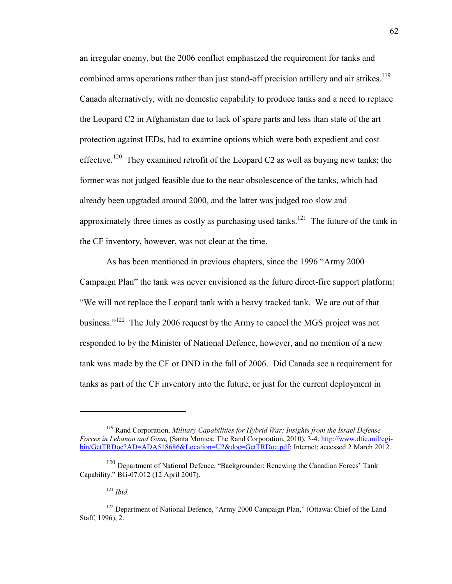an irregular enemy, but the 2006 conflict emphasized the requirement for tanks and combined arms operations rather than just stand-off precision artillery and air strikes.<sup>119</sup> Canada alternatively, with no domestic capability to produce tanks and a need to replace the Leopard C2 in Afghanistan due to lack of spare parts and less than state of the art protection against IEDs, had to examine options which were both expedient and cost effective.<sup>120</sup> They examined retrofit of the Leopard C2 as well as buying new tanks; the former was not judged feasible due to the near obsolescence of the tanks, which had already been upgraded around 2000, and the latter was judged too slow and approximately three times as costly as purchasing used tanks.<sup>121</sup> The future of the tank in the CF inventory, however, was not clear at the time.

As has been mentioned in previous chapters, since the 1996 "Army 2000 Campaign Plan" the tank was never envisioned as the future direct-fire support platform: "We will not replace the Leopard tank with a heavy tracked tank. We are out of that business."<sup>122</sup> The July 2006 request by the Army to cancel the MGS project was not responded to by the Minister of National Defence, however, and no mention of a new tank was made by the CF or DND in the fall of 2006. Did Canada see a requirement for tanks as part of the CF inventory into the future, or just for the current deployment in

<sup>119</sup> Rand Corporation, *Military Capabilities for Hybrid War: Insights from the Israel Defense Forces in Lebanon and Gaza,* (Santa Monica: The Rand Corporation, 2010), 3-4. [http://www.dtic.mil/cgi](http://www.dtic.mil/cgi-bin/GetTRDoc?AD=ADA518686&Location=U2&doc=GetTRDoc.pdf)[bin/GetTRDoc?AD=ADA518686&Location=U2&doc=GetTRDoc.pdf;](http://www.dtic.mil/cgi-bin/GetTRDoc?AD=ADA518686&Location=U2&doc=GetTRDoc.pdf) Internet; accessed 2 March 2012.

<sup>&</sup>lt;sup>120</sup> Department of National Defence. "Backgrounder: Renewing the Canadian Forces' Tank Capability." BG-07.012 (12 April 2007).

<sup>121</sup> *Ibid.*

<sup>&</sup>lt;sup>122</sup> Department of National Defence, "Army 2000 Campaign Plan," (Ottawa: Chief of the Land Staff, 1996), 2.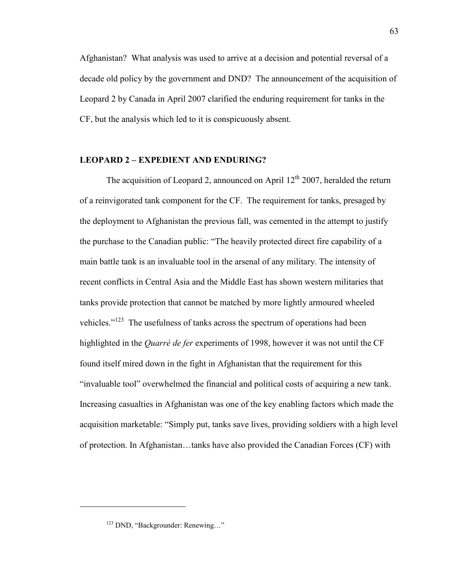Afghanistan? What analysis was used to arrive at a decision and potential reversal of a decade old policy by the government and DND? The announcement of the acquisition of Leopard 2 by Canada in April 2007 clarified the enduring requirement for tanks in the CF, but the analysis which led to it is conspicuously absent.

# **LEOPARD 2 – EXPEDIENT AND ENDURING?**

The acquisition of Leopard 2, announced on April  $12<sup>th</sup> 2007$ , heralded the return of a reinvigorated tank component for the CF. The requirement for tanks, presaged by the deployment to Afghanistan the previous fall, was cemented in the attempt to justify the purchase to the Canadian public: "The heavily protected direct fire capability of a main battle tank is an invaluable tool in the arsenal of any military. The intensity of recent conflicts in Central Asia and the Middle East has shown western militaries that tanks provide protection that cannot be matched by more lightly armoured wheeled vehicles."<sup>123</sup> The usefulness of tanks across the spectrum of operations had been highlighted in the *Quarré de fer* experiments of 1998, however it was not until the CF found itself mired down in the fight in Afghanistan that the requirement for this "invaluable tool" overwhelmed the financial and political costs of acquiring a new tank. Increasing casualties in Afghanistan was one of the key enabling factors which made the acquisition marketable: "Simply put, tanks save lives, providing soldiers with a high level of protection. In Afghanistan…tanks have also provided the Canadian Forces (CF) with

<sup>123</sup> DND, "Backgrounder: Renewing…"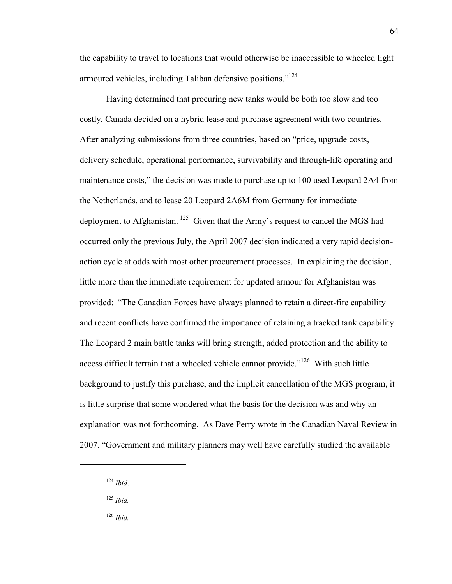the capability to travel to locations that would otherwise be inaccessible to wheeled light armoured vehicles, including Taliban defensive positions."<sup>124</sup>

 Having determined that procuring new tanks would be both too slow and too costly, Canada decided on a hybrid lease and purchase agreement with two countries. After analyzing submissions from three countries, based on "price, upgrade costs, delivery schedule, operational performance, survivability and through-life operating and maintenance costs," the decision was made to purchase up to 100 used Leopard 2A4 from the Netherlands, and to lease 20 Leopard 2A6M from Germany for immediate deployment to Afghanistan.  $125$  Given that the Army's request to cancel the MGS had occurred only the previous July, the April 2007 decision indicated a very rapid decisionaction cycle at odds with most other procurement processes. In explaining the decision, little more than the immediate requirement for updated armour for Afghanistan was provided: "The Canadian Forces have always planned to retain a direct-fire capability and recent conflicts have confirmed the importance of retaining a tracked tank capability. The Leopard 2 main battle tanks will bring strength, added protection and the ability to access difficult terrain that a wheeled vehicle cannot provide."<sup>126</sup> With such little background to justify this purchase, and the implicit cancellation of the MGS program, it is little surprise that some wondered what the basis for the decision was and why an explanation was not forthcoming. As Dave Perry wrote in the Canadian Naval Review in 2007, "Government and military planners may well have carefully studied the available

<sup>124</sup> *Ibid*.

 $\overline{a}$ 

<sup>125</sup> *Ibid.*

<sup>126</sup> *Ibid.*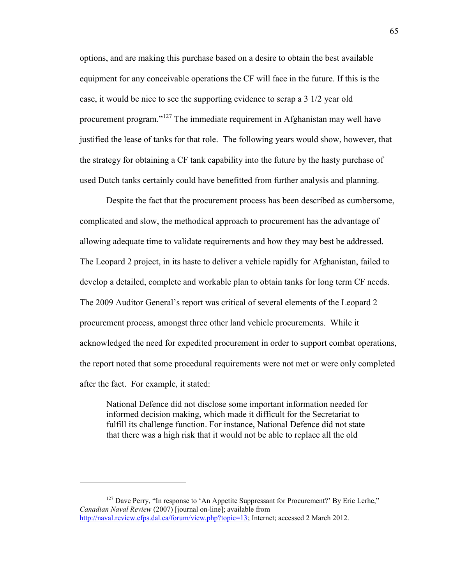options, and are making this purchase based on a desire to obtain the best available equipment for any conceivable operations the CF will face in the future. If this is the case, it would be nice to see the supporting evidence to scrap a 3 1/2 year old procurement program."<sup>127</sup> The immediate requirement in Afghanistan may well have justified the lease of tanks for that role. The following years would show, however, that the strategy for obtaining a CF tank capability into the future by the hasty purchase of used Dutch tanks certainly could have benefitted from further analysis and planning.

 Despite the fact that the procurement process has been described as cumbersome, complicated and slow, the methodical approach to procurement has the advantage of allowing adequate time to validate requirements and how they may best be addressed. The Leopard 2 project, in its haste to deliver a vehicle rapidly for Afghanistan, failed to develop a detailed, complete and workable plan to obtain tanks for long term CF needs. The 2009 Auditor General's report was critical of several elements of the Leopard 2 procurement process, amongst three other land vehicle procurements. While it acknowledged the need for expedited procurement in order to support combat operations, the report noted that some procedural requirements were not met or were only completed after the fact. For example, it stated:

National Defence did not disclose some important information needed for informed decision making, which made it difficult for the Secretariat to fulfill its challenge function. For instance, National Defence did not state that there was a high risk that it would not be able to replace all the old

<sup>&</sup>lt;sup>127</sup> Dave Perry, "In response to 'An Appetite Suppressant for Procurement?' By Eric Lerhe," *Canadian Naval Review* (2007) [journal on-line]; available from [http://naval.review.cfps.dal.ca/forum/view.php?topic=13;](http://naval.review.cfps.dal.ca/forum/view.php?topic=13) Internet; accessed 2 March 2012.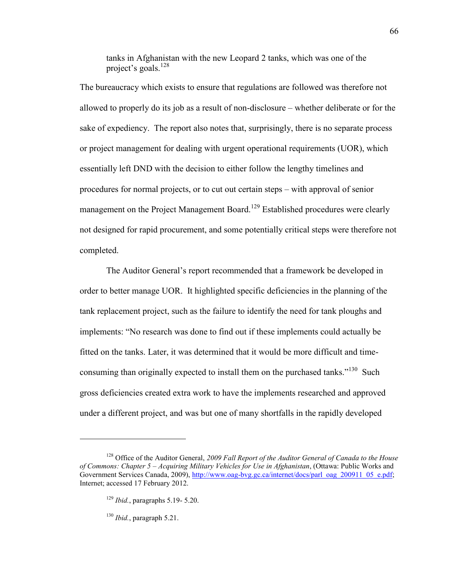tanks in Afghanistan with the new Leopard 2 tanks, which was one of the project's goals.<sup>128</sup>

The bureaucracy which exists to ensure that regulations are followed was therefore not allowed to properly do its job as a result of non-disclosure – whether deliberate or for the sake of expediency. The report also notes that, surprisingly, there is no separate process or project management for dealing with urgent operational requirements (UOR), which essentially left DND with the decision to either follow the lengthy timelines and procedures for normal projects, or to cut out certain steps – with approval of senior management on the Project Management Board.<sup>129</sup> Established procedures were clearly not designed for rapid procurement, and some potentially critical steps were therefore not completed.

 The Auditor General's report recommended that a framework be developed in order to better manage UOR. It highlighted specific deficiencies in the planning of the tank replacement project, such as the failure to identify the need for tank ploughs and implements: "No research was done to find out if these implements could actually be fitted on the tanks. Later, it was determined that it would be more difficult and timeconsuming than originally expected to install them on the purchased tanks."<sup>130</sup> Such gross deficiencies created extra work to have the implements researched and approved under a different project, and was but one of many shortfalls in the rapidly developed

<sup>128</sup> Office of the Auditor General, *2009 Fall Report of the Auditor General of Canada to the House of Commons: Chapter 5 – Acquiring Military Vehicles for Use in Afghanistan*, (Ottawa: Public Works and Government Services Canada, 2009), [http://www.oag-bvg.gc.ca/internet/docs/parl\\_oag\\_200911\\_05\\_e.pdf;](http://www.oag-bvg.gc.ca/internet/docs/parl_oag_200911_05_e.pdf) Internet; accessed 17 February 2012.

<sup>129</sup> *Ibid.*, paragraphs 5.19- 5.20.

<sup>130</sup> *Ibid.*, paragraph 5.21.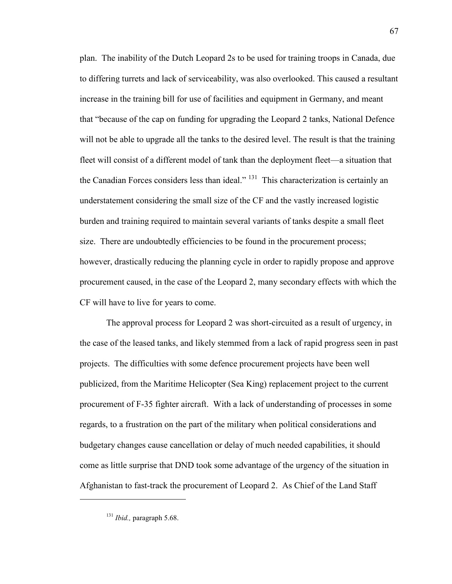plan. The inability of the Dutch Leopard 2s to be used for training troops in Canada, due to differing turrets and lack of serviceability, was also overlooked. This caused a resultant increase in the training bill for use of facilities and equipment in Germany, and meant that "because of the cap on funding for upgrading the Leopard 2 tanks, National Defence will not be able to upgrade all the tanks to the desired level. The result is that the training fleet will consist of a different model of tank than the deployment fleet—a situation that the Canadian Forces considers less than ideal." <sup>131</sup> This characterization is certainly an understatement considering the small size of the CF and the vastly increased logistic burden and training required to maintain several variants of tanks despite a small fleet size. There are undoubtedly efficiencies to be found in the procurement process; however, drastically reducing the planning cycle in order to rapidly propose and approve procurement caused, in the case of the Leopard 2, many secondary effects with which the CF will have to live for years to come.

 The approval process for Leopard 2 was short-circuited as a result of urgency, in the case of the leased tanks, and likely stemmed from a lack of rapid progress seen in past projects. The difficulties with some defence procurement projects have been well publicized, from the Maritime Helicopter (Sea King) replacement project to the current procurement of F-35 fighter aircraft. With a lack of understanding of processes in some regards, to a frustration on the part of the military when political considerations and budgetary changes cause cancellation or delay of much needed capabilities, it should come as little surprise that DND took some advantage of the urgency of the situation in Afghanistan to fast-track the procurement of Leopard 2. As Chief of the Land Staff

<sup>131</sup> *Ibid.,* paragraph 5.68.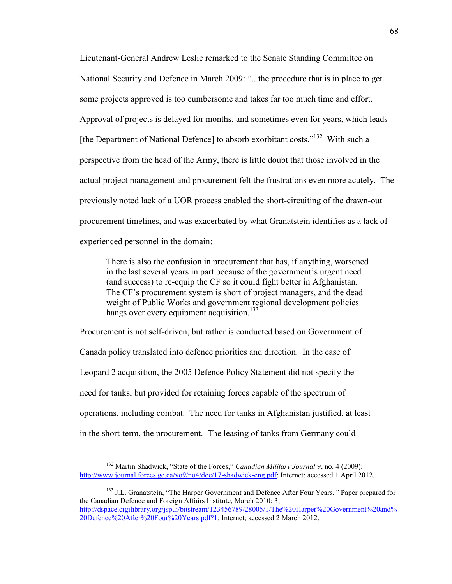Lieutenant-General Andrew Leslie remarked to the Senate Standing Committee on National Security and Defence in March 2009: "...the procedure that is in place to get some projects approved is too cumbersome and takes far too much time and effort. Approval of projects is delayed for months, and sometimes even for years, which leads [the Department of National Defence] to absorb exorbitant costs."<sup>132</sup> With such a perspective from the head of the Army, there is little doubt that those involved in the actual project management and procurement felt the frustrations even more acutely. The previously noted lack of a UOR process enabled the short-circuiting of the drawn-out procurement timelines, and was exacerbated by what Granatstein identifies as a lack of experienced personnel in the domain:

There is also the confusion in procurement that has, if anything, worsened in the last several years in part because of the government's urgent need (and success) to re-equip the CF so it could fight better in Afghanistan. The CF's procurement system is short of project managers, and the dead weight of Public Works and government regional development policies hangs over every equipment acquisition.<sup>133</sup>

Procurement is not self-driven, but rather is conducted based on Government of Canada policy translated into defence priorities and direction. In the case of Leopard 2 acquisition, the 2005 Defence Policy Statement did not specify the need for tanks, but provided for retaining forces capable of the spectrum of operations, including combat. The need for tanks in Afghanistan justified, at least in the short-term, the procurement. The leasing of tanks from Germany could

<sup>&</sup>lt;sup>132</sup> Martin Shadwick, "State of the Forces," *Canadian Military Journal* 9, no. 4 (2009); [http://www.journal.forces.gc.ca/vo9/no4/doc/17-shadwick-eng.pdf;](http://www.journal.forces.gc.ca/vo9/no4/doc/17-shadwick-eng.pdf) Internet; accessed 1 April 2012.

<sup>133</sup> J.L. Granatstein, "The Harper Government and Defence After Four Years,*"* Paper prepared for the Canadian Defence and Foreign Affairs Institute, March 2010: 3; [http://dspace.cigilibrary.org/jspui/bitstream/123456789/28005/1/The%20Harper%20Government%20and%](http://dspace.cigilibrary.org/jspui/bitstream/123456789/28005/1/The%20Harper%20Government%20and%20Defence%20After%20Four%20Years.pdf?1) [20Defence%20After%20Four%20Years.pdf?1;](http://dspace.cigilibrary.org/jspui/bitstream/123456789/28005/1/The%20Harper%20Government%20and%20Defence%20After%20Four%20Years.pdf?1) Internet; accessed 2 March 2012.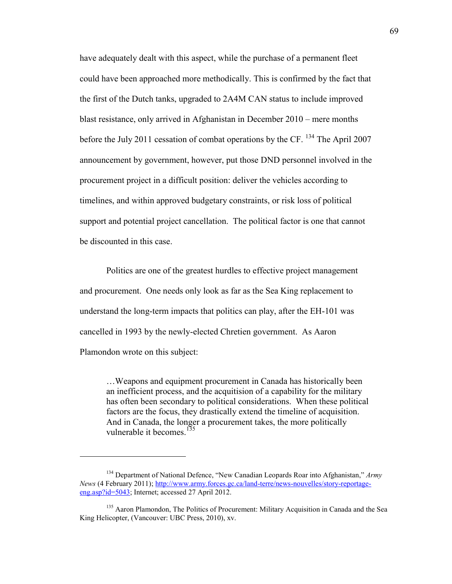have adequately dealt with this aspect, while the purchase of a permanent fleet could have been approached more methodically. This is confirmed by the fact that the first of the Dutch tanks, upgraded to 2A4M CAN status to include improved blast resistance, only arrived in Afghanistan in December 2010 – mere months before the July 2011 cessation of combat operations by the CF.  $^{134}$  The April 2007 announcement by government, however, put those DND personnel involved in the procurement project in a difficult position: deliver the vehicles according to timelines, and within approved budgetary constraints, or risk loss of political support and potential project cancellation. The political factor is one that cannot be discounted in this case.

 Politics are one of the greatest hurdles to effective project management and procurement. One needs only look as far as the Sea King replacement to understand the long-term impacts that politics can play, after the EH-101 was cancelled in 1993 by the newly-elected Chretien government. As Aaron Plamondon wrote on this subject:

…Weapons and equipment procurement in Canada has historically been an inefficient process, and the acquitision of a capability for the military has often been secondary to political considerations. When these political factors are the focus, they drastically extend the timeline of acquisition. And in Canada, the longer a procurement takes, the more politically vulnerable it becomes.<sup>135</sup>

<sup>134</sup> Department of National Defence, "New Canadian Leopards Roar into Afghanistan," *Army News* (4 February 2011); [http://www.army.forces.gc.ca/land-terre/news-nouvelles/story-reportage](http://www.army.forces.gc.ca/land-terre/news-nouvelles/story-reportage-eng.asp?id=5043)[eng.asp?id=5043;](http://www.army.forces.gc.ca/land-terre/news-nouvelles/story-reportage-eng.asp?id=5043) Internet; accessed 27 April 2012.

<sup>&</sup>lt;sup>135</sup> Aaron Plamondon, The Politics of Procurement: Military Acquisition in Canada and the Sea King Helicopter, (Vancouver: UBC Press, 2010), xv.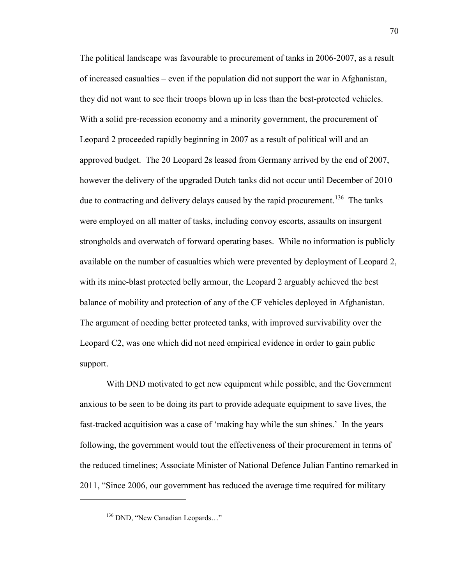The political landscape was favourable to procurement of tanks in 2006-2007, as a result of increased casualties – even if the population did not support the war in Afghanistan, they did not want to see their troops blown up in less than the best-protected vehicles. With a solid pre-recession economy and a minority government, the procurement of Leopard 2 proceeded rapidly beginning in 2007 as a result of political will and an approved budget. The 20 Leopard 2s leased from Germany arrived by the end of 2007, however the delivery of the upgraded Dutch tanks did not occur until December of 2010 due to contracting and delivery delays caused by the rapid procurement.<sup>136</sup> The tanks were employed on all matter of tasks, including convoy escorts, assaults on insurgent strongholds and overwatch of forward operating bases. While no information is publicly available on the number of casualties which were prevented by deployment of Leopard 2, with its mine-blast protected belly armour, the Leopard 2 arguably achieved the best balance of mobility and protection of any of the CF vehicles deployed in Afghanistan. The argument of needing better protected tanks, with improved survivability over the Leopard C2, was one which did not need empirical evidence in order to gain public support.

 With DND motivated to get new equipment while possible, and the Government anxious to be seen to be doing its part to provide adequate equipment to save lives, the fast-tracked acquitision was a case of 'making hay while the sun shines.' In the years following, the government would tout the effectiveness of their procurement in terms of the reduced timelines; Associate Minister of National Defence Julian Fantino remarked in 2011, "Since 2006, our government has reduced the average time required for military

<sup>&</sup>lt;sup>136</sup> DND, "New Canadian Leopards..."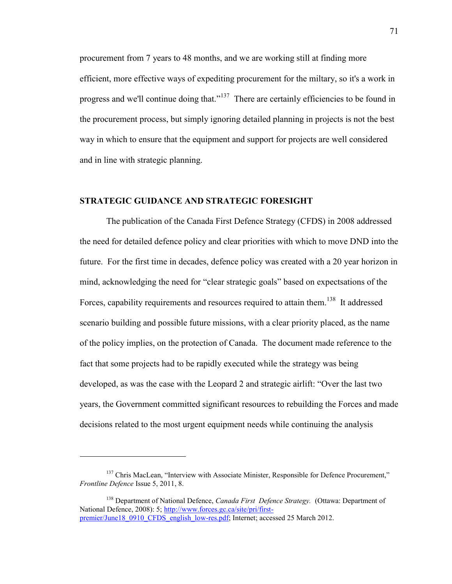procurement from 7 years to 48 months, and we are working still at finding more efficient, more effective ways of expediting procurement for the miltary, so it's a work in progress and we'll continue doing that."<sup>137</sup> There are certainly efficiencies to be found in the procurement process, but simply ignoring detailed planning in projects is not the best way in which to ensure that the equipment and support for projects are well considered and in line with strategic planning.

## **STRATEGIC GUIDANCE AND STRATEGIC FORESIGHT**

 The publication of the Canada First Defence Strategy (CFDS) in 2008 addressed the need for detailed defence policy and clear priorities with which to move DND into the future. For the first time in decades, defence policy was created with a 20 year horizon in mind, acknowledging the need for "clear strategic goals" based on expectsations of the Forces, capability requirements and resources required to attain them.<sup>138</sup> It addressed scenario building and possible future missions, with a clear priority placed, as the name of the policy implies, on the protection of Canada. The document made reference to the fact that some projects had to be rapidly executed while the strategy was being developed, as was the case with the Leopard 2 and strategic airlift: "Over the last two years, the Government committed significant resources to rebuilding the Forces and made decisions related to the most urgent equipment needs while continuing the analysis

<sup>&</sup>lt;sup>137</sup> Chris MacLean, "Interview with Associate Minister, Responsible for Defence Procurement," *Frontline Defence* Issue 5, 2011, 8.

<sup>138</sup> Department of National Defence, *Canada First Defence Strategy.* (Ottawa: Department of National Defence, 2008): 5; [http://www.forces.gc.ca/site/pri/first](http://www.forces.gc.ca/site/pri/first-premier/June18_0910_CFDS_english_low-res.pdf)[premier/June18\\_0910\\_CFDS\\_english\\_low-res.pdf;](http://www.forces.gc.ca/site/pri/first-premier/June18_0910_CFDS_english_low-res.pdf) Internet; accessed 25 March 2012.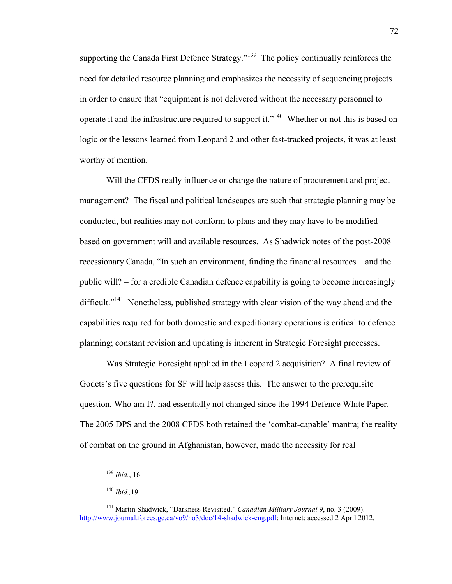supporting the Canada First Defence Strategy."<sup>139</sup> The policy continually reinforces the need for detailed resource planning and emphasizes the necessity of sequencing projects in order to ensure that "equipment is not delivered without the necessary personnel to operate it and the infrastructure required to support it."<sup>140</sup> Whether or not this is based on logic or the lessons learned from Leopard 2 and other fast-tracked projects, it was at least worthy of mention.

 Will the CFDS really influence or change the nature of procurement and project management? The fiscal and political landscapes are such that strategic planning may be conducted, but realities may not conform to plans and they may have to be modified based on government will and available resources. As Shadwick notes of the post-2008 recessionary Canada, "In such an environment, finding the financial resources – and the public will? – for a credible Canadian defence capability is going to become increasingly difficult."<sup>141</sup> Nonetheless, published strategy with clear vision of the way ahead and the capabilities required for both domestic and expeditionary operations is critical to defence planning; constant revision and updating is inherent in Strategic Foresight processes.

 Was Strategic Foresight applied in the Leopard 2 acquisition? A final review of Godets's five questions for SF will help assess this. The answer to the prerequisite question, Who am I?, had essentially not changed since the 1994 Defence White Paper. The 2005 DPS and the 2008 CFDS both retained the 'combat-capable' mantra; the reality of combat on the ground in Afghanistan, however, made the necessity for real

<sup>139</sup> *Ibid.*, 16

<sup>140</sup> *Ibid.,*19

<sup>141</sup> Martin Shadwick, "Darkness Revisited," *Canadian Military Journal* 9, no. 3 (2009). [http://www.journal.forces.gc.ca/vo9/no3/doc/14-shadwick-eng.pdf;](http://www.journal.forces.gc.ca/vo9/no3/doc/14-shadwick-eng.pdf) Internet; accessed 2 April 2012.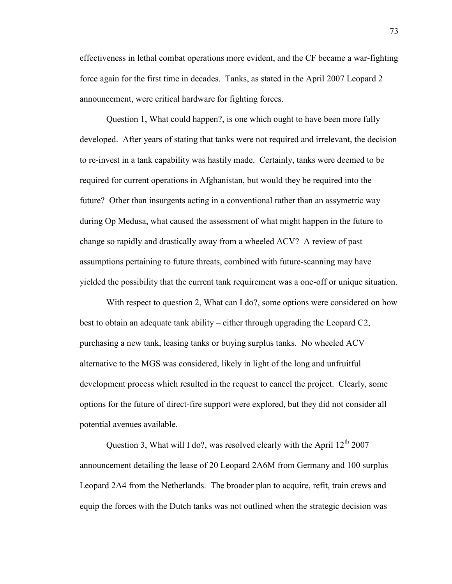effectiveness in lethal combat operations more evident, and the CF became a war-fighting force again for the first time in decades. Tanks, as stated in the April 2007 Leopard 2 announcement, were critical hardware for fighting forces.

 Question 1, What could happen?, is one which ought to have been more fully developed. After years of stating that tanks were not required and irrelevant, the decision to re-invest in a tank capability was hastily made. Certainly, tanks were deemed to be required for current operations in Afghanistan, but would they be required into the future? Other than insurgents acting in a conventional rather than an assymetric way during Op Medusa, what caused the assessment of what might happen in the future to change so rapidly and drastically away from a wheeled ACV? A review of past assumptions pertaining to future threats, combined with future-scanning may have yielded the possibility that the current tank requirement was a one-off or unique situation.

With respect to question 2, What can I do?, some options were considered on how best to obtain an adequate tank ability – either through upgrading the Leopard C2, purchasing a new tank, leasing tanks or buying surplus tanks. No wheeled ACV alternative to the MGS was considered, likely in light of the long and unfruitful development process which resulted in the request to cancel the project. Clearly, some options for the future of direct-fire support were explored, but they did not consider all potential avenues available.

Question 3, What will I do?, was resolved clearly with the April  $12<sup>th</sup> 2007$ announcement detailing the lease of 20 Leopard 2A6M from Germany and 100 surplus Leopard 2A4 from the Netherlands. The broader plan to acquire, refit, train crews and equip the forces with the Dutch tanks was not outlined when the strategic decision was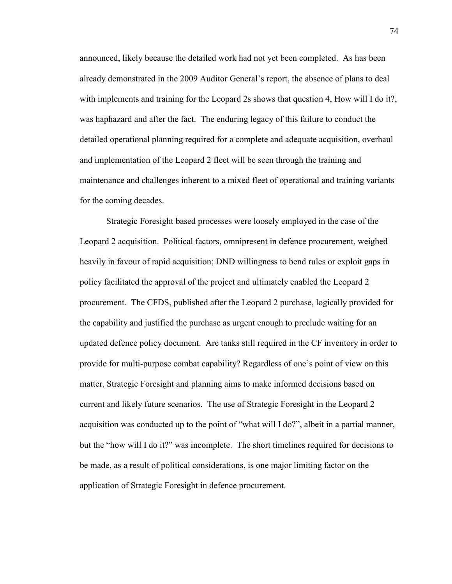announced, likely because the detailed work had not yet been completed. As has been already demonstrated in the 2009 Auditor General's report, the absence of plans to deal with implements and training for the Leopard 2s shows that question 4, How will I do it?, was haphazard and after the fact. The enduring legacy of this failure to conduct the detailed operational planning required for a complete and adequate acquisition, overhaul and implementation of the Leopard 2 fleet will be seen through the training and maintenance and challenges inherent to a mixed fleet of operational and training variants for the coming decades.

 Strategic Foresight based processes were loosely employed in the case of the Leopard 2 acquisition. Political factors, omnipresent in defence procurement, weighed heavily in favour of rapid acquisition; DND willingness to bend rules or exploit gaps in policy facilitated the approval of the project and ultimately enabled the Leopard 2 procurement. The CFDS, published after the Leopard 2 purchase, logically provided for the capability and justified the purchase as urgent enough to preclude waiting for an updated defence policy document. Are tanks still required in the CF inventory in order to provide for multi-purpose combat capability? Regardless of one's point of view on this matter, Strategic Foresight and planning aims to make informed decisions based on current and likely future scenarios. The use of Strategic Foresight in the Leopard 2 acquisition was conducted up to the point of "what will I do?", albeit in a partial manner, but the "how will I do it?" was incomplete. The short timelines required for decisions to be made, as a result of political considerations, is one major limiting factor on the application of Strategic Foresight in defence procurement.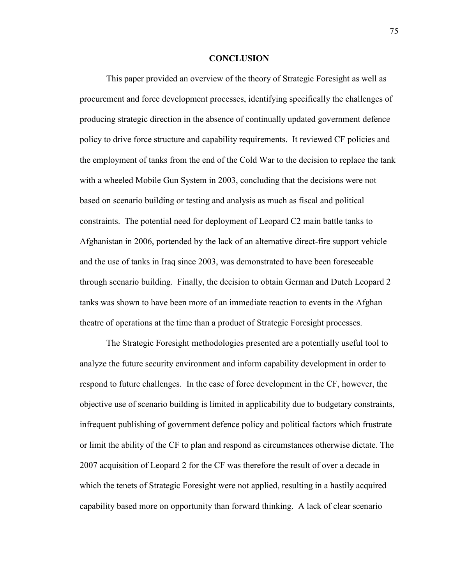## **CONCLUSION**

This paper provided an overview of the theory of Strategic Foresight as well as procurement and force development processes, identifying specifically the challenges of producing strategic direction in the absence of continually updated government defence policy to drive force structure and capability requirements. It reviewed CF policies and the employment of tanks from the end of the Cold War to the decision to replace the tank with a wheeled Mobile Gun System in 2003, concluding that the decisions were not based on scenario building or testing and analysis as much as fiscal and political constraints. The potential need for deployment of Leopard C2 main battle tanks to Afghanistan in 2006, portended by the lack of an alternative direct-fire support vehicle and the use of tanks in Iraq since 2003, was demonstrated to have been foreseeable through scenario building. Finally, the decision to obtain German and Dutch Leopard 2 tanks was shown to have been more of an immediate reaction to events in the Afghan theatre of operations at the time than a product of Strategic Foresight processes.

The Strategic Foresight methodologies presented are a potentially useful tool to analyze the future security environment and inform capability development in order to respond to future challenges. In the case of force development in the CF, however, the objective use of scenario building is limited in applicability due to budgetary constraints, infrequent publishing of government defence policy and political factors which frustrate or limit the ability of the CF to plan and respond as circumstances otherwise dictate. The 2007 acquisition of Leopard 2 for the CF was therefore the result of over a decade in which the tenets of Strategic Foresight were not applied, resulting in a hastily acquired capability based more on opportunity than forward thinking. A lack of clear scenario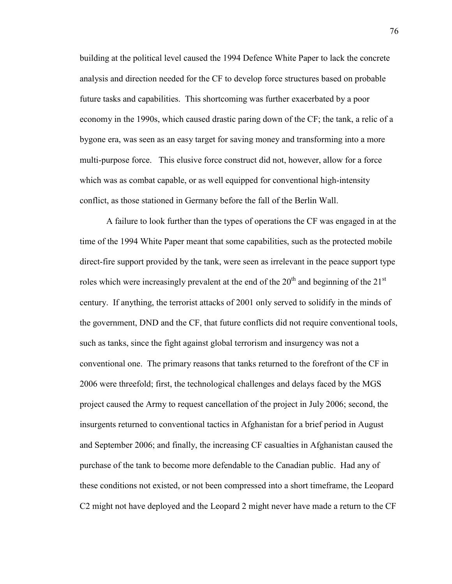building at the political level caused the 1994 Defence White Paper to lack the concrete analysis and direction needed for the CF to develop force structures based on probable future tasks and capabilities. This shortcoming was further exacerbated by a poor economy in the 1990s, which caused drastic paring down of the CF; the tank, a relic of a bygone era, was seen as an easy target for saving money and transforming into a more multi-purpose force. This elusive force construct did not, however, allow for a force which was as combat capable, or as well equipped for conventional high-intensity conflict, as those stationed in Germany before the fall of the Berlin Wall.

 A failure to look further than the types of operations the CF was engaged in at the time of the 1994 White Paper meant that some capabilities, such as the protected mobile direct-fire support provided by the tank, were seen as irrelevant in the peace support type roles which were increasingly prevalent at the end of the  $20<sup>th</sup>$  and beginning of the  $21<sup>st</sup>$ century. If anything, the terrorist attacks of 2001 only served to solidify in the minds of the government, DND and the CF, that future conflicts did not require conventional tools, such as tanks, since the fight against global terrorism and insurgency was not a conventional one. The primary reasons that tanks returned to the forefront of the CF in 2006 were threefold; first, the technological challenges and delays faced by the MGS project caused the Army to request cancellation of the project in July 2006; second, the insurgents returned to conventional tactics in Afghanistan for a brief period in August and September 2006; and finally, the increasing CF casualties in Afghanistan caused the purchase of the tank to become more defendable to the Canadian public. Had any of these conditions not existed, or not been compressed into a short timeframe, the Leopard C2 might not have deployed and the Leopard 2 might never have made a return to the CF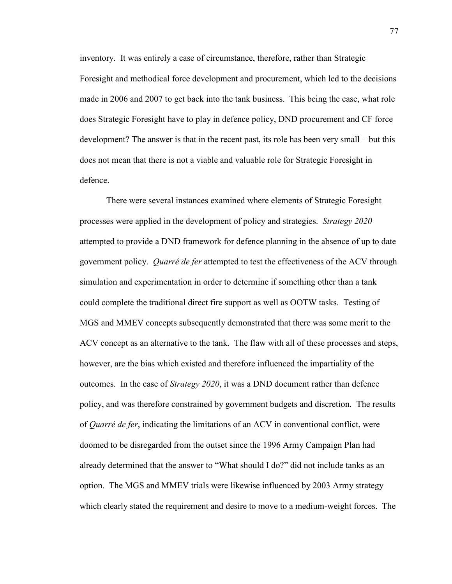inventory. It was entirely a case of circumstance, therefore, rather than Strategic Foresight and methodical force development and procurement, which led to the decisions made in 2006 and 2007 to get back into the tank business. This being the case, what role does Strategic Foresight have to play in defence policy, DND procurement and CF force development? The answer is that in the recent past, its role has been very small – but this does not mean that there is not a viable and valuable role for Strategic Foresight in defence.

There were several instances examined where elements of Strategic Foresight processes were applied in the development of policy and strategies. *Strategy 2020* attempted to provide a DND framework for defence planning in the absence of up to date government policy. *Quarré de fer* attempted to test the effectiveness of the ACV through simulation and experimentation in order to determine if something other than a tank could complete the traditional direct fire support as well as OOTW tasks. Testing of MGS and MMEV concepts subsequently demonstrated that there was some merit to the ACV concept as an alternative to the tank. The flaw with all of these processes and steps, however, are the bias which existed and therefore influenced the impartiality of the outcomes. In the case of *Strategy 2020*, it was a DND document rather than defence policy, and was therefore constrained by government budgets and discretion. The results of *Quarré de fer*, indicating the limitations of an ACV in conventional conflict, were doomed to be disregarded from the outset since the 1996 Army Campaign Plan had already determined that the answer to "What should I do?" did not include tanks as an option. The MGS and MMEV trials were likewise influenced by 2003 Army strategy which clearly stated the requirement and desire to move to a medium-weight forces. The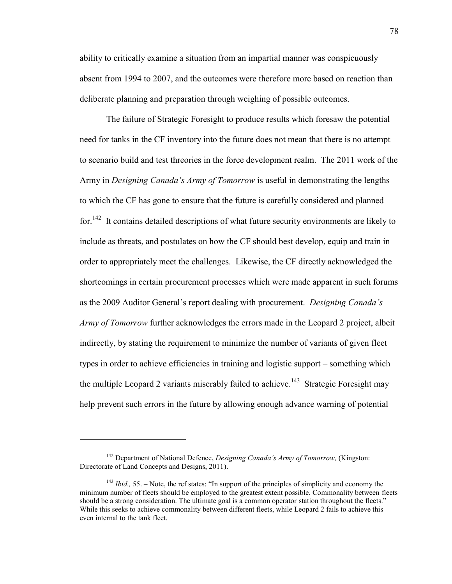ability to critically examine a situation from an impartial manner was conspicuously absent from 1994 to 2007, and the outcomes were therefore more based on reaction than deliberate planning and preparation through weighing of possible outcomes.

The failure of Strategic Foresight to produce results which foresaw the potential need for tanks in the CF inventory into the future does not mean that there is no attempt to scenario build and test threories in the force development realm. The 2011 work of the Army in *Designing Canada's Army of Tomorrow* is useful in demonstrating the lengths to which the CF has gone to ensure that the future is carefully considered and planned for.<sup>142</sup> It contains detailed descriptions of what future security environments are likely to include as threats, and postulates on how the CF should best develop, equip and train in order to appropriately meet the challenges. Likewise, the CF directly acknowledged the shortcomings in certain procurement processes which were made apparent in such forums as the 2009 Auditor General's report dealing with procurement. *Designing Canada's Army of Tomorrow* further acknowledges the errors made in the Leopard 2 project, albeit indirectly, by stating the requirement to minimize the number of variants of given fleet types in order to achieve efficiencies in training and logistic support – something which the multiple Leopard 2 variants miserably failed to achieve.<sup>143</sup> Strategic Foresight may help prevent such errors in the future by allowing enough advance warning of potential

<sup>142</sup> Department of National Defence, *Designing Canada's Army of Tomorrow,* (Kingston: Directorate of Land Concepts and Designs, 2011).

<sup>143</sup> *Ibid.,* 55. – Note, the ref states: "In support of the principles of simplicity and economy the minimum number of fleets should be employed to the greatest extent possible. Commonality between fleets should be a strong consideration. The ultimate goal is a common operator station throughout the fleets." While this seeks to achieve commonality between different fleets, while Leopard 2 fails to achieve this even internal to the tank fleet.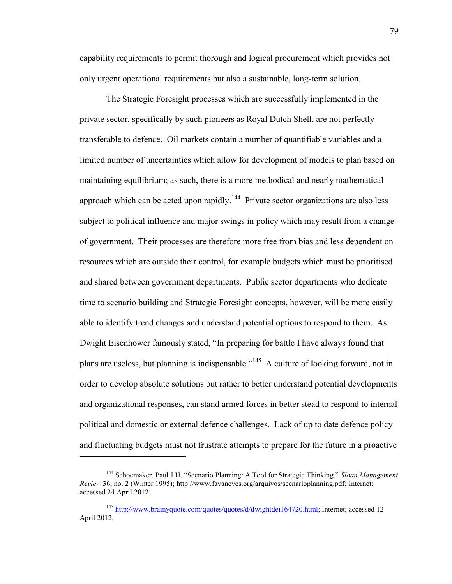capability requirements to permit thorough and logical procurement which provides not only urgent operational requirements but also a sustainable, long-term solution.

The Strategic Foresight processes which are successfully implemented in the private sector, specifically by such pioneers as Royal Dutch Shell, are not perfectly transferable to defence. Oil markets contain a number of quantifiable variables and a limited number of uncertainties which allow for development of models to plan based on maintaining equilibrium; as such, there is a more methodical and nearly mathematical approach which can be acted upon rapidly.<sup>144</sup> Private sector organizations are also less subject to political influence and major swings in policy which may result from a change of government. Their processes are therefore more free from bias and less dependent on resources which are outside their control, for example budgets which must be prioritised and shared between government departments. Public sector departments who dedicate time to scenario building and Strategic Foresight concepts, however, will be more easily able to identify trend changes and understand potential options to respond to them. As Dwight Eisenhower famously stated, "In preparing for battle I have always found that plans are useless, but planning is indispensable."<sup>145</sup> A culture of looking forward, not in order to develop absolute solutions but rather to better understand potential developments and organizational responses, can stand armed forces in better stead to respond to internal political and domestic or external defence challenges. Lack of up to date defence policy and fluctuating budgets must not frustrate attempts to prepare for the future in a proactive

<sup>144</sup> Schoemaker, Paul J.H. "Scenario Planning: A Tool for Strategic Thinking." *Sloan Management Review* 36, no. 2 (Winter 1995); [http://www.favaneves.org/arquivos/scenarioplanning.pdf;](http://www.favaneves.org/arquivos/scenarioplanning.pdf) Internet; accessed 24 April 2012.

<sup>&</sup>lt;sup>145</sup> [http://www.brainyquote.com/quotes/quotes/d/dwightdei164720.html;](http://www.brainyquote.com/quotes/quotes/d/dwightdei164720.html) Internet; accessed 12 April 2012.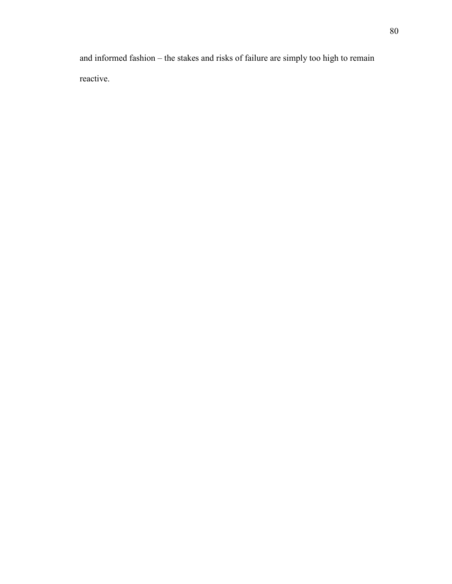and informed fashion – the stakes and risks of failure are simply too high to remain reactive.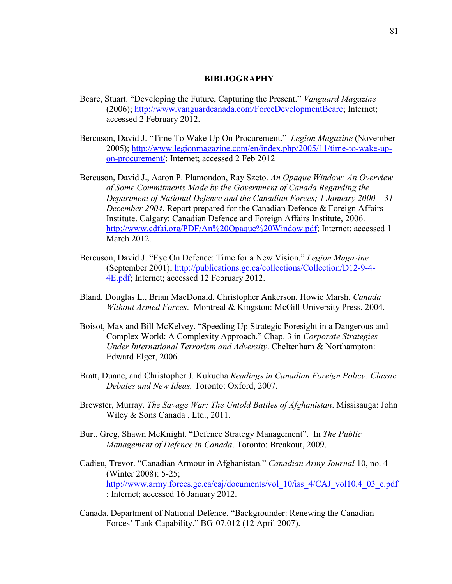## **BIBLIOGRAPHY**

- Beare, Stuart. "Developing the Future, Capturing the Present." *Vanguard Magazine* (2006); [http://www.vanguardcanada.com/ForceDevelopmentBeare;](http://www.vanguardcanada.com/ForceDevelopmentBeare) Internet; accessed 2 February 2012.
- Bercuson, David J. "Time To Wake Up On Procurement." *Legion Magazine* (November 2005); [http://www.legionmagazine.com/en/index.php/2005/11/time-to-wake-up](http://www.legionmagazine.com/en/index.php/2005/11/time-to-wake-up-on-procurement/)[on-procurement/;](http://www.legionmagazine.com/en/index.php/2005/11/time-to-wake-up-on-procurement/) Internet; accessed 2 Feb 2012
- Bercuson, David J., Aaron P. Plamondon, Ray Szeto. *An Opaque Window: An Overview of Some Commitments Made by the Government of Canada Regarding the Department of National Defence and the Canadian Forces; 1 January 2000 – 31 December 2004*. Report prepared for the Canadian Defence & Foreign Affairs Institute. Calgary: Canadian Defence and Foreign Affairs Institute, 2006. [http://www.cdfai.org/PDF/An%20Opaque%20Window.pdf;](http://www.cdfai.org/PDF/An%20Opaque%20Window.pdf) Internet; accessed 1 March 2012.
- Bercuson, David J. "Eye On Defence: Time for a New Vision." *Legion Magazine* (September 2001); [http://publications.gc.ca/collections/Collection/D12-9-4-](http://publications.gc.ca/collections/Collection/D12-9-4-4E.pdf) [4E.pdf;](http://publications.gc.ca/collections/Collection/D12-9-4-4E.pdf) Internet; accessed 12 February 2012.
- Bland, Douglas L., Brian MacDonald, Christopher Ankerson, Howie Marsh. *Canada Without Armed Forces*. Montreal & Kingston: McGill University Press, 2004.
- Boisot, Max and Bill McKelvey. "Speeding Up Strategic Foresight in a Dangerous and Complex World: A Complexity Approach." Chap. 3 in *Corporate Strategies Under International Terrorism and Adversity*. Cheltenham & Northampton: Edward Elger, 2006.
- Bratt, Duane, and Christopher J. Kukucha *Readings in Canadian Foreign Policy: Classic Debates and New Ideas.* Toronto: Oxford, 2007.
- Brewster, Murray. *The Savage War: The Untold Battles of Afghanistan*. Missisauga: John Wiley & Sons Canada , Ltd., 2011.
- Burt, Greg, Shawn McKnight. "Defence Strategy Management". In *The Public Management of Defence in Canada*. Toronto: Breakout, 2009.
- Cadieu, Trevor. "Canadian Armour in Afghanistan." *Canadian Army Journal* 10, no. 4 (Winter 2008): 5-25; [http://www.army.forces.gc.ca/caj/documents/vol\\_10/iss\\_4/CAJ\\_vol10.4\\_03\\_e.pdf](http://www.army.forces.gc.ca/caj/documents/vol_10/iss_4/CAJ_vol10.4_03_e.pdf) ; Internet; accessed 16 January 2012.
- Canada. Department of National Defence. "Backgrounder: Renewing the Canadian Forces' Tank Capability." BG-07.012 (12 April 2007).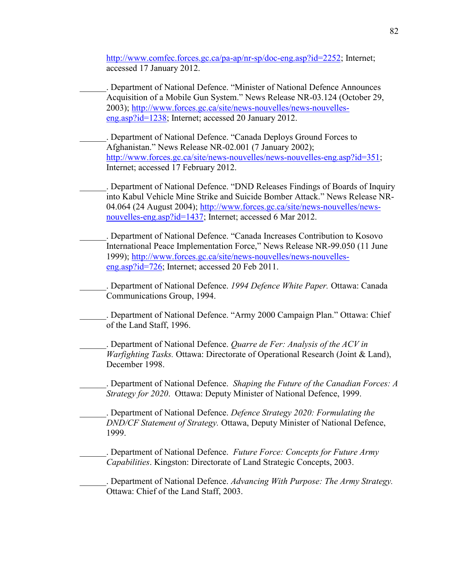[http://www.comfec.forces.gc.ca/pa-ap/nr-sp/doc-eng.asp?id=2252;](http://www.comfec.forces.gc.ca/pa-ap/nr-sp/doc-eng.asp?id=2252) Internet; accessed 17 January 2012.

\_\_\_\_\_\_. Department of National Defence. "Minister of National Defence Announces Acquisition of a Mobile Gun System." News Release NR-03.124 (October 29, 2003); [http://www.forces.gc.ca/site/news-nouvelles/news-nouvelles](http://www.forces.gc.ca/site/news-nouvelles/news-nouvelles-eng.asp?id=1238)[eng.asp?id=1238;](http://www.forces.gc.ca/site/news-nouvelles/news-nouvelles-eng.asp?id=1238) Internet; accessed 20 January 2012.

\_\_\_\_\_\_. Department of National Defence. "Canada Deploys Ground Forces to Afghanistan." News Release NR-02.001 (7 January 2002); [http://www.forces.gc.ca/site/news-nouvelles/news-nouvelles-eng.asp?id=351;](http://www.forces.gc.ca/site/news-nouvelles/news-nouvelles-eng.asp?id=351) Internet; accessed 17 February 2012.

\_\_\_\_\_\_. Department of National Defence. "DND Releases Findings of Boards of Inquiry into Kabul Vehicle Mine Strike and Suicide Bomber Attack." News Release NR-04.064 (24 August 2004); [http://www.forces.gc.ca/site/news-nouvelles/news](http://www.forces.gc.ca/site/news-nouvelles/news-nouvelles-eng.asp?id=1437)[nouvelles-eng.asp?id=1437;](http://www.forces.gc.ca/site/news-nouvelles/news-nouvelles-eng.asp?id=1437) Internet; accessed 6 Mar 2012.

\_\_\_\_\_\_. Department of National Defence. "Canada Increases Contribution to Kosovo International Peace Implementation Force," News Release NR-99.050 (11 June 1999); [http://www.forces.gc.ca/site/news-nouvelles/news-nouvelles](http://www.forces.gc.ca/site/news-nouvelles/news-nouvelles-eng.asp?id=726)[eng.asp?id=726;](http://www.forces.gc.ca/site/news-nouvelles/news-nouvelles-eng.asp?id=726) Internet; accessed 20 Feb 2011.

\_\_\_\_\_\_. Department of National Defence. *1994 Defence White Paper.* Ottawa: Canada Communications Group, 1994.

. Department of National Defence. "Army 2000 Campaign Plan." Ottawa: Chief of the Land Staff, 1996.

\_\_\_\_\_\_. Department of National Defence. *Quarre de Fer: Analysis of the ACV in Warfighting Tasks.* Ottawa: Directorate of Operational Research (Joint & Land), December 1998.

\_\_\_\_\_\_. Department of National Defence. *Shaping the Future of the Canadian Forces: A Strategy for 2020*. Ottawa: Deputy Minister of National Defence, 1999.

\_\_\_\_\_\_. Department of National Defence. *Defence Strategy 2020: Formulating the DND/CF Statement of Strategy.* Ottawa, Deputy Minister of National Defence, 1999.

\_\_\_\_\_\_. Department of National Defence. *Future Force: Concepts for Future Army Capabilities*. Kingston: Directorate of Land Strategic Concepts, 2003.

\_\_\_\_\_\_. Department of National Defence. *Advancing With Purpose: The Army Strategy.* Ottawa: Chief of the Land Staff, 2003.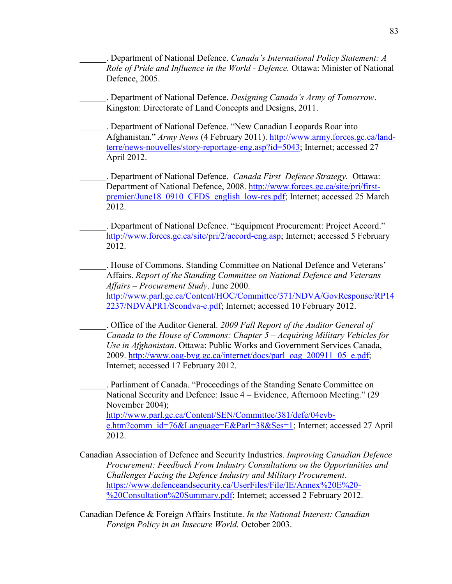\_\_\_\_\_\_. Department of National Defence. *Canada's International Policy Statement: A Role of Pride and Influence in the World - Defence.* Ottawa: Minister of National Defence, 2005.

\_\_\_\_\_\_. Department of National Defence. *Designing Canada's Army of Tomorrow*. Kingston: Directorate of Land Concepts and Designs, 2011.

\_\_\_\_\_\_. Department of National Defence. "New Canadian Leopards Roar into Afghanistan." *Army News* (4 February 2011). [http://www.army.forces.gc.ca/land](http://www.army.forces.gc.ca/land-terre/news-nouvelles/story-reportage-eng.asp?id=5043)[terre/news-nouvelles/story-reportage-eng.asp?id=5043;](http://www.army.forces.gc.ca/land-terre/news-nouvelles/story-reportage-eng.asp?id=5043) Internet; accessed 27 April 2012.

\_\_\_\_\_\_. Department of National Defence. *Canada First Defence Strategy.* Ottawa: Department of National Defence, 2008. [http://www.forces.gc.ca/site/pri/first](http://www.forces.gc.ca/site/pri/first-premier/June18_0910_CFDS_english_low-res.pdf)[premier/June18\\_0910\\_CFDS\\_english\\_low-res.pdf;](http://www.forces.gc.ca/site/pri/first-premier/June18_0910_CFDS_english_low-res.pdf) Internet; accessed 25 March 2012.

. Department of National Defence. "Equipment Procurement: Project Accord." [http://www.forces.gc.ca/site/pri/2/accord-eng.asp;](http://www.forces.gc.ca/site/pri/2/accord-eng.asp) Internet; accessed 5 February 2012.

\_\_\_\_\_\_. House of Commons. Standing Committee on National Defence and Veterans' Affairs. *Report of the Standing Committee on National Defence and Veterans Affairs – Procurement Study*. June 2000. [http://www.parl.gc.ca/Content/HOC/Committee/371/NDVA/GovResponse/RP14](http://www.parl.gc.ca/Content/HOC/Committee/371/NDVA/GovResponse/RP142237/NDVAPR1/Scondva-e.pdf) [2237/NDVAPR1/Scondva-e.pdf;](http://www.parl.gc.ca/Content/HOC/Committee/371/NDVA/GovResponse/RP142237/NDVAPR1/Scondva-e.pdf) Internet; accessed 10 February 2012.

\_\_\_\_\_\_. Office of the Auditor General. *2009 Fall Report of the Auditor General of Canada to the House of Commons: Chapter 5 – Acquiring Military Vehicles for Use in Afghanistan*. Ottawa: Public Works and Government Services Canada, 2009. [http://www.oag-bvg.gc.ca/internet/docs/parl\\_oag\\_200911\\_05\\_e.pdf;](http://www.oag-bvg.gc.ca/internet/docs/parl_oag_200911_05_e.pdf) Internet; accessed 17 February 2012.

\_\_\_\_\_\_. Parliament of Canada. "Proceedings of the Standing Senate Committee on National Security and Defence: Issue 4 – Evidence, Afternoon Meeting." (29 November 2004); [http://www.parl.gc.ca/Content/SEN/Committee/381/defe/04evb](http://www.parl.gc.ca/Content/SEN/Committee/381/defe/04evb-e.htm?comm_id=76&Language=E&Parl=38&Ses=1)[e.htm?comm\\_id=76&Language=E&Parl=38&Ses=1;](http://www.parl.gc.ca/Content/SEN/Committee/381/defe/04evb-e.htm?comm_id=76&Language=E&Parl=38&Ses=1) Internet; accessed 27 April 2012.

Canadian Association of Defence and Security Industries. *Improving Canadian Defence Procurement: Feedback From Industry Consultations on the Opportunities and Challenges Facing the Defence Industry and Military Procurement*. [https://www.defenceandsecurity.ca/UserFiles/File/IE/Annex%20E%20-](https://www.defenceandsecurity.ca/UserFiles/File/IE/Annex%20E%20-%20Consultation%20Summary.pdf) [%20Consultation%20Summary.pdf;](https://www.defenceandsecurity.ca/UserFiles/File/IE/Annex%20E%20-%20Consultation%20Summary.pdf) Internet; accessed 2 February 2012.

Canadian Defence & Foreign Affairs Institute. *In the National Interest: Canadian Foreign Policy in an Insecure World.* October 2003.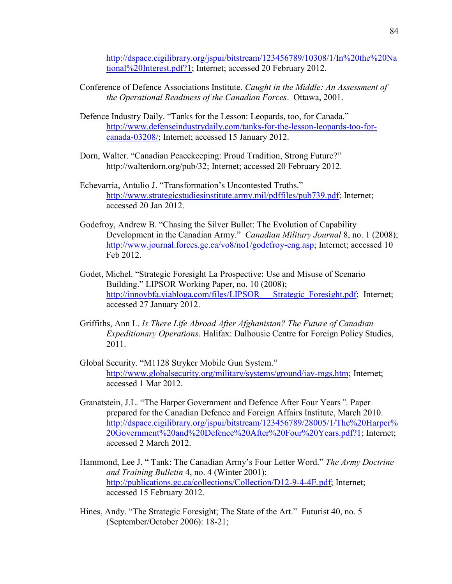[http://dspace.cigilibrary.org/jspui/bitstream/123456789/10308/1/In%20the%20Na](http://dspace.cigilibrary.org/jspui/bitstream/123456789/10308/1/In%20the%20National%20Interest.pdf?1) [tional%20Interest.pdf?1;](http://dspace.cigilibrary.org/jspui/bitstream/123456789/10308/1/In%20the%20National%20Interest.pdf?1) Internet; accessed 20 February 2012.

- Conference of Defence Associations Institute. *Caught in the Middle: An Assessment of the Operational Readiness of the Canadian Forces*. Ottawa, 2001.
- Defence Industry Daily. "Tanks for the Lesson: Leopards, too, for Canada." [http://www.defenseindustrydaily.com/tanks-for-the-lesson-leopards-too-for](http://www.defenseindustrydaily.com/tanks-for-the-lesson-leopards-too-for-canada-03208/)[canada-03208/;](http://www.defenseindustrydaily.com/tanks-for-the-lesson-leopards-too-for-canada-03208/) Internet; accessed 15 January 2012.
- Dorn, Walter. "Canadian Peacekeeping: Proud Tradition, Strong Future?" http://walterdorn.org/pub/32; Internet; accessed 20 February 2012.
- Echevarria, Antulio J. "Transformation's Uncontested Truths." [http://www.strategicstudiesinstitute.army.mil/pdffiles/pub739.pdf;](http://www.strategicstudiesinstitute.army.mil/pdffiles/pub739.pdf) Internet; accessed 20 Jan 2012.
- Godefroy, Andrew B. "Chasing the Silver Bullet: The Evolution of Capability Development in the Canadian Army." *Canadian Military Journal* 8, no. 1 (2008); [http://www.journal.forces.gc.ca/vo8/no1/godefroy-eng.asp;](http://www.journal.forces.gc.ca/vo8/no1/godefroy-eng.asp) Internet; accessed 10 Feb 2012.
- Godet, Michel. "Strategic Foresight La Prospective: Use and Misuse of Scenario Building." LIPSOR Working Paper, no. 10 (2008); [http://innovbfa.viabloga.com/files/LIPSOR\\_\\_\\_Strategic\\_Foresight.pdf;](http://innovbfa.viabloga.com/files/LIPSOR___Strategic_Foresight.pdf) Internet; accessed 27 January 2012.
- Griffiths, Ann L. *Is There Life Abroad After Afghanistan? The Future of Canadian Expeditionary Operations*. Halifax: Dalhousie Centre for Foreign Policy Studies, 2011.
- Global Security. "M1128 Stryker Mobile Gun System." [http://www.globalsecurity.org/military/systems/ground/iav-mgs.htm;](http://www.globalsecurity.org/military/systems/ground/iav-mgs.htm) Internet; accessed 1 Mar 2012.
- Granatstein, J.L. "The Harper Government and Defence After Four Years*"*. Paper prepared for the Canadian Defence and Foreign Affairs Institute, March 2010. [http://dspace.cigilibrary.org/jspui/bitstream/123456789/28005/1/The%20Harper%](http://dspace.cigilibrary.org/jspui/bitstream/123456789/28005/1/The%20Harper%20Government%20and%20Defence%20After%20Four%20Years.pdf?1) [20Government%20and%20Defence%20After%20Four%20Years.pdf?1;](http://dspace.cigilibrary.org/jspui/bitstream/123456789/28005/1/The%20Harper%20Government%20and%20Defence%20After%20Four%20Years.pdf?1) Internet; accessed 2 March 2012.
- Hammond, Lee J. " Tank: The Canadian Army's Four Letter Word." *The Army Doctrine and Training Bulletin* 4, no. 4 (Winter 2001); [http://publications.gc.ca/collections/Collection/D12-9-4-4E.pdf;](http://publications.gc.ca/collections/Collection/D12-9-4-4E.pdf) Internet; accessed 15 February 2012.
- Hines, Andy. "The Strategic Foresight; The State of the Art." Futurist 40, no. 5 (September/October 2006): 18-21;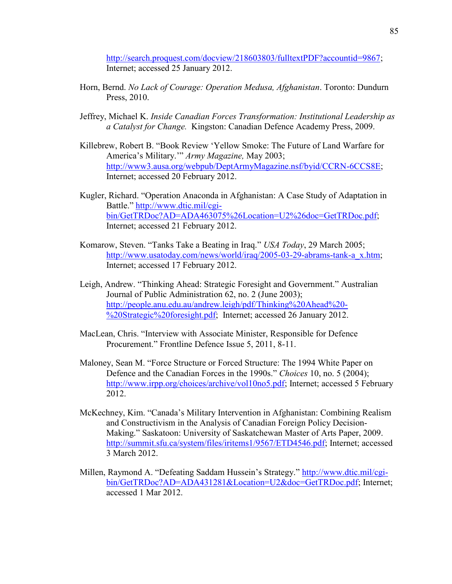[http://search.proquest.com/docview/218603803/fulltextPDF?accountid=9867;](http://search.proquest.com/docview/218603803/fulltextPDF?accountid=9867) Internet; accessed 25 January 2012.

- Horn, Bernd. *No Lack of Courage: Operation Medusa, Afghanistan*. Toronto: Dundurn Press, 2010.
- Jeffrey, Michael K. *Inside Canadian Forces Transformation: Institutional Leadership as a Catalyst for Change.* Kingston: Canadian Defence Academy Press, 2009.
- Killebrew, Robert B. "Book Review 'Yellow Smoke: The Future of Land Warfare for America's Military.'" *Army Magazine,* May 2003; [http://www3.ausa.org/webpub/DeptArmyMagazine.nsf/byid/CCRN-6CCS8E;](http://www3.ausa.org/webpub/DeptArmyMagazine.nsf/byid/CCRN-6CCS8E) Internet; accessed 20 February 2012.
- Kugler, Richard. "Operation Anaconda in Afghanistan: A Case Study of Adaptation in Battle." [http://www.dtic.mil/cgi](http://www.dtic.mil/cgi-bin/GetTRDoc?AD=ADA463075%26Location=U2%26doc=GetTRDoc.pdf)[bin/GetTRDoc?AD=ADA463075%26Location=U2%26doc=GetTRDoc.pdf;](http://www.dtic.mil/cgi-bin/GetTRDoc?AD=ADA463075%26Location=U2%26doc=GetTRDoc.pdf) Internet; accessed 21 February 2012.
- Komarow, Steven. "Tanks Take a Beating in Iraq." *USA Today*, 29 March 2005; [http://www.usatoday.com/news/world/iraq/2005-03-29-abrams-tank-a\\_x.htm;](http://www.usatoday.com/news/world/iraq/2005-03-29-abrams-tank-a_x.htm) Internet; accessed 17 February 2012.
- Leigh, Andrew. "Thinking Ahead: Strategic Foresight and Government." Australian Journal of Public Administration 62, no. 2 (June 2003); [http://people.anu.edu.au/andrew.leigh/pdf/Thinking%20Ahead%20-](http://people.anu.edu.au/andrew.leigh/pdf/Thinking%20Ahead%20-%20Strategic%20foresight.pdf) [%20Strategic%20foresight.pdf;](http://people.anu.edu.au/andrew.leigh/pdf/Thinking%20Ahead%20-%20Strategic%20foresight.pdf) Internet; accessed 26 January 2012.
- MacLean, Chris. "Interview with Associate Minister, Responsible for Defence Procurement." Frontline Defence Issue 5, 2011, 8-11.
- Maloney, Sean M. "Force Structure or Forced Structure: The 1994 White Paper on Defence and the Canadian Forces in the 1990s." *Choices* 10, no. 5 (2004); [http://www.irpp.org/choices/archive/vol10no5.pdf;](http://www.irpp.org/choices/archive/vol10no5.pdf) Internet; accessed 5 February 2012.
- McKechney, Kim. "Canada's Military Intervention in Afghanistan: Combining Realism and Constructivism in the Analysis of Canadian Foreign Policy Decision-Making." Saskatoon: University of Saskatchewan Master of Arts Paper, 2009. [http://summit.sfu.ca/system/files/iritems1/9567/ETD4546.pdf;](http://summit.sfu.ca/system/files/iritems1/9567/ETD4546.pdf) Internet; accessed 3 March 2012.
- Millen, Raymond A. "Defeating Saddam Hussein's Strategy." [http://www.dtic.mil/cgi](http://www.dtic.mil/cgi-bin/GetTRDoc?AD=ADA431281&Location=U2&doc=GetTRDoc.pdf)[bin/GetTRDoc?AD=ADA431281&Location=U2&doc=GetTRDoc.pdf;](http://www.dtic.mil/cgi-bin/GetTRDoc?AD=ADA431281&Location=U2&doc=GetTRDoc.pdf) Internet; accessed 1 Mar 2012.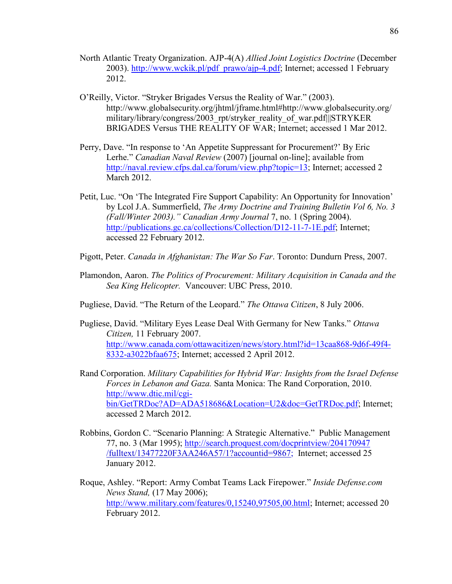- North Atlantic Treaty Organization. AJP-4(A) *Allied Joint Logistics Doctrine* (December 2003). [http://www.wckik.pl/pdf\\_prawo/ajp-4.pdf;](http://www.wckik.pl/pdf_prawo/ajp-4.pdf) Internet; accessed 1 February 2012.
- O'Reilly, Victor. "Stryker Brigades Versus the Reality of War." (2003). http://www.globalsecurity.org/jhtml/jframe.html#http://www.globalsecurity.org/ military/library/congress/2003\_rpt/stryker\_reality\_of\_war.pdf|||STRYKER BRIGADES Versus THE REALITY OF WAR; Internet; accessed 1 Mar 2012.
- Perry, Dave. "In response to 'An Appetite Suppressant for Procurement?' By Eric Lerhe." *Canadian Naval Review* (2007) [journal on-line]; available from [http://naval.review.cfps.dal.ca/forum/view.php?topic=13;](http://naval.review.cfps.dal.ca/forum/view.php?topic=13) Internet; accessed 2 March 2012.
- Petit, Luc. "On 'The Integrated Fire Support Capability: An Opportunity for Innovation' by Lcol J.A. Summerfield, *The Army Doctrine and Training Bulletin Vol 6, No. 3 (Fall/Winter 2003)." Canadian Army Journal* 7, no. 1 (Spring 2004). [http://publications.gc.ca/collections/Collection/D12-11-7-1E.pdf;](http://publications.gc.ca/collections/Collection/D12-11-7-1E.pdf) Internet; accessed 22 February 2012.
- Pigott, Peter. *Canada in Afghanistan: The War So Far*. Toronto: Dundurn Press, 2007.
- Plamondon, Aaron. *The Politics of Procurement: Military Acquisition in Canada and the Sea King Helicopter.* Vancouver: UBC Press, 2010.
- Pugliese, David. "The Return of the Leopard." *The Ottawa Citizen*, 8 July 2006.
- Pugliese, David. "Military Eyes Lease Deal With Germany for New Tanks." *Ottawa Citizen,* 11 February 2007. [http://www.canada.com/ottawacitizen/news/story.html?id=13caa868-9d6f-49f4-](http://www.canada.com/ottawacitizen/news/story.html?id=13caa868-9d6f-49f4-8332-a3022bfaa675) [8332-a3022bfaa675;](http://www.canada.com/ottawacitizen/news/story.html?id=13caa868-9d6f-49f4-8332-a3022bfaa675) Internet; accessed 2 April 2012.
- Rand Corporation. *Military Capabilities for Hybrid War: Insights from the Israel Defense Forces in Lebanon and Gaza.* Santa Monica: The Rand Corporation, 2010. [http://www.dtic.mil/cgi](http://www.dtic.mil/cgi-bin/GetTRDoc?AD=ADA518686&Location=U2&doc=GetTRDoc.pdf)[bin/GetTRDoc?AD=ADA518686&Location=U2&doc=GetTRDoc.pdf;](http://www.dtic.mil/cgi-bin/GetTRDoc?AD=ADA518686&Location=U2&doc=GetTRDoc.pdf) Internet; accessed 2 March 2012.
- Robbins, Gordon C. "Scenario Planning: A Strategic Alternative." Public Management 77, no. 3 (Mar 1995);<http://search.proquest.com/docprintview/204170947> /fulltext/13477220F3AA246A57/1?accountid=9867; Internet; accessed 25 January 2012.
- Roque, Ashley. "Report: Army Combat Teams Lack Firepower." *Inside Defense.com News Stand,* (17 May 2006); [http://www.military.com/features/0,15240,97505,00.html;](http://www.military.com/features/0,15240,97505,00.html) Internet; accessed 20 February 2012.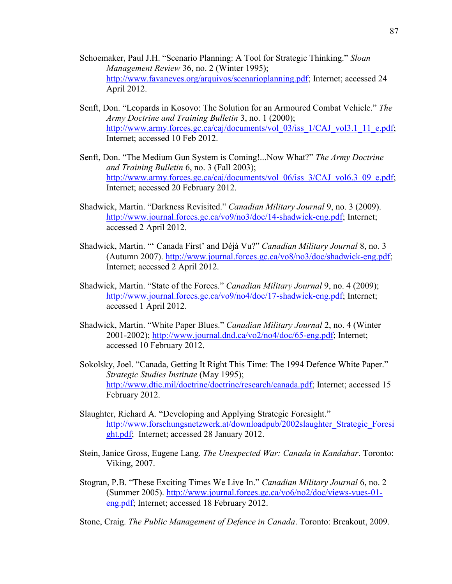- Schoemaker, Paul J.H. "Scenario Planning: A Tool for Strategic Thinking." *Sloan Management Review* 36, no. 2 (Winter 1995); [http://www.favaneves.org/arquivos/scenarioplanning.pdf;](http://www.favaneves.org/arquivos/scenarioplanning.pdf) Internet; accessed 24 April 2012.
- Senft, Don. "Leopards in Kosovo: The Solution for an Armoured Combat Vehicle." *The Army Doctrine and Training Bulletin* 3, no. 1 (2000); [http://www.army.forces.gc.ca/caj/documents/vol\\_03/iss\\_1/CAJ\\_vol3.1\\_11\\_e.pdf;](http://www.army.forces.gc.ca/caj/documents/vol_03/iss_1/CAJ_vol3.1_11_e.pdf) Internet; accessed 10 Feb 2012.
- Senft, Don. "The Medium Gun System is Coming!...Now What?" *The Army Doctrine and Training Bulletin* 6, no. 3 (Fall 2003); [http://www.army.forces.gc.ca/caj/documents/vol\\_06/iss\\_3/CAJ\\_vol6.3\\_09\\_e.pdf;](http://www.army.forces.gc.ca/caj/documents/vol_06/iss_3/CAJ_vol6.3_09_e.pdf) Internet; accessed 20 February 2012.
- Shadwick, Martin. "Darkness Revisited." *Canadian Military Journal* 9, no. 3 (2009). [http://www.journal.forces.gc.ca/vo9/no3/doc/14-shadwick-eng.pdf;](http://www.journal.forces.gc.ca/vo9/no3/doc/14-shadwick-eng.pdf) Internet; accessed 2 April 2012.
- Shadwick, Martin. "' Canada First' and Déjà Vu?" *Canadian Military Journal* 8, no. 3 (Autumn 2007). [http://www.journal.forces.gc.ca/vo8/no3/doc/shadwick-eng.pdf;](http://www.journal.forces.gc.ca/vo8/no3/doc/shadwick-eng.pdf) Internet; accessed 2 April 2012.
- Shadwick, Martin. "State of the Forces." *Canadian Military Journal* 9, no. 4 (2009); [http://www.journal.forces.gc.ca/vo9/no4/doc/17-shadwick-eng.pdf;](http://www.journal.forces.gc.ca/vo9/no4/doc/17-shadwick-eng.pdf) Internet; accessed 1 April 2012.
- Shadwick, Martin. "White Paper Blues." *Canadian Military Journal* 2, no. 4 (Winter 2001-2002); [http://www.journal.dnd.ca/vo2/no4/doc/65-eng.pdf;](http://www.journal.dnd.ca/vo2/no4/doc/65-eng.pdf) Internet; accessed 10 February 2012.
- Sokolsky, Joel. "Canada, Getting It Right This Time: The 1994 Defence White Paper." *Strategic Studies Institute* (May 1995); [http://www.dtic.mil/doctrine/doctrine/research/canada.pdf;](http://www.dtic.mil/doctrine/doctrine/research/canada.pdf) Internet; accessed 15 February 2012.
- Slaughter, Richard A. "Developing and Applying Strategic Foresight." [http://www.forschungsnetzwerk.at/downloadpub/2002slaughter\\_Strategic\\_Foresi](http://www.forschungsnetzwerk.at/downloadpub/2002slaughter_Strategic_Foresight.pdf) [ght.pdf;](http://www.forschungsnetzwerk.at/downloadpub/2002slaughter_Strategic_Foresight.pdf) Internet; accessed 28 January 2012.
- Stein, Janice Gross, Eugene Lang. *The Unexpected War: Canada in Kandahar*. Toronto: Viking, 2007.
- Stogran, P.B. "These Exciting Times We Live In." *Canadian Military Journal* 6, no. 2 (Summer 2005). [http://www.journal.forces.gc.ca/vo6/no2/doc/views-vues-01](http://www.journal.forces.gc.ca/vo6/no2/doc/views-vues-01-eng.pdf) [eng.pdf;](http://www.journal.forces.gc.ca/vo6/no2/doc/views-vues-01-eng.pdf) Internet; accessed 18 February 2012.

Stone, Craig. *The Public Management of Defence in Canada*. Toronto: Breakout, 2009.